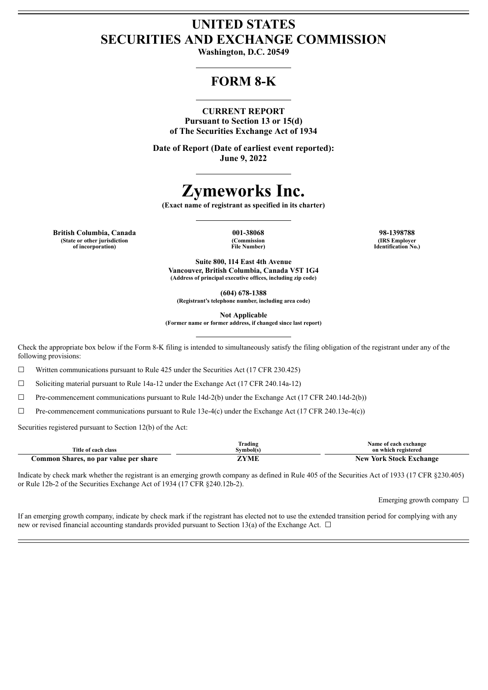# **UNITED STATES SECURITIES AND EXCHANGE COMMISSION**

**Washington, D.C. 20549**

## **FORM 8-K**

### **CURRENT REPORT**

**Pursuant to Section 13 or 15(d) of The Securities Exchange Act of 1934**

**Date of Report (Date of earliest event reported): June 9, 2022**

# **Zymeworks Inc.**

**(Exact name of registrant as specified in its charter)**

**British Columbia, Canada 001-38068 98-1398788 (State or other jurisdiction of incorporation)**

**(Commission File Number)**

**(IRS Employer Identification No.)**

**Suite 800, 114 East 4th Avenue Vancouver, British Columbia, Canada V5T 1G4 (Address of principal executive offices, including zip code)**

**(604) 678-1388**

**(Registrant's telephone number, including area code)**

**Not Applicable**

**(Former name or former address, if changed since last report)**

Check the appropriate box below if the Form 8-K filing is intended to simultaneously satisfy the filing obligation of the registrant under any of the following provisions:

 $\Box$  Written communications pursuant to Rule 425 under the Securities Act (17 CFR 230.425)

 $\Box$  Soliciting material pursuant to Rule 14a-12 under the Exchange Act (17 CFR 240.14a-12)

 $\Box$  Pre-commencement communications pursuant to Rule 14d-2(b) under the Exchange Act (17 CFR 240.14d-2(b))

 $\Box$  Pre-commencement communications pursuant to Rule 13e-4(c) under the Exchange Act (17 CFR 240.13e-4(c))

Securities registered pursuant to Section 12(b) of the Act:

|                                       | l`rading  | Name of each exchange          |
|---------------------------------------|-----------|--------------------------------|
| Title of each class                   | Svmbol(s) | on which registered            |
| Common Shares, no par value per share | ZYME      | <b>New York Stock Exchange</b> |

Indicate by check mark whether the registrant is an emerging growth company as defined in Rule 405 of the Securities Act of 1933 (17 CFR §230.405) or Rule 12b-2 of the Securities Exchange Act of 1934 (17 CFR §240.12b-2).

Emerging growth company  $\Box$ 

If an emerging growth company, indicate by check mark if the registrant has elected not to use the extended transition period for complying with any new or revised financial accounting standards provided pursuant to Section 13(a) of the Exchange Act.  $\Box$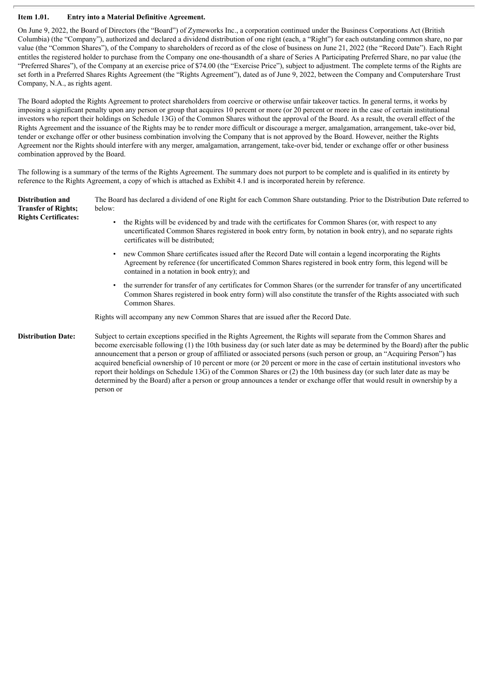### **Item 1.01. Entry into a Material Definitive Agreement.**

On June 9, 2022, the Board of Directors (the "Board") of Zymeworks Inc., a corporation continued under the Business Corporations Act (British Columbia) (the "Company"), authorized and declared a dividend distribution of one right (each, a "Right") for each outstanding common share, no par value (the "Common Shares"), of the Company to shareholders of record as of the close of business on June 21, 2022 (the "Record Date"). Each Right entitles the registered holder to purchase from the Company one one-thousandth of a share of Series A Participating Preferred Share, no par value (the "Preferred Shares"), of the Company at an exercise price of \$74.00 (the "Exercise Price"), subject to adjustment. The complete terms of the Rights are set forth in a Preferred Shares Rights Agreement (the "Rights Agreement"), dated as of June 9, 2022, between the Company and Computershare Trust Company, N.A., as rights agent.

The Board adopted the Rights Agreement to protect shareholders from coercive or otherwise unfair takeover tactics. In general terms, it works by imposing a significant penalty upon any person or group that acquires 10 percent or more (or 20 percent or more in the case of certain institutional investors who report their holdings on Schedule 13G) of the Common Shares without the approval of the Board. As a result, the overall effect of the Rights Agreement and the issuance of the Rights may be to render more difficult or discourage a merger, amalgamation, arrangement, take-over bid, tender or exchange offer or other business combination involving the Company that is not approved by the Board. However, neither the Rights Agreement nor the Rights should interfere with any merger, amalgamation, arrangement, take-over bid, tender or exchange offer or other business combination approved by the Board.

The following is a summary of the terms of the Rights Agreement. The summary does not purport to be complete and is qualified in its entirety by reference to the Rights Agreement, a copy of which is attached as Exhibit 4.1 and is incorporated herein by reference.

**Distribution and Transfer of Rights; Rights Certificates:** The Board has declared a dividend of one Right for each Common Share outstanding. Prior to the Distribution Date referred to below: • the Rights will be evidenced by and trade with the certificates for Common Shares (or, with respect to any uncertificated Common Shares registered in book entry form, by notation in book entry), and no separate rights certificates will be distributed; • new Common Share certificates issued after the Record Date will contain a legend incorporating the Rights Agreement by reference (for uncertificated Common Shares registered in book entry form, this legend will be contained in a notation in book entry); and • the surrender for transfer of any certificates for Common Shares (or the surrender for transfer of any uncertificated Common Shares registered in book entry form) will also constitute the transfer of the Rights associated with such Common Shares. Rights will accompany any new Common Shares that are issued after the Record Date. **Distribution Date:** Subject to certain exceptions specified in the Rights Agreement, the Rights will separate from the Common Shares and become exercisable following (1) the 10th business day (or such later date as may be determined by the Board) after the public announcement that a person or group of affiliated or associated persons (such person or group, an "Acquiring Person") has acquired beneficial ownership of 10 percent or more (or 20 percent or more in the case of certain institutional investors who report their holdings on Schedule 13G) of the Common Shares or (2) the 10th business day (or such later date as may be determined by the Board) after a person or group announces a tender or exchange offer that would result in ownership by a person or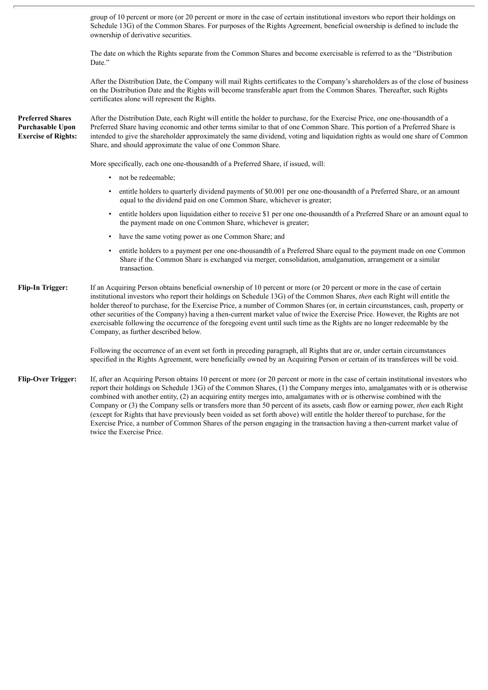|                                                                                  | group of 10 percent or more (or 20 percent or more in the case of certain institutional investors who report their holdings on<br>Schedule 13G) of the Common Shares. For purposes of the Rights Agreement, beneficial ownership is defined to include the<br>ownership of derivative securities.                                                                                                                                                                                                                                                                                                                                                                                                                                                                                                                    |
|----------------------------------------------------------------------------------|----------------------------------------------------------------------------------------------------------------------------------------------------------------------------------------------------------------------------------------------------------------------------------------------------------------------------------------------------------------------------------------------------------------------------------------------------------------------------------------------------------------------------------------------------------------------------------------------------------------------------------------------------------------------------------------------------------------------------------------------------------------------------------------------------------------------|
|                                                                                  | The date on which the Rights separate from the Common Shares and become exercisable is referred to as the "Distribution"<br>Date."                                                                                                                                                                                                                                                                                                                                                                                                                                                                                                                                                                                                                                                                                   |
|                                                                                  | After the Distribution Date, the Company will mail Rights certificates to the Company's shareholders as of the close of business<br>on the Distribution Date and the Rights will become transferable apart from the Common Shares. Thereafter, such Rights<br>certificates alone will represent the Rights.                                                                                                                                                                                                                                                                                                                                                                                                                                                                                                          |
| <b>Preferred Shares</b><br><b>Purchasable Upon</b><br><b>Exercise of Rights:</b> | After the Distribution Date, each Right will entitle the holder to purchase, for the Exercise Price, one one-thousandth of a<br>Preferred Share having economic and other terms similar to that of one Common Share. This portion of a Preferred Share is<br>intended to give the shareholder approximately the same dividend, voting and liquidation rights as would one share of Common<br>Share, and should approximate the value of one Common Share.                                                                                                                                                                                                                                                                                                                                                            |
|                                                                                  | More specifically, each one one-thousandth of a Preferred Share, if issued, will:                                                                                                                                                                                                                                                                                                                                                                                                                                                                                                                                                                                                                                                                                                                                    |
|                                                                                  | • not be redeemable;                                                                                                                                                                                                                                                                                                                                                                                                                                                                                                                                                                                                                                                                                                                                                                                                 |
|                                                                                  | entitle holders to quarterly dividend payments of \$0.001 per one one-thousandth of a Preferred Share, or an amount<br>equal to the dividend paid on one Common Share, whichever is greater;                                                                                                                                                                                                                                                                                                                                                                                                                                                                                                                                                                                                                         |
|                                                                                  | entitle holders upon liquidation either to receive \$1 per one one-thousandth of a Preferred Share or an amount equal to<br>the payment made on one Common Share, whichever is greater;                                                                                                                                                                                                                                                                                                                                                                                                                                                                                                                                                                                                                              |
|                                                                                  | have the same voting power as one Common Share; and<br>٠                                                                                                                                                                                                                                                                                                                                                                                                                                                                                                                                                                                                                                                                                                                                                             |
|                                                                                  | entitle holders to a payment per one one-thousandth of a Preferred Share equal to the payment made on one Common<br>$\bullet$<br>Share if the Common Share is exchanged via merger, consolidation, amalgamation, arrangement or a similar<br>transaction.                                                                                                                                                                                                                                                                                                                                                                                                                                                                                                                                                            |
| <b>Flip-In Trigger:</b>                                                          | If an Acquiring Person obtains beneficial ownership of 10 percent or more (or 20 percent or more in the case of certain<br>institutional investors who report their holdings on Schedule 13G) of the Common Shares, then each Right will entitle the<br>holder thereof to purchase, for the Exercise Price, a number of Common Shares (or, in certain circumstances, cash, property or<br>other securities of the Company) having a then-current market value of twice the Exercise Price. However, the Rights are not<br>exercisable following the occurrence of the foregoing event until such time as the Rights are no longer redeemable by the<br>Company, as further described below.                                                                                                                          |
|                                                                                  | Following the occurrence of an event set forth in preceding paragraph, all Rights that are or, under certain circumstances<br>specified in the Rights Agreement, were beneficially owned by an Acquiring Person or certain of its transferees will be void.                                                                                                                                                                                                                                                                                                                                                                                                                                                                                                                                                          |
| <b>Flip-Over Trigger:</b>                                                        | If, after an Acquiring Person obtains 10 percent or more (or 20 percent or more in the case of certain institutional investors who<br>report their holdings on Schedule 13G) of the Common Shares, (1) the Company merges into, amalgamates with or is otherwise<br>combined with another entity, (2) an acquiring entity merges into, amalgamates with or is otherwise combined with the<br>Company or (3) the Company sells or transfers more than 50 percent of its assets, cash flow or earning power, then each Right<br>(except for Rights that have previously been voided as set forth above) will entitle the holder thereof to purchase, for the<br>Exercise Price, a number of Common Shares of the person engaging in the transaction having a then-current market value of<br>twice the Exercise Price. |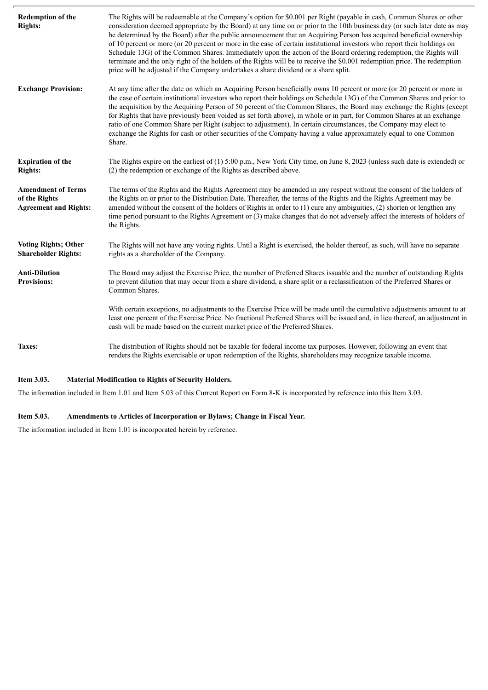| <b>Redemption of the</b><br><b>Rights:</b>                                 | The Rights will be redeemable at the Company's option for \$0.001 per Right (payable in cash, Common Shares or other<br>consideration deemed appropriate by the Board) at any time on or prior to the 10th business day (or such later date as may<br>be determined by the Board) after the public announcement that an Acquiring Person has acquired beneficial ownership<br>of 10 percent or more (or 20 percent or more in the case of certain institutional investors who report their holdings on<br>Schedule 13G) of the Common Shares. Immediately upon the action of the Board ordering redemption, the Rights will<br>terminate and the only right of the holders of the Rights will be to receive the \$0.001 redemption price. The redemption<br>price will be adjusted if the Company undertakes a share dividend or a share split. |
|----------------------------------------------------------------------------|-------------------------------------------------------------------------------------------------------------------------------------------------------------------------------------------------------------------------------------------------------------------------------------------------------------------------------------------------------------------------------------------------------------------------------------------------------------------------------------------------------------------------------------------------------------------------------------------------------------------------------------------------------------------------------------------------------------------------------------------------------------------------------------------------------------------------------------------------|
| <b>Exchange Provision:</b>                                                 | At any time after the date on which an Acquiring Person beneficially owns 10 percent or more (or 20 percent or more in<br>the case of certain institutional investors who report their holdings on Schedule 13G) of the Common Shares and prior to<br>the acquisition by the Acquiring Person of 50 percent of the Common Shares, the Board may exchange the Rights (except<br>for Rights that have previously been voided as set forth above), in whole or in part, for Common Shares at an exchange<br>ratio of one Common Share per Right (subject to adjustment). In certain circumstances, the Company may elect to<br>exchange the Rights for cash or other securities of the Company having a value approximately equal to one Common<br>Share.                                                                                          |
| <b>Expiration of the</b><br><b>Rights:</b>                                 | The Rights expire on the earliest of (1) 5:00 p.m., New York City time, on June 8, 2023 (unless such date is extended) or<br>(2) the redemption or exchange of the Rights as described above.                                                                                                                                                                                                                                                                                                                                                                                                                                                                                                                                                                                                                                                   |
| <b>Amendment of Terms</b><br>of the Rights<br><b>Agreement and Rights:</b> | The terms of the Rights and the Rights Agreement may be amended in any respect without the consent of the holders of<br>the Rights on or prior to the Distribution Date. Thereafter, the terms of the Rights and the Rights Agreement may be<br>amended without the consent of the holders of Rights in order to $(1)$ cure any ambiguities, $(2)$ shorten or lengthen any<br>time period pursuant to the Rights Agreement or (3) make changes that do not adversely affect the interests of holders of<br>the Rights.                                                                                                                                                                                                                                                                                                                          |
| <b>Voting Rights; Other</b><br><b>Shareholder Rights:</b>                  | The Rights will not have any voting rights. Until a Right is exercised, the holder thereof, as such, will have no separate<br>rights as a shareholder of the Company.                                                                                                                                                                                                                                                                                                                                                                                                                                                                                                                                                                                                                                                                           |
| <b>Anti-Dilution</b><br><b>Provisions:</b>                                 | The Board may adjust the Exercise Price, the number of Preferred Shares issuable and the number of outstanding Rights<br>to prevent dilution that may occur from a share dividend, a share split or a reclassification of the Preferred Shares or<br>Common Shares.                                                                                                                                                                                                                                                                                                                                                                                                                                                                                                                                                                             |
|                                                                            | With certain exceptions, no adjustments to the Exercise Price will be made until the cumulative adjustments amount to at<br>least one percent of the Exercise Price. No fractional Preferred Shares will be issued and, in lieu thereof, an adjustment in<br>cash will be made based on the current market price of the Preferred Shares.                                                                                                                                                                                                                                                                                                                                                                                                                                                                                                       |
| Taxes:                                                                     | The distribution of Rights should not be taxable for federal income tax purposes. However, following an event that<br>renders the Rights exercisable or upon redemption of the Rights, shareholders may recognize taxable income.                                                                                                                                                                                                                                                                                                                                                                                                                                                                                                                                                                                                               |

### **Item 3.03. Material Modification to Rights of Security Holders.**

The information included in Item 1.01 and Item 5.03 of this Current Report on Form 8-K is incorporated by reference into this Item 3.03.

### **Item 5.03. Amendments to Articles of Incorporation or Bylaws; Change in Fiscal Year.**

The information included in Item 1.01 is incorporated herein by reference.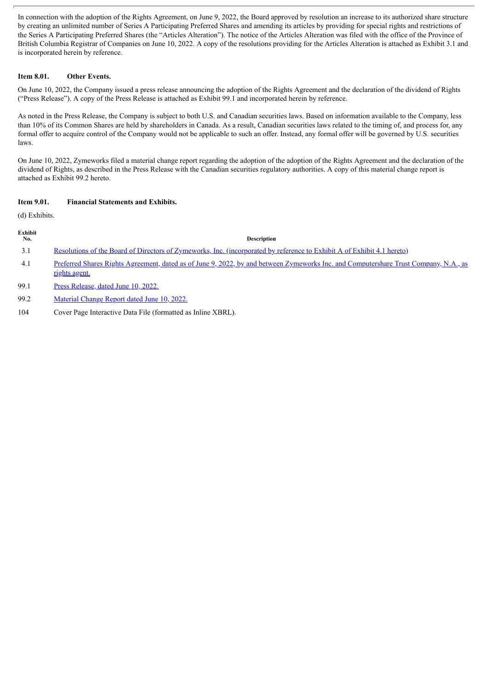In connection with the adoption of the Rights Agreement, on June 9, 2022, the Board approved by resolution an increase to its authorized share structure by creating an unlimited number of Series A Participating Preferred Shares and amending its articles by providing for special rights and restrictions of the Series A Participating Preferred Shares (the "Articles Alteration"). The notice of the Articles Alteration was filed with the office of the Province of British Columbia Registrar of Companies on June 10, 2022. A copy of the resolutions providing for the Articles Alteration is attached as Exhibit 3.1 and is incorporated herein by reference.

### **Item 8.01. Other Events.**

On June 10, 2022, the Company issued a press release announcing the adoption of the Rights Agreement and the declaration of the dividend of Rights ("Press Release"). A copy of the Press Release is attached as Exhibit 99.1 and incorporated herein by reference.

As noted in the Press Release, the Company is subject to both U.S. and Canadian securities laws. Based on information available to the Company, less than 10% of its Common Shares are held by shareholders in Canada. As a result, Canadian securities laws related to the timing of, and process for, any formal offer to acquire control of the Company would not be applicable to such an offer. Instead, any formal offer will be governed by U.S. securities laws.

On June 10, 2022, Zymeworks filed a material change report regarding the adoption of the adoption of the Rights Agreement and the declaration of the dividend of Rights, as described in the Press Release with the Canadian securities regulatory authorities. A copy of this material change report is attached as Exhibit 99.2 hereto.

### **Item 9.01. Financial Statements and Exhibits.**

(d) Exhibits.

| Exhibit<br>No. | <b>Description</b>                                                                                                                                           |
|----------------|--------------------------------------------------------------------------------------------------------------------------------------------------------------|
| 3.1            | Resolutions of the Board of Directors of Zymeworks, Inc. (incorporated by reference to Exhibit A of Exhibit 4.1 hereto)                                      |
| 4.1            | <u>Preferred Shares Rights Agreement, dated as of June 9, 2022, by and between Zymeworks Inc. and Computershare Trust Company, N.A., as</u><br>rights agent. |
| 99.1           | Press Release, dated June 10, 2022.                                                                                                                          |
| 99.2           | Material Change Report dated June 10, 2022.                                                                                                                  |

104 Cover Page Interactive Data File (formatted as Inline XBRL).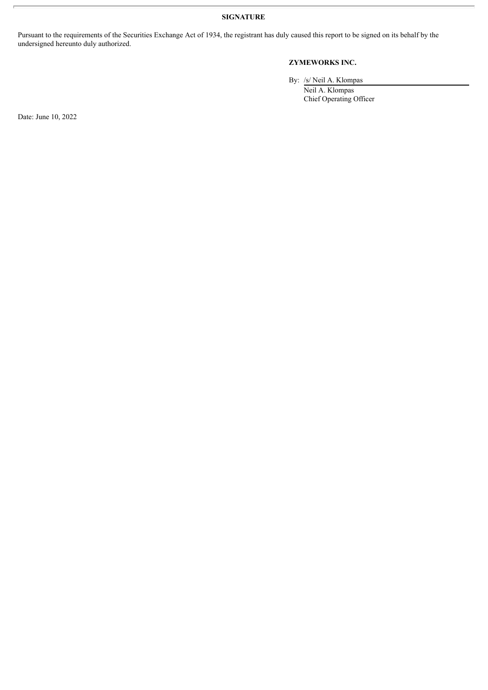**SIGNATURE**

Pursuant to the requirements of the Securities Exchange Act of 1934, the registrant has duly caused this report to be signed on its behalf by the undersigned hereunto duly authorized.

### **ZYMEWORKS INC.**

By: /s/ Neil A. Klompas

Neil A. Klompas Chief Operating Officer

Date: June 10, 2022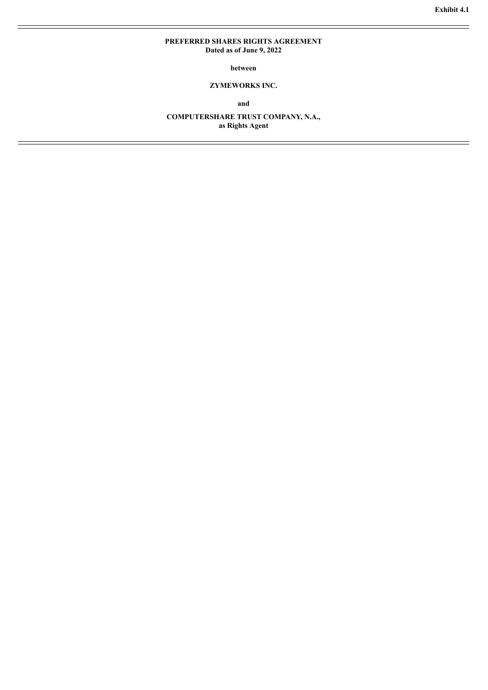### <span id="page-6-0"></span>**PREFERRED SHARES RIGHTS AGREEMENT Dated as of June 9, 2022**

**between**

### **ZYMEWORKS INC.**

**and**

#### **COMPUTERSHARE TRUST COMPANY, N.A., as Rights Agent**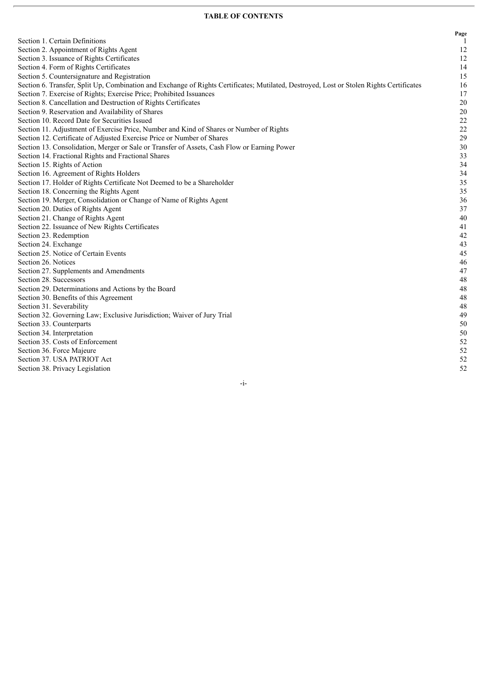### **TABLE OF CONTENTS**

|                                                                                                                                          | Page |
|------------------------------------------------------------------------------------------------------------------------------------------|------|
| Section 1. Certain Definitions                                                                                                           | -1   |
| Section 2. Appointment of Rights Agent                                                                                                   | 12   |
| Section 3. Issuance of Rights Certificates                                                                                               | 12   |
| Section 4. Form of Rights Certificates                                                                                                   | 14   |
| Section 5. Countersignature and Registration                                                                                             | 15   |
| Section 6. Transfer, Split Up, Combination and Exchange of Rights Certificates; Mutilated, Destroyed, Lost or Stolen Rights Certificates | 16   |
| Section 7. Exercise of Rights; Exercise Price; Prohibited Issuances                                                                      | 17   |
| Section 8. Cancellation and Destruction of Rights Certificates                                                                           | 20   |
| Section 9. Reservation and Availability of Shares                                                                                        | 20   |
| Section 10. Record Date for Securities Issued                                                                                            | 22   |
| Section 11. Adjustment of Exercise Price, Number and Kind of Shares or Number of Rights                                                  | 22   |
| Section 12. Certificate of Adjusted Exercise Price or Number of Shares                                                                   | 29   |
| Section 13. Consolidation, Merger or Sale or Transfer of Assets, Cash Flow or Earning Power                                              | 30   |
| Section 14. Fractional Rights and Fractional Shares                                                                                      | 33   |
| Section 15. Rights of Action                                                                                                             | 34   |
| Section 16. Agreement of Rights Holders                                                                                                  | 34   |
| Section 17. Holder of Rights Certificate Not Deemed to be a Shareholder                                                                  | 35   |
| Section 18. Concerning the Rights Agent                                                                                                  | 35   |
| Section 19. Merger, Consolidation or Change of Name of Rights Agent                                                                      | 36   |
| Section 20. Duties of Rights Agent                                                                                                       | 37   |
| Section 21. Change of Rights Agent                                                                                                       | 40   |
| Section 22. Issuance of New Rights Certificates                                                                                          | 41   |
| Section 23. Redemption                                                                                                                   | 42   |
| Section 24. Exchange                                                                                                                     | 43   |
| Section 25. Notice of Certain Events                                                                                                     | 45   |
| Section 26. Notices                                                                                                                      | 46   |
| Section 27. Supplements and Amendments                                                                                                   | 47   |
| Section 28. Successors                                                                                                                   | 48   |
| Section 29. Determinations and Actions by the Board                                                                                      | 48   |
| Section 30. Benefits of this Agreement                                                                                                   | 48   |
| Section 31. Severability                                                                                                                 | 48   |
| Section 32. Governing Law; Exclusive Jurisdiction; Waiver of Jury Trial                                                                  | 49   |
| Section 33. Counterparts                                                                                                                 | 50   |
| Section 34. Interpretation                                                                                                               | 50   |
| Section 35. Costs of Enforcement                                                                                                         | 52   |
| Section 36. Force Majeure                                                                                                                | 52   |
| Section 37. USA PATRIOT Act                                                                                                              | 52   |
| Section 38. Privacy Legislation                                                                                                          | 52   |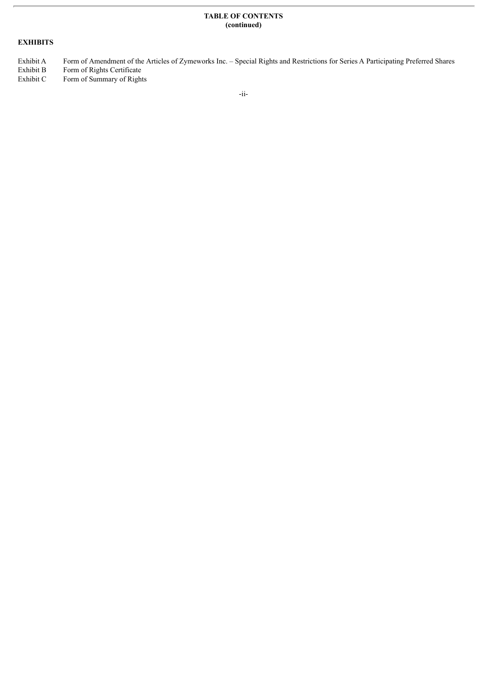#### **TABLE OF CONTENTS (continued)**

### **EXHIBITS**

- Exhibit A Form of Amendment of the Articles of Zymeworks Inc. Special Rights and Restrictions for Series A Participating Preferred Shares<br>Exhibit B Form of Rights Certificate
- Exhibit B Form of Rights Certificate<br>Exhibit C Form of Summary of Right Form of Summary of Rights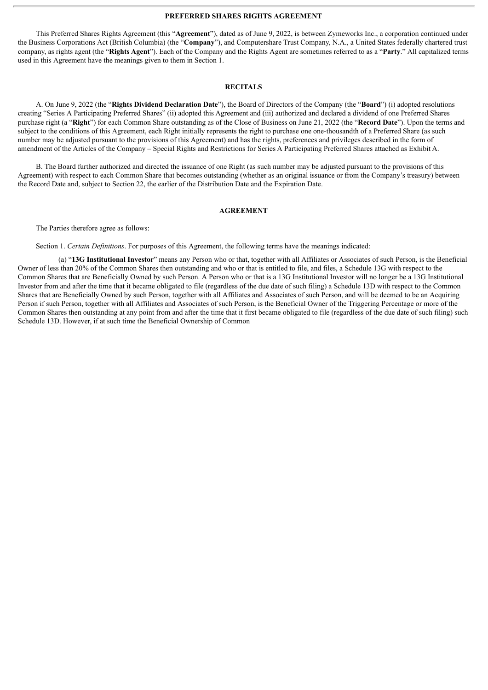#### **PREFERRED SHARES RIGHTS AGREEMENT**

This Preferred Shares Rights Agreement (this "**Agreement**"), dated as of June 9, 2022, is between Zymeworks Inc., a corporation continued under the Business Corporations Act (British Columbia) (the "**Company**"), and Computershare Trust Company, N.A., a United States federally chartered trust company, as rights agent (the "**Rights Agent**"). Each of the Company and the Rights Agent are sometimes referred to as a "**Party**." All capitalized terms used in this Agreement have the meanings given to them in Section 1.

### **RECITALS**

A. On June 9, 2022 (the "**Rights Dividend Declaration Date**"), the Board of Directors of the Company (the "**Board**") (i) adopted resolutions creating "Series A Participating Preferred Shares" (ii) adopted this Agreement and (iii) authorized and declared a dividend of one Preferred Shares purchase right (a "**Right**") for each Common Share outstanding as of the Close of Business on June 21, 2022 (the "**Record Date**"). Upon the terms and subject to the conditions of this Agreement, each Right initially represents the right to purchase one one-thousandth of a Preferred Share (as such number may be adjusted pursuant to the provisions of this Agreement) and has the rights, preferences and privileges described in the form of amendment of the Articles of the Company – Special Rights and Restrictions for Series A Participating Preferred Shares attached as Exhibit A.

B. The Board further authorized and directed the issuance of one Right (as such number may be adjusted pursuant to the provisions of this Agreement) with respect to each Common Share that becomes outstanding (whether as an original issuance or from the Company's treasury) between the Record Date and, subject to Section 22, the earlier of the Distribution Date and the Expiration Date.

#### **AGREEMENT**

The Parties therefore agree as follows:

Section 1. *Certain Definitions*. For purposes of this Agreement, the following terms have the meanings indicated:

(a) "**13G Institutional Investor**" means any Person who or that, together with all Affiliates or Associates of such Person, is the Beneficial Owner of less than 20% of the Common Shares then outstanding and who or that is entitled to file, and files, a Schedule 13G with respect to the Common Shares that are Beneficially Owned by such Person. A Person who or that is a 13G Institutional Investor will no longer be a 13G Institutional Investor from and after the time that it became obligated to file (regardless of the due date of such filing) a Schedule 13D with respect to the Common Shares that are Beneficially Owned by such Person, together with all Affiliates and Associates of such Person, and will be deemed to be an Acquiring Person if such Person, together with all Affiliates and Associates of such Person, is the Beneficial Owner of the Triggering Percentage or more of the Common Shares then outstanding at any point from and after the time that it first became obligated to file (regardless of the due date of such filing) such Schedule 13D. However, if at such time the Beneficial Ownership of Common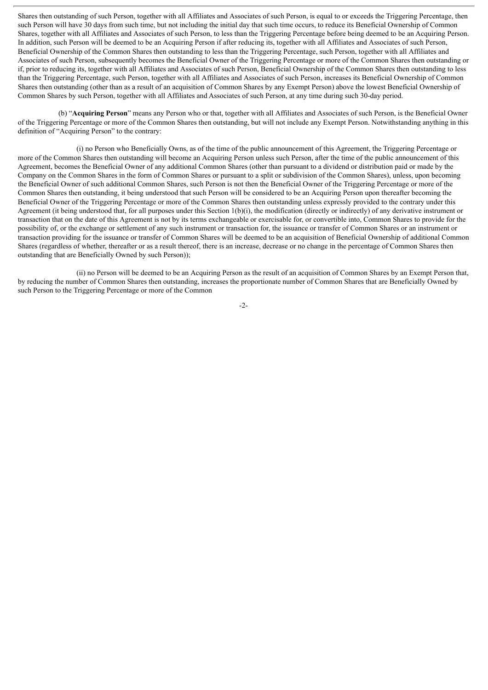Shares then outstanding of such Person, together with all Affiliates and Associates of such Person, is equal to or exceeds the Triggering Percentage, then such Person will have 30 days from such time, but not including the initial day that such time occurs, to reduce its Beneficial Ownership of Common Shares, together with all Affiliates and Associates of such Person, to less than the Triggering Percentage before being deemed to be an Acquiring Person. In addition, such Person will be deemed to be an Acquiring Person if after reducing its, together with all Affiliates and Associates of such Person, Beneficial Ownership of the Common Shares then outstanding to less than the Triggering Percentage, such Person, together with all Affiliates and Associates of such Person, subsequently becomes the Beneficial Owner of the Triggering Percentage or more of the Common Shares then outstanding or if, prior to reducing its, together with all Affiliates and Associates of such Person, Beneficial Ownership of the Common Shares then outstanding to less than the Triggering Percentage, such Person, together with all Affiliates and Associates of such Person, increases its Beneficial Ownership of Common Shares then outstanding (other than as a result of an acquisition of Common Shares by any Exempt Person) above the lowest Beneficial Ownership of Common Shares by such Person, together with all Affiliates and Associates of such Person, at any time during such 30-day period.

(b) "**Acquiring Person**" means any Person who or that, together with all Affiliates and Associates of such Person, is the Beneficial Owner of the Triggering Percentage or more of the Common Shares then outstanding, but will not include any Exempt Person. Notwithstanding anything in this definition of "Acquiring Person" to the contrary:

(i) no Person who Beneficially Owns, as of the time of the public announcement of this Agreement, the Triggering Percentage or more of the Common Shares then outstanding will become an Acquiring Person unless such Person, after the time of the public announcement of this Agreement, becomes the Beneficial Owner of any additional Common Shares (other than pursuant to a dividend or distribution paid or made by the Company on the Common Shares in the form of Common Shares or pursuant to a split or subdivision of the Common Shares), unless, upon becoming the Beneficial Owner of such additional Common Shares, such Person is not then the Beneficial Owner of the Triggering Percentage or more of the Common Shares then outstanding, it being understood that such Person will be considered to be an Acquiring Person upon thereafter becoming the Beneficial Owner of the Triggering Percentage or more of the Common Shares then outstanding unless expressly provided to the contrary under this Agreement (it being understood that, for all purposes under this Section 1(b)(i), the modification (directly or indirectly) of any derivative instrument or transaction that on the date of this Agreement is not by its terms exchangeable or exercisable for, or convertible into, Common Shares to provide for the possibility of, or the exchange or settlement of any such instrument or transaction for, the issuance or transfer of Common Shares or an instrument or transaction providing for the issuance or transfer of Common Shares will be deemed to be an acquisition of Beneficial Ownership of additional Common Shares (regardless of whether, thereafter or as a result thereof, there is an increase, decrease or no change in the percentage of Common Shares then outstanding that are Beneficially Owned by such Person));

(ii) no Person will be deemed to be an Acquiring Person as the result of an acquisition of Common Shares by an Exempt Person that, by reducing the number of Common Shares then outstanding, increases the proportionate number of Common Shares that are Beneficially Owned by such Person to the Triggering Percentage or more of the Common

-2-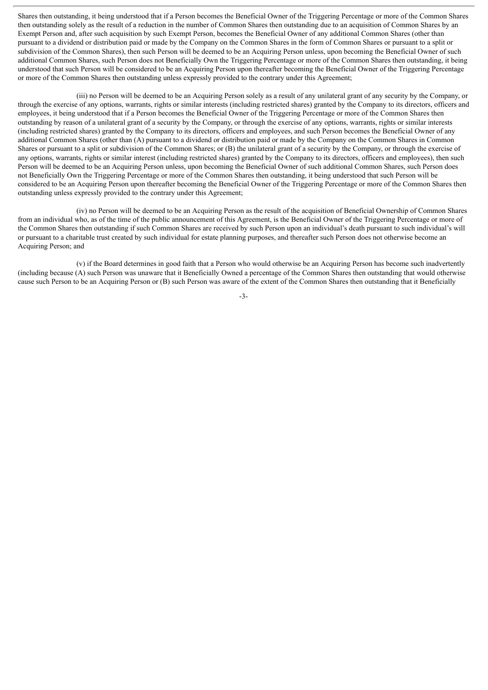Shares then outstanding, it being understood that if a Person becomes the Beneficial Owner of the Triggering Percentage or more of the Common Shares then outstanding solely as the result of a reduction in the number of Common Shares then outstanding due to an acquisition of Common Shares by an Exempt Person and, after such acquisition by such Exempt Person, becomes the Beneficial Owner of any additional Common Shares (other than pursuant to a dividend or distribution paid or made by the Company on the Common Shares in the form of Common Shares or pursuant to a split or subdivision of the Common Shares), then such Person will be deemed to be an Acquiring Person unless, upon becoming the Beneficial Owner of such additional Common Shares, such Person does not Beneficially Own the Triggering Percentage or more of the Common Shares then outstanding, it being understood that such Person will be considered to be an Acquiring Person upon thereafter becoming the Beneficial Owner of the Triggering Percentage or more of the Common Shares then outstanding unless expressly provided to the contrary under this Agreement;

(iii) no Person will be deemed to be an Acquiring Person solely as a result of any unilateral grant of any security by the Company, or through the exercise of any options, warrants, rights or similar interests (including restricted shares) granted by the Company to its directors, officers and employees, it being understood that if a Person becomes the Beneficial Owner of the Triggering Percentage or more of the Common Shares then outstanding by reason of a unilateral grant of a security by the Company, or through the exercise of any options, warrants, rights or similar interests (including restricted shares) granted by the Company to its directors, officers and employees, and such Person becomes the Beneficial Owner of any additional Common Shares (other than (A) pursuant to a dividend or distribution paid or made by the Company on the Common Shares in Common Shares or pursuant to a split or subdivision of the Common Shares; or (B) the unilateral grant of a security by the Company, or through the exercise of any options, warrants, rights or similar interest (including restricted shares) granted by the Company to its directors, officers and employees), then such Person will be deemed to be an Acquiring Person unless, upon becoming the Beneficial Owner of such additional Common Shares, such Person does not Beneficially Own the Triggering Percentage or more of the Common Shares then outstanding, it being understood that such Person will be considered to be an Acquiring Person upon thereafter becoming the Beneficial Owner of the Triggering Percentage or more of the Common Shares then outstanding unless expressly provided to the contrary under this Agreement;

(iv) no Person will be deemed to be an Acquiring Person as the result of the acquisition of Beneficial Ownership of Common Shares from an individual who, as of the time of the public announcement of this Agreement, is the Beneficial Owner of the Triggering Percentage or more of the Common Shares then outstanding if such Common Shares are received by such Person upon an individual's death pursuant to such individual's will or pursuant to a charitable trust created by such individual for estate planning purposes, and thereafter such Person does not otherwise become an Acquiring Person; and

(v) if the Board determines in good faith that a Person who would otherwise be an Acquiring Person has become such inadvertently (including because (A) such Person was unaware that it Beneficially Owned a percentage of the Common Shares then outstanding that would otherwise cause such Person to be an Acquiring Person or (B) such Person was aware of the extent of the Common Shares then outstanding that it Beneficially

-3-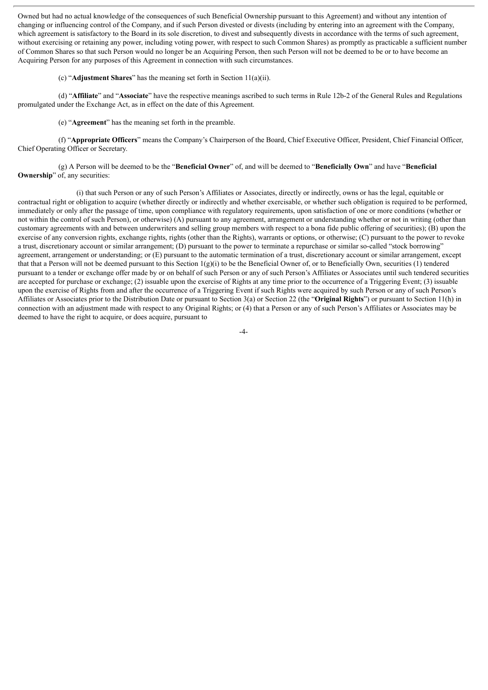Owned but had no actual knowledge of the consequences of such Beneficial Ownership pursuant to this Agreement) and without any intention of changing or influencing control of the Company, and if such Person divested or divests (including by entering into an agreement with the Company, which agreement is satisfactory to the Board in its sole discretion, to divest and subsequently divests in accordance with the terms of such agreement, without exercising or retaining any power, including voting power, with respect to such Common Shares) as promptly as practicable a sufficient number of Common Shares so that such Person would no longer be an Acquiring Person, then such Person will not be deemed to be or to have become an Acquiring Person for any purposes of this Agreement in connection with such circumstances.

(c) "**Adjustment Shares**" has the meaning set forth in Section 11(a)(ii).

(d) "**Affiliate**" and "**Associate**" have the respective meanings ascribed to such terms in Rule 12b-2 of the General Rules and Regulations promulgated under the Exchange Act, as in effect on the date of this Agreement.

(e) "**Agreement**" has the meaning set forth in the preamble.

(f) "**Appropriate Officers**" means the Company's Chairperson of the Board, Chief Executive Officer, President, Chief Financial Officer, Chief Operating Officer or Secretary.

(g) A Person will be deemed to be the "**Beneficial Owner**" of, and will be deemed to "**Beneficially Own**" and have "**Beneficial Ownership**" of, any securities:

(i) that such Person or any of such Person's Affiliates or Associates, directly or indirectly, owns or has the legal, equitable or contractual right or obligation to acquire (whether directly or indirectly and whether exercisable, or whether such obligation is required to be performed, immediately or only after the passage of time, upon compliance with regulatory requirements, upon satisfaction of one or more conditions (whether or not within the control of such Person), or otherwise) (A) pursuant to any agreement, arrangement or understanding whether or not in writing (other than customary agreements with and between underwriters and selling group members with respect to a bona fide public offering of securities); (B) upon the exercise of any conversion rights, exchange rights, rights (other than the Rights), warrants or options, or otherwise; (C) pursuant to the power to revoke a trust, discretionary account or similar arrangement; (D) pursuant to the power to terminate a repurchase or similar so-called "stock borrowing" agreement, arrangement or understanding; or (E) pursuant to the automatic termination of a trust, discretionary account or similar arrangement, except that that a Person will not be deemed pursuant to this Section 1(g)(i) to be the Beneficial Owner of, or to Beneficially Own, securities (1) tendered pursuant to a tender or exchange offer made by or on behalf of such Person or any of such Person's Affiliates or Associates until such tendered securities are accepted for purchase or exchange; (2) issuable upon the exercise of Rights at any time prior to the occurrence of a Triggering Event; (3) issuable upon the exercise of Rights from and after the occurrence of a Triggering Event if such Rights were acquired by such Person or any of such Person's Affiliates or Associates prior to the Distribution Date or pursuant to Section 3(a) or Section 22 (the "**Original Rights**") or pursuant to Section 11(h) in connection with an adjustment made with respect to any Original Rights; or (4) that a Person or any of such Person's Affiliates or Associates may be deemed to have the right to acquire, or does acquire, pursuant to

-4-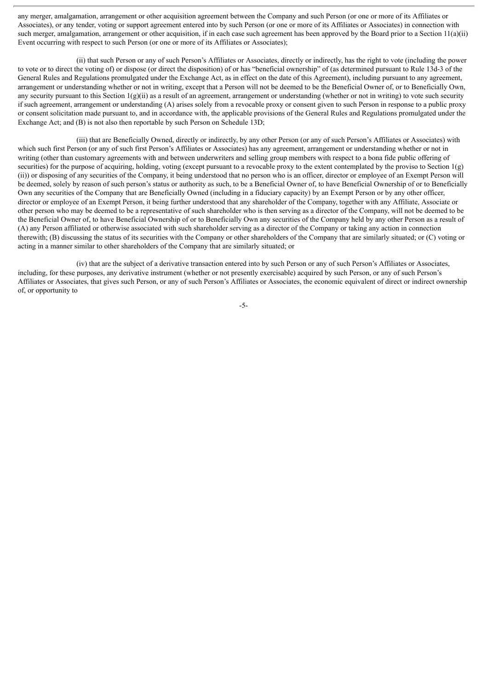any merger, amalgamation, arrangement or other acquisition agreement between the Company and such Person (or one or more of its Affiliates or Associates), or any tender, voting or support agreement entered into by such Person (or one or more of its Affiliates or Associates) in connection with such merger, amalgamation, arrangement or other acquisition, if in each case such agreement has been approved by the Board prior to a Section 11(a)(ii) Event occurring with respect to such Person (or one or more of its Affiliates or Associates):

(ii) that such Person or any of such Person's Affiliates or Associates, directly or indirectly, has the right to vote (including the power to vote or to direct the voting of) or dispose (or direct the disposition) of or has "beneficial ownership" of (as determined pursuant to Rule 13d-3 of the General Rules and Regulations promulgated under the Exchange Act, as in effect on the date of this Agreement), including pursuant to any agreement, arrangement or understanding whether or not in writing, except that a Person will not be deemed to be the Beneficial Owner of, or to Beneficially Own, any security pursuant to this Section  $1(g)(ii)$  as a result of an agreement, arrangement or understanding (whether or not in writing) to vote such security if such agreement, arrangement or understanding (A) arises solely from a revocable proxy or consent given to such Person in response to a public proxy or consent solicitation made pursuant to, and in accordance with, the applicable provisions of the General Rules and Regulations promulgated under the Exchange Act; and (B) is not also then reportable by such Person on Schedule 13D;

(iii) that are Beneficially Owned, directly or indirectly, by any other Person (or any of such Person's Affiliates or Associates) with which such first Person (or any of such first Person's Affiliates or Associates) has any agreement, arrangement or understanding whether or not in writing (other than customary agreements with and between underwriters and selling group members with respect to a bona fide public offering of securities) for the purpose of acquiring, holding, voting (except pursuant to a revocable proxy to the extent contemplated by the proviso to Section 1(g) (ii)) or disposing of any securities of the Company, it being understood that no person who is an officer, director or employee of an Exempt Person will be deemed, solely by reason of such person's status or authority as such, to be a Beneficial Owner of, to have Beneficial Ownership of or to Beneficially Own any securities of the Company that are Beneficially Owned (including in a fiduciary capacity) by an Exempt Person or by any other officer, director or employee of an Exempt Person, it being further understood that any shareholder of the Company, together with any Affiliate, Associate or other person who may be deemed to be a representative of such shareholder who is then serving as a director of the Company, will not be deemed to be the Beneficial Owner of, to have Beneficial Ownership of or to Beneficially Own any securities of the Company held by any other Person as a result of (A) any Person affiliated or otherwise associated with such shareholder serving as a director of the Company or taking any action in connection therewith; (B) discussing the status of its securities with the Company or other shareholders of the Company that are similarly situated; or (C) voting or acting in a manner similar to other shareholders of the Company that are similarly situated; or

(iv) that are the subject of a derivative transaction entered into by such Person or any of such Person's Affiliates or Associates, including, for these purposes, any derivative instrument (whether or not presently exercisable) acquired by such Person, or any of such Person's Affiliates or Associates, that gives such Person, or any of such Person's Affiliates or Associates, the economic equivalent of direct or indirect ownership of, or opportunity to

-5-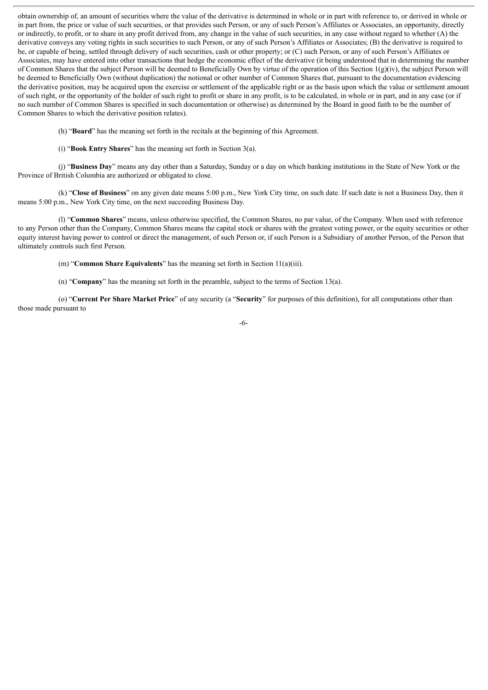obtain ownership of, an amount of securities where the value of the derivative is determined in whole or in part with reference to, or derived in whole or in part from, the price or value of such securities, or that provides such Person, or any of such Person's Affiliates or Associates, an opportunity, directly or indirectly, to profit, or to share in any profit derived from, any change in the value of such securities, in any case without regard to whether (A) the derivative conveys any voting rights in such securities to such Person, or any of such Person's Affiliates or Associates; (B) the derivative is required to be, or capable of being, settled through delivery of such securities, cash or other property; or (C) such Person, or any of such Person's Affiliates or Associates, may have entered into other transactions that hedge the economic effect of the derivative (it being understood that in determining the number of Common Shares that the subject Person will be deemed to Beneficially Own by virtue of the operation of this Section  $1(g)(iv)$ , the subject Person will be deemed to Beneficially Own (without duplication) the notional or other number of Common Shares that, pursuant to the documentation evidencing the derivative position, may be acquired upon the exercise or settlement of the applicable right or as the basis upon which the value or settlement amount of such right, or the opportunity of the holder of such right to profit or share in any profit, is to be calculated, in whole or in part, and in any case (or if no such number of Common Shares is specified in such documentation or otherwise) as determined by the Board in good faith to be the number of Common Shares to which the derivative position relates).

(h) "**Board**" has the meaning set forth in the recitals at the beginning of this Agreement.

(i) "**Book Entry Shares**" has the meaning set forth in Section 3(a).

(j) "**Business Day**" means any day other than a Saturday, Sunday or a day on which banking institutions in the State of New York or the Province of British Columbia are authorized or obligated to close.

(k) "**Close of Business**" on any given date means 5:00 p.m., New York City time, on such date. If such date is not a Business Day, then it means 5:00 p.m., New York City time, on the next succeeding Business Day.

(l) "**Common Shares**" means, unless otherwise specified, the Common Shares, no par value, of the Company. When used with reference to any Person other than the Company, Common Shares means the capital stock or shares with the greatest voting power, or the equity securities or other equity interest having power to control or direct the management, of such Person or, if such Person is a Subsidiary of another Person, of the Person that ultimately controls such first Person.

(m) "**Common Share Equivalents**" has the meaning set forth in Section 11(a)(iii).

(n) "**Company**" has the meaning set forth in the preamble, subject to the terms of Section 13(a).

(o) "**Current Per Share Market Price**" of any security (a "**Security**" for purposes of this definition), for all computations other than those made pursuant to

-6-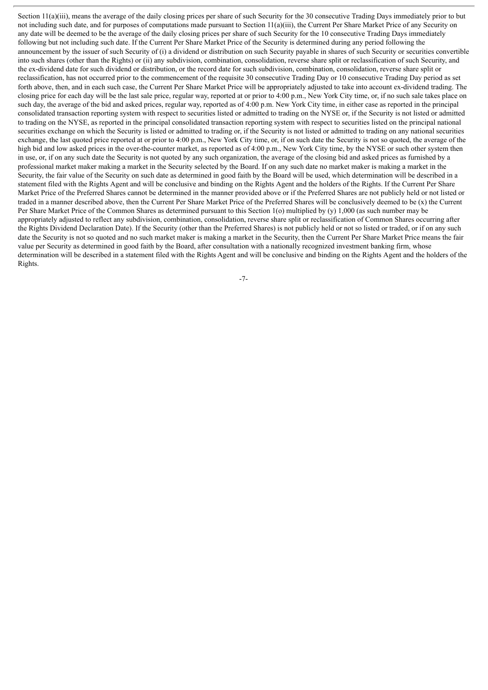Section 11(a)(iii), means the average of the daily closing prices per share of such Security for the 30 consecutive Trading Days immediately prior to but not including such date, and for purposes of computations made pursuant to Section 11(a)(iii), the Current Per Share Market Price of any Security on any date will be deemed to be the average of the daily closing prices per share of such Security for the 10 consecutive Trading Days immediately following but not including such date. If the Current Per Share Market Price of the Security is determined during any period following the announcement by the issuer of such Security of (i) a dividend or distribution on such Security payable in shares of such Security or securities convertible into such shares (other than the Rights) or (ii) any subdivision, combination, consolidation, reverse share split or reclassification of such Security, and the ex-dividend date for such dividend or distribution, or the record date for such subdivision, combination, consolidation, reverse share split or reclassification, has not occurred prior to the commencement of the requisite 30 consecutive Trading Day or 10 consecutive Trading Day period as set forth above, then, and in each such case, the Current Per Share Market Price will be appropriately adjusted to take into account ex-dividend trading. The closing price for each day will be the last sale price, regular way, reported at or prior to 4:00 p.m., New York City time, or, if no such sale takes place on such day, the average of the bid and asked prices, regular way, reported as of 4:00 p.m. New York City time, in either case as reported in the principal consolidated transaction reporting system with respect to securities listed or admitted to trading on the NYSE or, if the Security is not listed or admitted to trading on the NYSE, as reported in the principal consolidated transaction reporting system with respect to securities listed on the principal national securities exchange on which the Security is listed or admitted to trading or, if the Security is not listed or admitted to trading on any national securities exchange, the last quoted price reported at or prior to 4:00 p.m., New York City time, or, if on such date the Security is not so quoted, the average of the high bid and low asked prices in the over-the-counter market, as reported as of 4:00 p.m., New York City time, by the NYSE or such other system then in use, or, if on any such date the Security is not quoted by any such organization, the average of the closing bid and asked prices as furnished by a professional market maker making a market in the Security selected by the Board. If on any such date no market maker is making a market in the Security, the fair value of the Security on such date as determined in good faith by the Board will be used, which determination will be described in a statement filed with the Rights Agent and will be conclusive and binding on the Rights Agent and the holders of the Rights. If the Current Per Share Market Price of the Preferred Shares cannot be determined in the manner provided above or if the Preferred Shares are not publicly held or not listed or traded in a manner described above, then the Current Per Share Market Price of the Preferred Shares will be conclusively deemed to be (x) the Current Per Share Market Price of the Common Shares as determined pursuant to this Section 1(o) multiplied by (y) 1,000 (as such number may be appropriately adjusted to reflect any subdivision, combination, consolidation, reverse share split or reclassification of Common Shares occurring after the Rights Dividend Declaration Date). If the Security (other than the Preferred Shares) is not publicly held or not so listed or traded, or if on any such date the Security is not so quoted and no such market maker is making a market in the Security, then the Current Per Share Market Price means the fair value per Security as determined in good faith by the Board, after consultation with a nationally recognized investment banking firm, whose determination will be described in a statement filed with the Rights Agent and will be conclusive and binding on the Rights Agent and the holders of the Rights.

-7-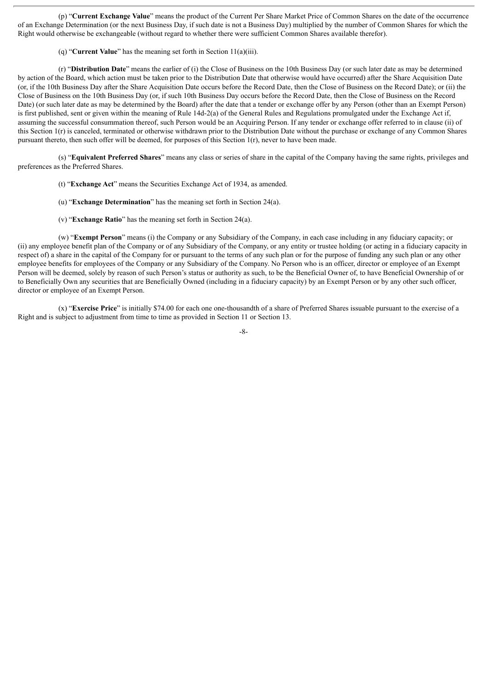(p) "**Current Exchange Value**" means the product of the Current Per Share Market Price of Common Shares on the date of the occurrence of an Exchange Determination (or the next Business Day, if such date is not a Business Day) multiplied by the number of Common Shares for which the Right would otherwise be exchangeable (without regard to whether there were sufficient Common Shares available therefor).

(q) "**Current Value**" has the meaning set forth in Section 11(a)(iii).

(r) "**Distribution Date**" means the earlier of (i) the Close of Business on the 10th Business Day (or such later date as may be determined by action of the Board, which action must be taken prior to the Distribution Date that otherwise would have occurred) after the Share Acquisition Date (or, if the 10th Business Day after the Share Acquisition Date occurs before the Record Date, then the Close of Business on the Record Date); or (ii) the Close of Business on the 10th Business Day (or, if such 10th Business Day occurs before the Record Date, then the Close of Business on the Record Date) (or such later date as may be determined by the Board) after the date that a tender or exchange offer by any Person (other than an Exempt Person) is first published, sent or given within the meaning of Rule 14d-2(a) of the General Rules and Regulations promulgated under the Exchange Act if, assuming the successful consummation thereof, such Person would be an Acquiring Person. If any tender or exchange offer referred to in clause (ii) of this Section 1(r) is canceled, terminated or otherwise withdrawn prior to the Distribution Date without the purchase or exchange of any Common Shares pursuant thereto, then such offer will be deemed, for purposes of this Section 1(r), never to have been made.

(s) "**Equivalent Preferred Shares**" means any class or series of share in the capital of the Company having the same rights, privileges and preferences as the Preferred Shares.

- (t) "**Exchange Act**" means the Securities Exchange Act of 1934, as amended.
- (u) "**Exchange Determination**" has the meaning set forth in Section 24(a).
- (v) "**Exchange Ratio**" has the meaning set forth in Section 24(a).

(w) "**Exempt Person**" means (i) the Company or any Subsidiary of the Company, in each case including in any fiduciary capacity; or (ii) any employee benefit plan of the Company or of any Subsidiary of the Company, or any entity or trustee holding (or acting in a fiduciary capacity in respect of) a share in the capital of the Company for or pursuant to the terms of any such plan or for the purpose of funding any such plan or any other employee benefits for employees of the Company or any Subsidiary of the Company. No Person who is an officer, director or employee of an Exempt Person will be deemed, solely by reason of such Person's status or authority as such, to be the Beneficial Owner of, to have Beneficial Ownership of or to Beneficially Own any securities that are Beneficially Owned (including in a fiduciary capacity) by an Exempt Person or by any other such officer, director or employee of an Exempt Person.

(x) "**Exercise Price**" is initially \$74.00 for each one one-thousandth of a share of Preferred Shares issuable pursuant to the exercise of a Right and is subject to adjustment from time to time as provided in Section 11 or Section 13.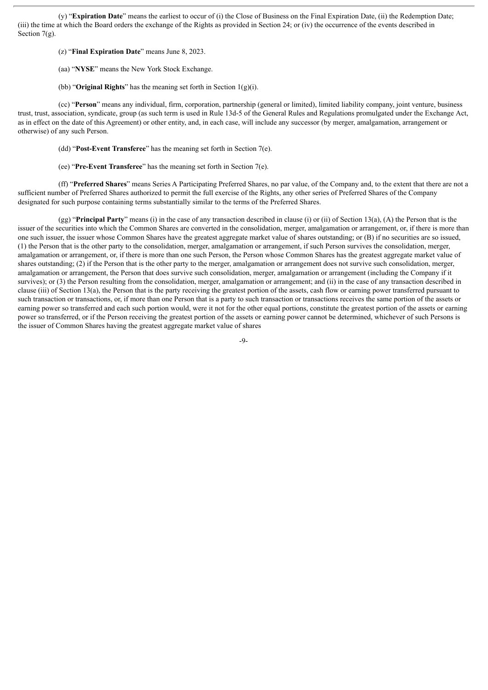(y) "**Expiration Date**" means the earliest to occur of (i) the Close of Business on the Final Expiration Date, (ii) the Redemption Date; (iii) the time at which the Board orders the exchange of the Rights as provided in Section 24; or (iv) the occurrence of the events described in Section 7(g).

- (z) "**Final Expiration Date**" means June 8, 2023.
- (aa) "**NYSE**" means the New York Stock Exchange.
- (bb) "**Original Rights**" has the meaning set forth in Section 1(g)(i).

(cc) "**Person**" means any individual, firm, corporation, partnership (general or limited), limited liability company, joint venture, business trust, trust, association, syndicate, group (as such term is used in Rule 13d-5 of the General Rules and Regulations promulgated under the Exchange Act, as in effect on the date of this Agreement) or other entity, and, in each case, will include any successor (by merger, amalgamation, arrangement or otherwise) of any such Person.

- (dd) "**Post-Event Transferee**" has the meaning set forth in Section 7(e).
- (ee) "**Pre-Event Transferee**" has the meaning set forth in Section 7(e).

(ff) "**Preferred Shares**" means Series A Participating Preferred Shares, no par value, of the Company and, to the extent that there are not a sufficient number of Preferred Shares authorized to permit the full exercise of the Rights, any other series of Preferred Shares of the Company designated for such purpose containing terms substantially similar to the terms of the Preferred Shares.

(gg) "**Principal Party**" means (i) in the case of any transaction described in clause (i) or (ii) of Section 13(a), (A) the Person that is the issuer of the securities into which the Common Shares are converted in the consolidation, merger, amalgamation or arrangement, or, if there is more than one such issuer, the issuer whose Common Shares have the greatest aggregate market value of shares outstanding; or (B) if no securities are so issued, (1) the Person that is the other party to the consolidation, merger, amalgamation or arrangement, if such Person survives the consolidation, merger, amalgamation or arrangement, or, if there is more than one such Person, the Person whose Common Shares has the greatest aggregate market value of shares outstanding; (2) if the Person that is the other party to the merger, amalgamation or arrangement does not survive such consolidation, merger, amalgamation or arrangement, the Person that does survive such consolidation, merger, amalgamation or arrangement (including the Company if it survives); or (3) the Person resulting from the consolidation, merger, amalgamation or arrangement; and (ii) in the case of any transaction described in clause (iii) of Section 13(a), the Person that is the party receiving the greatest portion of the assets, cash flow or earning power transferred pursuant to such transaction or transactions, or, if more than one Person that is a party to such transaction or transactions receives the same portion of the assets or earning power so transferred and each such portion would, were it not for the other equal portions, constitute the greatest portion of the assets or earning power so transferred, or if the Person receiving the greatest portion of the assets or earning power cannot be determined, whichever of such Persons is the issuer of Common Shares having the greatest aggregate market value of shares

-9-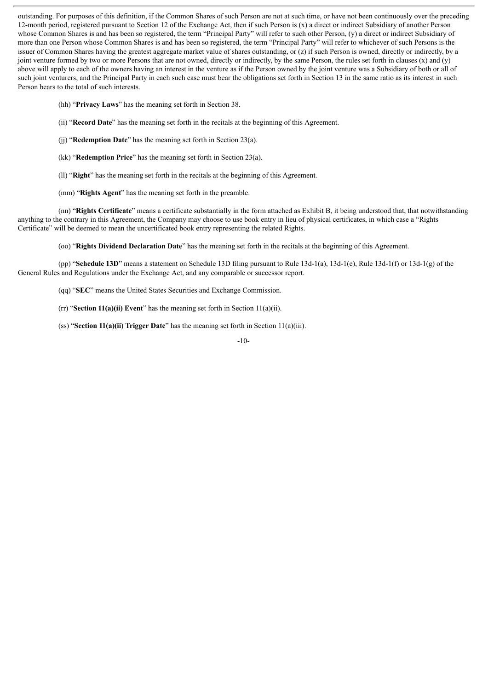outstanding. For purposes of this definition, if the Common Shares of such Person are not at such time, or have not been continuously over the preceding 12-month period, registered pursuant to Section 12 of the Exchange Act, then if such Person is (x) a direct or indirect Subsidiary of another Person whose Common Shares is and has been so registered, the term "Principal Party" will refer to such other Person, (y) a direct or indirect Subsidiary of more than one Person whose Common Shares is and has been so registered, the term "Principal Party" will refer to whichever of such Persons is the issuer of Common Shares having the greatest aggregate market value of shares outstanding, or (z) if such Person is owned, directly or indirectly, by a joint venture formed by two or more Persons that are not owned, directly or indirectly, by the same Person, the rules set forth in clauses  $(x)$  and  $(y)$ above will apply to each of the owners having an interest in the venture as if the Person owned by the joint venture was a Subsidiary of both or all of such joint venturers, and the Principal Party in each such case must bear the obligations set forth in Section 13 in the same ratio as its interest in such Person bears to the total of such interests.

- (hh) "**Privacy Laws**" has the meaning set forth in Section 38.
- (ii) "**Record Date**" has the meaning set forth in the recitals at the beginning of this Agreement.
- (jj) "**Redemption Date**" has the meaning set forth in Section 23(a).
- (kk) "**Redemption Price**" has the meaning set forth in Section 23(a).
- (ll) "**Right**" has the meaning set forth in the recitals at the beginning of this Agreement.
- (mm) "**Rights Agent**" has the meaning set forth in the preamble.

(nn) "**Rights Certificate**" means a certificate substantially in the form attached as Exhibit B, it being understood that, that notwithstanding anything to the contrary in this Agreement, the Company may choose to use book entry in lieu of physical certificates, in which case a "Rights Certificate" will be deemed to mean the uncertificated book entry representing the related Rights.

(oo) "**Rights Dividend Declaration Date**" has the meaning set forth in the recitals at the beginning of this Agreement.

(pp) "**Schedule 13D**" means a statement on Schedule 13D filing pursuant to Rule 13d-1(a), 13d-1(e), Rule 13d-1(f) or 13d-1(g) of the General Rules and Regulations under the Exchange Act, and any comparable or successor report.

(qq) "**SEC**" means the United States Securities and Exchange Commission.

- (rr) "**Section 11(a)(ii) Event**" has the meaning set forth in Section 11(a)(ii).
- (ss) "**Section 11(a)(ii) Trigger Date**" has the meaning set forth in Section 11(a)(iii).

-10-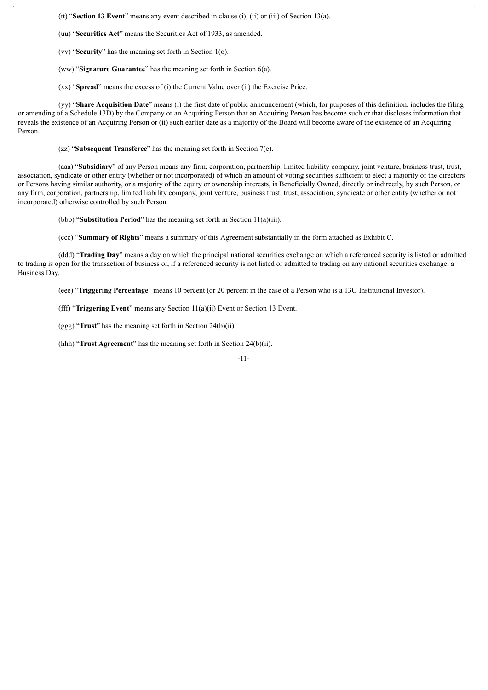(tt) "**Section 13 Event**" means any event described in clause (i), (ii) or (iii) of Section 13(a).

(uu) "**Securities Act**" means the Securities Act of 1933, as amended.

(vv) "**Security**" has the meaning set forth in Section 1(o).

(ww) "**Signature Guarantee**" has the meaning set forth in Section 6(a).

(xx) "**Spread**" means the excess of (i) the Current Value over (ii) the Exercise Price.

(yy) "**Share Acquisition Date**" means (i) the first date of public announcement (which, for purposes of this definition, includes the filing or amending of a Schedule 13D) by the Company or an Acquiring Person that an Acquiring Person has become such or that discloses information that reveals the existence of an Acquiring Person or (ii) such earlier date as a majority of the Board will become aware of the existence of an Acquiring Person.

(zz) "**Subsequent Transferee**" has the meaning set forth in Section 7(e).

(aaa) "**Subsidiary**" of any Person means any firm, corporation, partnership, limited liability company, joint venture, business trust, trust, association, syndicate or other entity (whether or not incorporated) of which an amount of voting securities sufficient to elect a majority of the directors or Persons having similar authority, or a majority of the equity or ownership interests, is Beneficially Owned, directly or indirectly, by such Person, or any firm, corporation, partnership, limited liability company, joint venture, business trust, trust, association, syndicate or other entity (whether or not incorporated) otherwise controlled by such Person.

(bbb) "**Substitution Period**" has the meaning set forth in Section 11(a)(iii).

(ccc) "**Summary of Rights**" means a summary of this Agreement substantially in the form attached as Exhibit C.

(ddd) "**Trading Day**" means a day on which the principal national securities exchange on which a referenced security is listed or admitted to trading is open for the transaction of business or, if a referenced security is not listed or admitted to trading on any national securities exchange, a Business Day.

(eee) "**Triggering Percentage**" means 10 percent (or 20 percent in the case of a Person who is a 13G Institutional Investor).

(fff) "**Triggering Event**" means any Section 11(a)(ii) Event or Section 13 Event.

(ggg) "**Trust**" has the meaning set forth in Section 24(b)(ii).

(hhh) "**Trust Agreement**" has the meaning set forth in Section 24(b)(ii).

-11-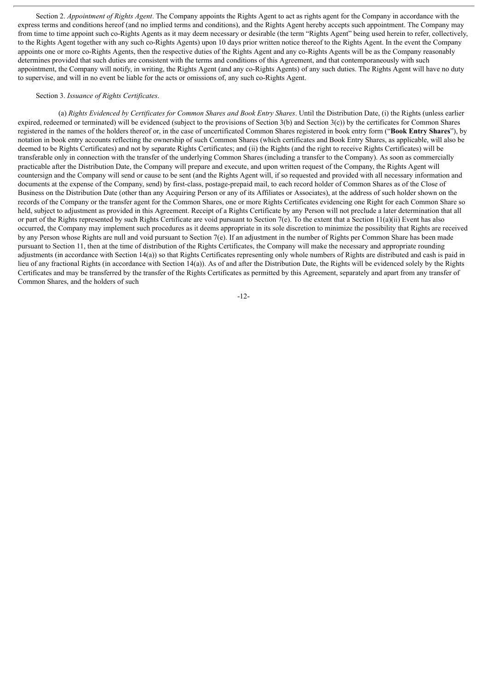Section 2. *Appointment of Rights Agent*. The Company appoints the Rights Agent to act as rights agent for the Company in accordance with the express terms and conditions hereof (and no implied terms and conditions), and the Rights Agent hereby accepts such appointment. The Company may from time to time appoint such co-Rights Agents as it may deem necessary or desirable (the term "Rights Agent" being used herein to refer, collectively, to the Rights Agent together with any such co-Rights Agents) upon 10 days prior written notice thereof to the Rights Agent. In the event the Company appoints one or more co-Rights Agents, then the respective duties of the Rights Agent and any co-Rights Agents will be as the Company reasonably determines provided that such duties are consistent with the terms and conditions of this Agreement, and that contemporaneously with such appointment, the Company will notify, in writing, the Rights Agent (and any co-Rights Agents) of any such duties. The Rights Agent will have no duty to supervise, and will in no event be liable for the acts or omissions of, any such co-Rights Agent.

#### Section 3. *Issuance of Rights Certificates*.

(a) *Rights Evidenced by Certificates for Common Shares and Book Entry Shares*. Until the Distribution Date, (i) the Rights (unless earlier expired, redeemed or terminated) will be evidenced (subject to the provisions of Section 3(b) and Section 3(c)) by the certificates for Common Shares registered in the names of the holders thereof or, in the case of uncertificated Common Shares registered in book entry form ("**Book Entry Shares**"), by notation in book entry accounts reflecting the ownership of such Common Shares (which certificates and Book Entry Shares, as applicable, will also be deemed to be Rights Certificates) and not by separate Rights Certificates; and (ii) the Rights (and the right to receive Rights Certificates) will be transferable only in connection with the transfer of the underlying Common Shares (including a transfer to the Company). As soon as commercially practicable after the Distribution Date, the Company will prepare and execute, and upon written request of the Company, the Rights Agent will countersign and the Company will send or cause to be sent (and the Rights Agent will, if so requested and provided with all necessary information and documents at the expense of the Company, send) by first-class, postage-prepaid mail, to each record holder of Common Shares as of the Close of Business on the Distribution Date (other than any Acquiring Person or any of its Affiliates or Associates), at the address of such holder shown on the records of the Company or the transfer agent for the Common Shares, one or more Rights Certificates evidencing one Right for each Common Share so held, subject to adjustment as provided in this Agreement. Receipt of a Rights Certificate by any Person will not preclude a later determination that all or part of the Rights represented by such Rights Certificate are void pursuant to Section 7(e). To the extent that a Section 11(a)(ii) Event has also occurred, the Company may implement such procedures as it deems appropriate in its sole discretion to minimize the possibility that Rights are received by any Person whose Rights are null and void pursuant to Section 7(e). If an adjustment in the number of Rights per Common Share has been made pursuant to Section 11, then at the time of distribution of the Rights Certificates, the Company will make the necessary and appropriate rounding adjustments (in accordance with Section 14(a)) so that Rights Certificates representing only whole numbers of Rights are distributed and cash is paid in lieu of any fractional Rights (in accordance with Section 14(a)). As of and after the Distribution Date, the Rights will be evidenced solely by the Rights Certificates and may be transferred by the transfer of the Rights Certificates as permitted by this Agreement, separately and apart from any transfer of Common Shares, and the holders of such

-12-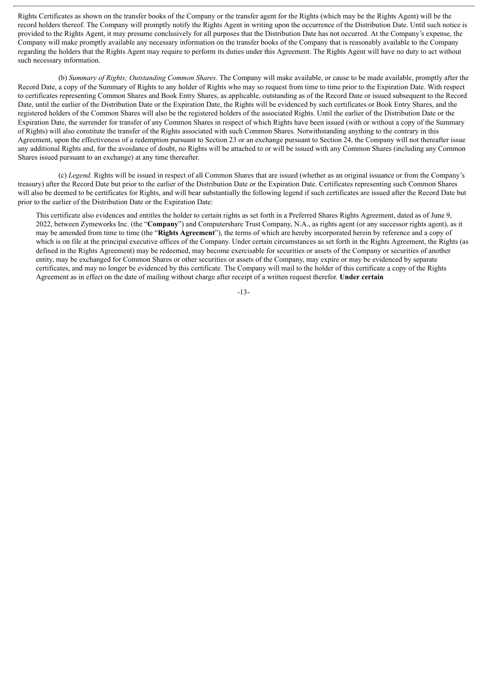Rights Certificates as shown on the transfer books of the Company or the transfer agent for the Rights (which may be the Rights Agent) will be the record holders thereof. The Company will promptly notify the Rights Agent in writing upon the occurrence of the Distribution Date. Until such notice is provided to the Rights Agent, it may presume conclusively for all purposes that the Distribution Date has not occurred. At the Company's expense, the Company will make promptly available any necessary information on the transfer books of the Company that is reasonably available to the Company regarding the holders that the Rights Agent may require to perform its duties under this Agreement. The Rights Agent will have no duty to act without such necessary information.

(b) *Summary of Rights; Outstanding Common Shares*. The Company will make available, or cause to be made available, promptly after the Record Date, a copy of the Summary of Rights to any holder of Rights who may so request from time to time prior to the Expiration Date. With respect to certificates representing Common Shares and Book Entry Shares, as applicable, outstanding as of the Record Date or issued subsequent to the Record Date, until the earlier of the Distribution Date or the Expiration Date, the Rights will be evidenced by such certificates or Book Entry Shares, and the registered holders of the Common Shares will also be the registered holders of the associated Rights. Until the earlier of the Distribution Date or the Expiration Date, the surrender for transfer of any Common Shares in respect of which Rights have been issued (with or without a copy of the Summary of Rights) will also constitute the transfer of the Rights associated with such Common Shares. Notwithstanding anything to the contrary in this Agreement, upon the effectiveness of a redemption pursuant to Section 23 or an exchange pursuant to Section 24, the Company will not thereafter issue any additional Rights and, for the avoidance of doubt, no Rights will be attached to or will be issued with any Common Shares (including any Common Shares issued pursuant to an exchange) at any time thereafter.

(c) *Legend*. Rights will be issued in respect of all Common Shares that are issued (whether as an original issuance or from the Company's treasury) after the Record Date but prior to the earlier of the Distribution Date or the Expiration Date. Certificates representing such Common Shares will also be deemed to be certificates for Rights, and will bear substantially the following legend if such certificates are issued after the Record Date but prior to the earlier of the Distribution Date or the Expiration Date:

This certificate also evidences and entitles the holder to certain rights as set forth in a Preferred Shares Rights Agreement, dated as of June 9, 2022, between Zymeworks Inc. (the "**Company**") and Computershare Trust Company, N.A., as rights agent (or any successor rights agent), as it may be amended from time to time (the "**Rights Agreement**"), the terms of which are hereby incorporated herein by reference and a copy of which is on file at the principal executive offices of the Company. Under certain circumstances as set forth in the Rights Agreement, the Rights (as defined in the Rights Agreement) may be redeemed, may become exercisable for securities or assets of the Company or securities of another entity, may be exchanged for Common Shares or other securities or assets of the Company, may expire or may be evidenced by separate certificates, and may no longer be evidenced by this certificate. The Company will mail to the holder of this certificate a copy of the Rights Agreement as in effect on the date of mailing without charge after receipt of a written request therefor. **Under certain**

-13-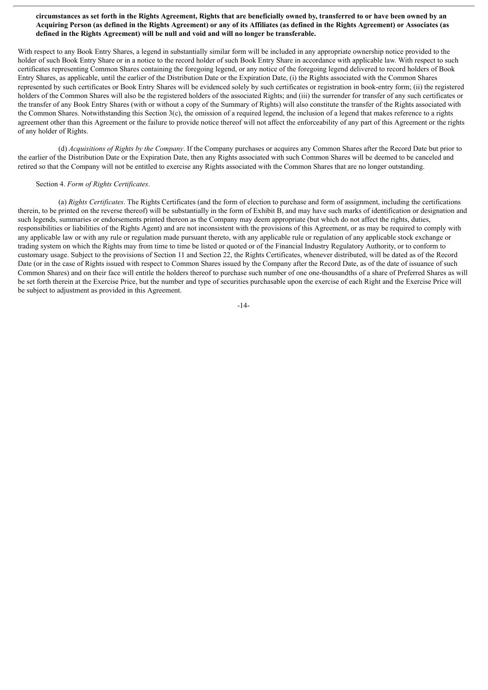### circumstances as set forth in the Rights Agreement, Rights that are beneficially owned by, transferred to or have been owned by an Acquiring Person (as defined in the Rights Agreement) or any of its Affiliates (as defined in the Rights Agreement) or Associates (as **defined in the Rights Agreement) will be null and void and will no longer be transferable.**

With respect to any Book Entry Shares, a legend in substantially similar form will be included in any appropriate ownership notice provided to the holder of such Book Entry Share or in a notice to the record holder of such Book Entry Share in accordance with applicable law. With respect to such certificates representing Common Shares containing the foregoing legend, or any notice of the foregoing legend delivered to record holders of Book Entry Shares, as applicable, until the earlier of the Distribution Date or the Expiration Date, (i) the Rights associated with the Common Shares represented by such certificates or Book Entry Shares will be evidenced solely by such certificates or registration in book-entry form; (ii) the registered holders of the Common Shares will also be the registered holders of the associated Rights; and (iii) the surrender for transfer of any such certificates or the transfer of any Book Entry Shares (with or without a copy of the Summary of Rights) will also constitute the transfer of the Rights associated with the Common Shares. Notwithstanding this Section 3(c), the omission of a required legend, the inclusion of a legend that makes reference to a rights agreement other than this Agreement or the failure to provide notice thereof will not affect the enforceability of any part of this Agreement or the rights of any holder of Rights.

(d) *Acquisitions of Rights by the Company*. If the Company purchases or acquires any Common Shares after the Record Date but prior to the earlier of the Distribution Date or the Expiration Date, then any Rights associated with such Common Shares will be deemed to be canceled and retired so that the Company will not be entitled to exercise any Rights associated with the Common Shares that are no longer outstanding.

### Section 4. *Form of Rights Certificates*.

(a) *Rights Certificates*. The Rights Certificates (and the form of election to purchase and form of assignment, including the certifications therein, to be printed on the reverse thereof) will be substantially in the form of Exhibit B, and may have such marks of identification or designation and such legends, summaries or endorsements printed thereon as the Company may deem appropriate (but which do not affect the rights, duties, responsibilities or liabilities of the Rights Agent) and are not inconsistent with the provisions of this Agreement, or as may be required to comply with any applicable law or with any rule or regulation made pursuant thereto, with any applicable rule or regulation of any applicable stock exchange or trading system on which the Rights may from time to time be listed or quoted or of the Financial Industry Regulatory Authority, or to conform to customary usage. Subject to the provisions of Section 11 and Section 22, the Rights Certificates, whenever distributed, will be dated as of the Record Date (or in the case of Rights issued with respect to Common Shares issued by the Company after the Record Date, as of the date of issuance of such Common Shares) and on their face will entitle the holders thereof to purchase such number of one one-thousandths of a share of Preferred Shares as will be set forth therein at the Exercise Price, but the number and type of securities purchasable upon the exercise of each Right and the Exercise Price will be subject to adjustment as provided in this Agreement.

-14-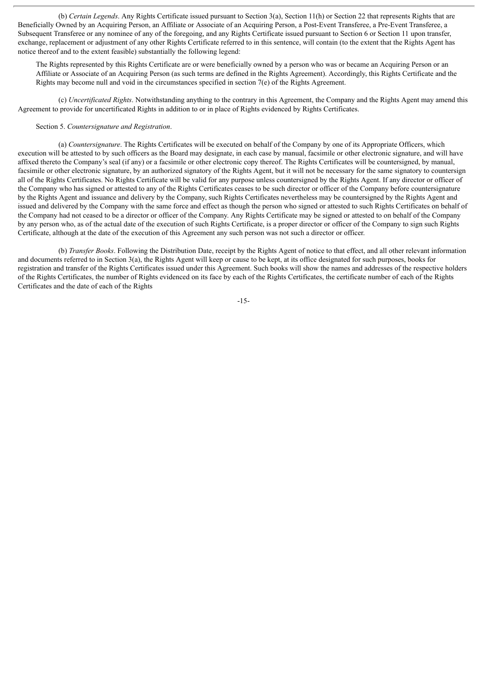(b) *Certain Legends*. Any Rights Certificate issued pursuant to Section 3(a), Section 11(h) or Section 22 that represents Rights that are Beneficially Owned by an Acquiring Person, an Affiliate or Associate of an Acquiring Person, a Post-Event Transferee, a Pre-Event Transferee, a Subsequent Transferee or any nominee of any of the foregoing, and any Rights Certificate issued pursuant to Section 6 or Section 11 upon transfer, exchange, replacement or adjustment of any other Rights Certificate referred to in this sentence, will contain (to the extent that the Rights Agent has notice thereof and to the extent feasible) substantially the following legend:

The Rights represented by this Rights Certificate are or were beneficially owned by a person who was or became an Acquiring Person or an Affiliate or Associate of an Acquiring Person (as such terms are defined in the Rights Agreement). Accordingly, this Rights Certificate and the Rights may become null and void in the circumstances specified in section 7(e) of the Rights Agreement.

(c) *Uncertificated Rights*. Notwithstanding anything to the contrary in this Agreement, the Company and the Rights Agent may amend this Agreement to provide for uncertificated Rights in addition to or in place of Rights evidenced by Rights Certificates.

#### Section 5. *Countersignature and Registration*.

(a) *Countersignature*. The Rights Certificates will be executed on behalf of the Company by one of its Appropriate Officers, which execution will be attested to by such officers as the Board may designate, in each case by manual, facsimile or other electronic signature, and will have affixed thereto the Company's seal (if any) or a facsimile or other electronic copy thereof. The Rights Certificates will be countersigned, by manual, facsimile or other electronic signature, by an authorized signatory of the Rights Agent, but it will not be necessary for the same signatory to countersign all of the Rights Certificates. No Rights Certificate will be valid for any purpose unless countersigned by the Rights Agent. If any director or officer of the Company who has signed or attested to any of the Rights Certificates ceases to be such director or officer of the Company before countersignature by the Rights Agent and issuance and delivery by the Company, such Rights Certificates nevertheless may be countersigned by the Rights Agent and issued and delivered by the Company with the same force and effect as though the person who signed or attested to such Rights Certificates on behalf of the Company had not ceased to be a director or officer of the Company. Any Rights Certificate may be signed or attested to on behalf of the Company by any person who, as of the actual date of the execution of such Rights Certificate, is a proper director or officer of the Company to sign such Rights Certificate, although at the date of the execution of this Agreement any such person was not such a director or officer.

(b) *Transfer Books*. Following the Distribution Date, receipt by the Rights Agent of notice to that effect, and all other relevant information and documents referred to in Section 3(a), the Rights Agent will keep or cause to be kept, at its office designated for such purposes, books for registration and transfer of the Rights Certificates issued under this Agreement. Such books will show the names and addresses of the respective holders of the Rights Certificates, the number of Rights evidenced on its face by each of the Rights Certificates, the certificate number of each of the Rights Certificates and the date of each of the Rights

-15-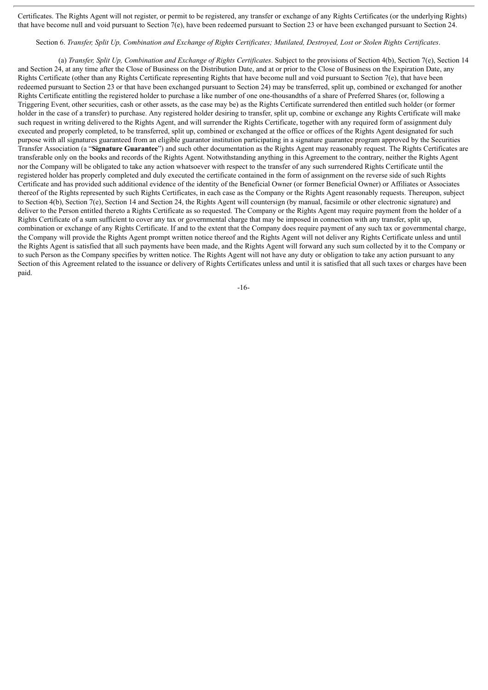Certificates. The Rights Agent will not register, or permit to be registered, any transfer or exchange of any Rights Certificates (or the underlying Rights) that have become null and void pursuant to Section 7(e), have been redeemed pursuant to Section 23 or have been exchanged pursuant to Section 24.

### Section 6. Transfer. Split Up. Combination and Exchange of Rights Certificates: Mutilated. Destroved. Lost or Stolen Rights Certificates.

(a) *Transfer, Split Up, Combination and Exchange of Rights Certificates*. Subject to the provisions of Section 4(b), Section 7(e), Section 14 and Section 24, at any time after the Close of Business on the Distribution Date, and at or prior to the Close of Business on the Expiration Date, any Rights Certificate (other than any Rights Certificate representing Rights that have become null and void pursuant to Section 7(e), that have been redeemed pursuant to Section 23 or that have been exchanged pursuant to Section 24) may be transferred, split up, combined or exchanged for another Rights Certificate entitling the registered holder to purchase a like number of one one-thousandths of a share of Preferred Shares (or, following a Triggering Event, other securities, cash or other assets, as the case may be) as the Rights Certificate surrendered then entitled such holder (or former holder in the case of a transfer) to purchase. Any registered holder desiring to transfer, split up, combine or exchange any Rights Certificate will make such request in writing delivered to the Rights Agent, and will surrender the Rights Certificate, together with any required form of assignment duly executed and properly completed, to be transferred, split up, combined or exchanged at the office or offices of the Rights Agent designated for such purpose with all signatures guaranteed from an eligible guarantor institution participating in a signature guarantee program approved by the Securities Transfer Association (a "**Signature Guarantee**") and such other documentation as the Rights Agent may reasonably request. The Rights Certificates are transferable only on the books and records of the Rights Agent. Notwithstanding anything in this Agreement to the contrary, neither the Rights Agent nor the Company will be obligated to take any action whatsoever with respect to the transfer of any such surrendered Rights Certificate until the registered holder has properly completed and duly executed the certificate contained in the form of assignment on the reverse side of such Rights Certificate and has provided such additional evidence of the identity of the Beneficial Owner (or former Beneficial Owner) or Affiliates or Associates thereof of the Rights represented by such Rights Certificates, in each case as the Company or the Rights Agent reasonably requests. Thereupon, subject to Section 4(b), Section 7(e), Section 14 and Section 24, the Rights Agent will countersign (by manual, facsimile or other electronic signature) and deliver to the Person entitled thereto a Rights Certificate as so requested. The Company or the Rights Agent may require payment from the holder of a Rights Certificate of a sum sufficient to cover any tax or governmental charge that may be imposed in connection with any transfer, split up, combination or exchange of any Rights Certificate. If and to the extent that the Company does require payment of any such tax or governmental charge, the Company will provide the Rights Agent prompt written notice thereof and the Rights Agent will not deliver any Rights Certificate unless and until the Rights Agent is satisfied that all such payments have been made, and the Rights Agent will forward any such sum collected by it to the Company or to such Person as the Company specifies by written notice. The Rights Agent will not have any duty or obligation to take any action pursuant to any Section of this Agreement related to the issuance or delivery of Rights Certificates unless and until it is satisfied that all such taxes or charges have been paid.

-16-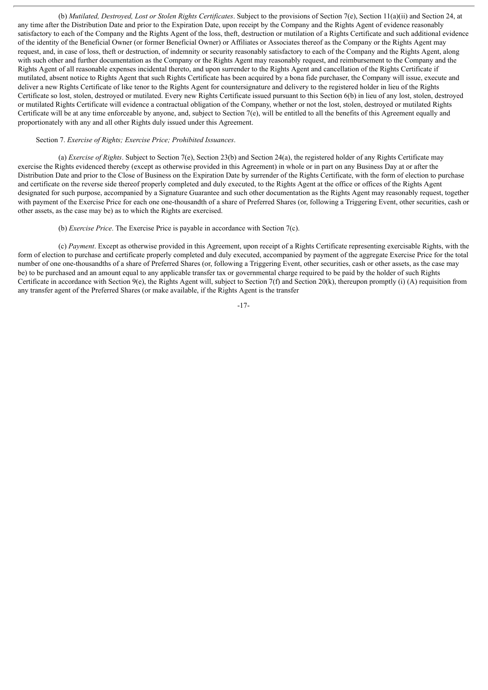(b) *Mutilated, Destroyed, Lost or Stolen Rights Certificates*. Subject to the provisions of Section 7(e), Section 11(a)(ii) and Section 24, at any time after the Distribution Date and prior to the Expiration Date, upon receipt by the Company and the Rights Agent of evidence reasonably satisfactory to each of the Company and the Rights Agent of the loss, theft, destruction or mutilation of a Rights Certificate and such additional evidence of the identity of the Beneficial Owner (or former Beneficial Owner) or Affiliates or Associates thereof as the Company or the Rights Agent may request, and, in case of loss, theft or destruction, of indemnity or security reasonably satisfactory to each of the Company and the Rights Agent, along with such other and further documentation as the Company or the Rights Agent may reasonably request, and reimbursement to the Company and the Rights Agent of all reasonable expenses incidental thereto, and upon surrender to the Rights Agent and cancellation of the Rights Certificate if mutilated, absent notice to Rights Agent that such Rights Certificate has been acquired by a bona fide purchaser, the Company will issue, execute and deliver a new Rights Certificate of like tenor to the Rights Agent for countersignature and delivery to the registered holder in lieu of the Rights Certificate so lost, stolen, destroyed or mutilated. Every new Rights Certificate issued pursuant to this Section 6(b) in lieu of any lost, stolen, destroyed or mutilated Rights Certificate will evidence a contractual obligation of the Company, whether or not the lost, stolen, destroyed or mutilated Rights Certificate will be at any time enforceable by anyone, and, subject to Section 7(e), will be entitled to all the benefits of this Agreement equally and proportionately with any and all other Rights duly issued under this Agreement.

### Section 7. *Exercise of Rights; Exercise Price; Prohibited Issuances*.

(a) *Exercise of Rights*. Subject to Section 7(e), Section 23(b) and Section 24(a), the registered holder of any Rights Certificate may exercise the Rights evidenced thereby (except as otherwise provided in this Agreement) in whole or in part on any Business Day at or after the Distribution Date and prior to the Close of Business on the Expiration Date by surrender of the Rights Certificate, with the form of election to purchase and certificate on the reverse side thereof properly completed and duly executed, to the Rights Agent at the office or offices of the Rights Agent designated for such purpose, accompanied by a Signature Guarantee and such other documentation as the Rights Agent may reasonably request, together with payment of the Exercise Price for each one one-thousandth of a share of Preferred Shares (or, following a Triggering Event, other securities, cash or other assets, as the case may be) as to which the Rights are exercised.

### (b) *Exercise Price*. The Exercise Price is payable in accordance with Section 7(c).

(c) *Payment*. Except as otherwise provided in this Agreement, upon receipt of a Rights Certificate representing exercisable Rights, with the form of election to purchase and certificate properly completed and duly executed, accompanied by payment of the aggregate Exercise Price for the total number of one one-thousandths of a share of Preferred Shares (or, following a Triggering Event, other securities, cash or other assets, as the case may be) to be purchased and an amount equal to any applicable transfer tax or governmental charge required to be paid by the holder of such Rights Certificate in accordance with Section 9(e), the Rights Agent will, subject to Section 7(f) and Section 20(k), thereupon promptly (i) (A) requisition from any transfer agent of the Preferred Shares (or make available, if the Rights Agent is the transfer

-17-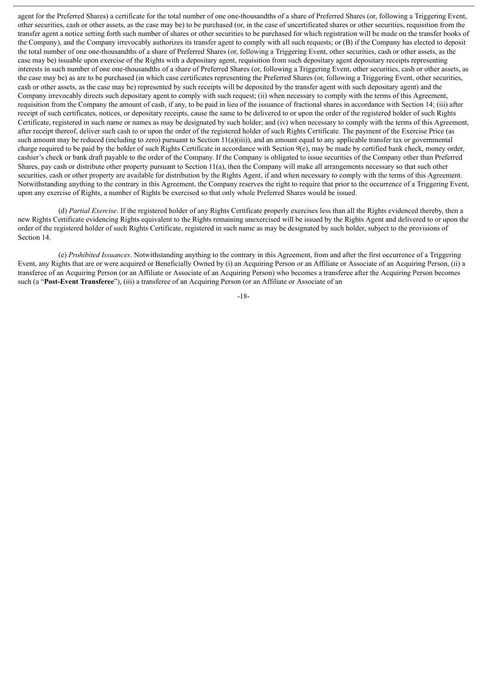agent for the Preferred Shares) a certificate for the total number of one one-thousandths of a share of Preferred Shares (or, following a Triggering Event, other securities, cash or other assets, as the case may be) to be purchased (or, in the case of uncertificated shares or other securities, requisition from the transfer agent a notice setting forth such number of shares or other securities to be purchased for which registration will be made on the transfer books of the Company), and the Company irrevocably authorizes its transfer agent to comply with all such requests; or (B) if the Company has elected to deposit the total number of one one-thousandths of a share of Preferred Shares (or, following a Triggering Event, other securities, cash or other assets, as the case may be) issuable upon exercise of the Rights with a depositary agent, requisition from such depositary agent depositary receipts representing interests in such number of one one-thousandths of a share of Preferred Shares (or, following a Triggering Event, other securities, cash or other assets, as the case may be) as are to be purchased (in which case certificates representing the Preferred Shares (or, following a Triggering Event, other securities, cash or other assets, as the case may be) represented by such receipts will be deposited by the transfer agent with such depositary agent) and the Company irrevocably directs such depositary agent to comply with such request; (ii) when necessary to comply with the terms of this Agreement, requisition from the Company the amount of cash, if any, to be paid in lieu of the issuance of fractional shares in accordance with Section 14; (iii) after receipt of such certificates, notices, or depositary receipts, cause the same to be delivered to or upon the order of the registered holder of such Rights Certificate, registered in such name or names as may be designated by such holder; and (iv) when necessary to comply with the terms of this Agreement, after receipt thereof, deliver such cash to or upon the order of the registered holder of such Rights Certificate. The payment of the Exercise Price (as such amount may be reduced (including to zero) pursuant to Section  $11(a)(iii)$ ), and an amount equal to any applicable transfer tax or governmental charge required to be paid by the holder of such Rights Certificate in accordance with Section 9(e), may be made by certified bank check, money order, cashier's check or bank draft payable to the order of the Company. If the Company is obligated to issue securities of the Company other than Preferred Shares, pay cash or distribute other property pursuant to Section 11(a), then the Company will make all arrangements necessary so that such other securities, cash or other property are available for distribution by the Rights Agent, if and when necessary to comply with the terms of this Agreement. Notwithstanding anything to the contrary in this Agreement, the Company reserves the right to require that prior to the occurrence of a Triggering Event, upon any exercise of Rights, a number of Rights be exercised so that only whole Preferred Shares would be issued.

(d) *Partial Exercise*. If the registered holder of any Rights Certificate properly exercises less than all the Rights evidenced thereby, then a new Rights Certificate evidencing Rights equivalent to the Rights remaining unexercised will be issued by the Rights Agent and delivered to or upon the order of the registered holder of such Rights Certificate, registered in such name as may be designated by such holder, subject to the provisions of Section 14.

(e) *Prohibited Issuances*. Notwithstanding anything to the contrary in this Agreement, from and after the first occurrence of a Triggering Event, any Rights that are or were acquired or Beneficially Owned by (i) an Acquiring Person or an Affiliate or Associate of an Acquiring Person, (ii) a transferee of an Acquiring Person (or an Affiliate or Associate of an Acquiring Person) who becomes a transferee after the Acquiring Person becomes such (a "**Post-Event Transferee**"), (iii) a transferee of an Acquiring Person (or an Affiliate or Associate of an

-18-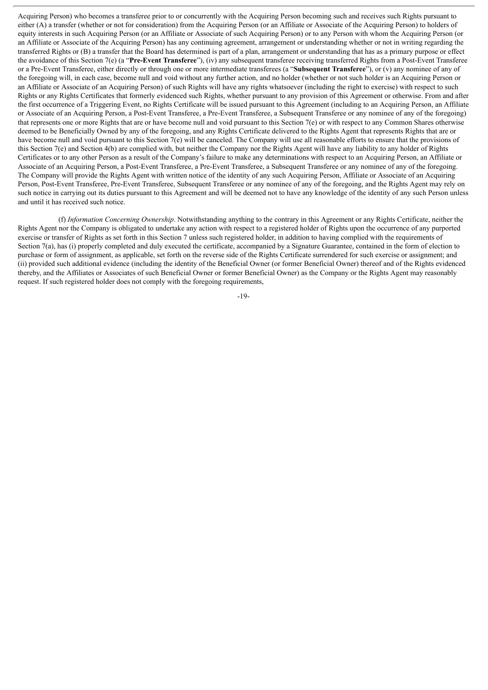Acquiring Person) who becomes a transferee prior to or concurrently with the Acquiring Person becoming such and receives such Rights pursuant to either (A) a transfer (whether or not for consideration) from the Acquiring Person (or an Affiliate or Associate of the Acquiring Person) to holders of equity interests in such Acquiring Person (or an Affiliate or Associate of such Acquiring Person) or to any Person with whom the Acquiring Person (or an Affiliate or Associate of the Acquiring Person) has any continuing agreement, arrangement or understanding whether or not in writing regarding the transferred Rights or (B) a transfer that the Board has determined is part of a plan, arrangement or understanding that has as a primary purpose or effect the avoidance of this Section 7(e) (a "**Pre-Event Transferee**"), (iv) any subsequent transferee receiving transferred Rights from a Post-Event Transferee or a Pre-Event Transferee, either directly or through one or more intermediate transferees (a "**Subsequent Transferee**"), or (v) any nominee of any of the foregoing will, in each case, become null and void without any further action, and no holder (whether or not such holder is an Acquiring Person or an Affiliate or Associate of an Acquiring Person) of such Rights will have any rights whatsoever (including the right to exercise) with respect to such Rights or any Rights Certificates that formerly evidenced such Rights, whether pursuant to any provision of this Agreement or otherwise. From and after the first occurrence of a Triggering Event, no Rights Certificate will be issued pursuant to this Agreement (including to an Acquiring Person, an Affiliate or Associate of an Acquiring Person, a Post-Event Transferee, a Pre-Event Transferee, a Subsequent Transferee or any nominee of any of the foregoing) that represents one or more Rights that are or have become null and void pursuant to this Section 7(e) or with respect to any Common Shares otherwise deemed to be Beneficially Owned by any of the foregoing, and any Rights Certificate delivered to the Rights Agent that represents Rights that are or have become null and void pursuant to this Section 7(e) will be canceled. The Company will use all reasonable efforts to ensure that the provisions of this Section 7(e) and Section 4(b) are complied with, but neither the Company nor the Rights Agent will have any liability to any holder of Rights Certificates or to any other Person as a result of the Company's failure to make any determinations with respect to an Acquiring Person, an Affiliate or Associate of an Acquiring Person, a Post-Event Transferee, a Pre-Event Transferee, a Subsequent Transferee or any nominee of any of the foregoing. The Company will provide the Rights Agent with written notice of the identity of any such Acquiring Person, Affiliate or Associate of an Acquiring Person, Post-Event Transferee, Pre-Event Transferee, Subsequent Transferee or any nominee of any of the foregoing, and the Rights Agent may rely on such notice in carrying out its duties pursuant to this Agreement and will be deemed not to have any knowledge of the identity of any such Person unless and until it has received such notice.

(f) *Information Concerning Ownership*. Notwithstanding anything to the contrary in this Agreement or any Rights Certificate, neither the Rights Agent nor the Company is obligated to undertake any action with respect to a registered holder of Rights upon the occurrence of any purported exercise or transfer of Rights as set forth in this Section 7 unless such registered holder, in addition to having complied with the requirements of Section 7(a), has (i) properly completed and duly executed the certificate, accompanied by a Signature Guarantee, contained in the form of election to purchase or form of assignment, as applicable, set forth on the reverse side of the Rights Certificate surrendered for such exercise or assignment; and (ii) provided such additional evidence (including the identity of the Beneficial Owner (or former Beneficial Owner) thereof and of the Rights evidenced thereby, and the Affiliates or Associates of such Beneficial Owner or former Beneficial Owner) as the Company or the Rights Agent may reasonably request. If such registered holder does not comply with the foregoing requirements,

-19-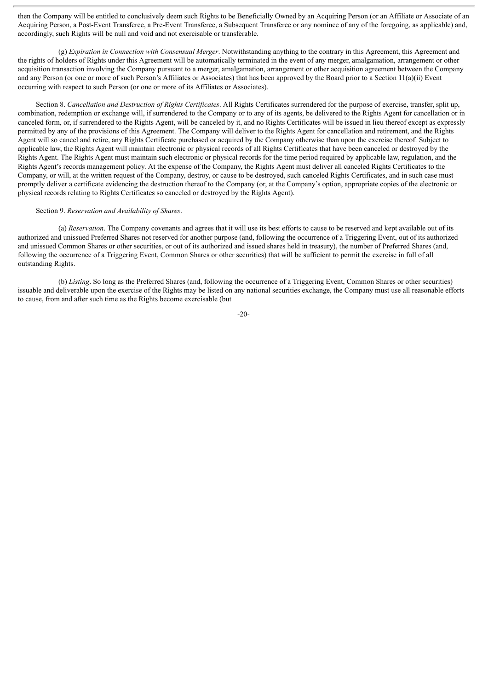then the Company will be entitled to conclusively deem such Rights to be Beneficially Owned by an Acquiring Person (or an Affiliate or Associate of an Acquiring Person, a Post-Event Transferee, a Pre-Event Transferee, a Subsequent Transferee or any nominee of any of the foregoing, as applicable) and, accordingly, such Rights will be null and void and not exercisable or transferable.

(g) *Expiration in Connection with Consensual Merger*. Notwithstanding anything to the contrary in this Agreement, this Agreement and the rights of holders of Rights under this Agreement will be automatically terminated in the event of any merger, amalgamation, arrangement or other acquisition transaction involving the Company pursuant to a merger, amalgamation, arrangement or other acquisition agreement between the Company and any Person (or one or more of such Person's Affiliates or Associates) that has been approved by the Board prior to a Section 11(a)(ii) Event occurring with respect to such Person (or one or more of its Affiliates or Associates).

Section 8. *Cancellation and Destruction of Rights Certificates*. All Rights Certificates surrendered for the purpose of exercise, transfer, split up, combination, redemption or exchange will, if surrendered to the Company or to any of its agents, be delivered to the Rights Agent for cancellation or in canceled form, or, if surrendered to the Rights Agent, will be canceled by it, and no Rights Certificates will be issued in lieu thereof except as expressly permitted by any of the provisions of this Agreement. The Company will deliver to the Rights Agent for cancellation and retirement, and the Rights Agent will so cancel and retire, any Rights Certificate purchased or acquired by the Company otherwise than upon the exercise thereof. Subject to applicable law, the Rights Agent will maintain electronic or physical records of all Rights Certificates that have been canceled or destroyed by the Rights Agent. The Rights Agent must maintain such electronic or physical records for the time period required by applicable law, regulation, and the Rights Agent's records management policy. At the expense of the Company, the Rights Agent must deliver all canceled Rights Certificates to the Company, or will, at the written request of the Company, destroy, or cause to be destroyed, such canceled Rights Certificates, and in such case must promptly deliver a certificate evidencing the destruction thereof to the Company (or, at the Company's option, appropriate copies of the electronic or physical records relating to Rights Certificates so canceled or destroyed by the Rights Agent).

#### Section 9. *Reservation and Availability of Shares*.

(a) *Reservation*. The Company covenants and agrees that it will use its best efforts to cause to be reserved and kept available out of its authorized and unissued Preferred Shares not reserved for another purpose (and, following the occurrence of a Triggering Event, out of its authorized and unissued Common Shares or other securities, or out of its authorized and issued shares held in treasury), the number of Preferred Shares (and, following the occurrence of a Triggering Event, Common Shares or other securities) that will be sufficient to permit the exercise in full of all outstanding Rights.

(b) *Listing*. So long as the Preferred Shares (and, following the occurrence of a Triggering Event, Common Shares or other securities) issuable and deliverable upon the exercise of the Rights may be listed on any national securities exchange, the Company must use all reasonable efforts to cause, from and after such time as the Rights become exercisable (but

-20-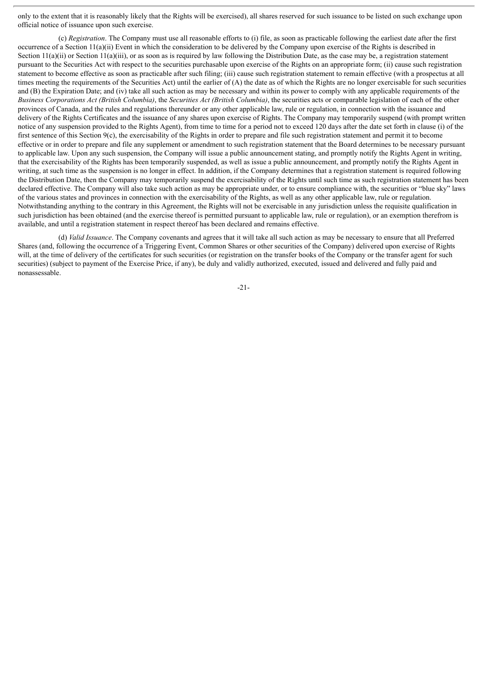only to the extent that it is reasonably likely that the Rights will be exercised), all shares reserved for such issuance to be listed on such exchange upon official notice of issuance upon such exercise.

(c) *Registration*. The Company must use all reasonable efforts to (i) file, as soon as practicable following the earliest date after the first occurrence of a Section 11(a)(ii) Event in which the consideration to be delivered by the Company upon exercise of the Rights is described in Section  $11(a)(ii)$  or Section  $11(a)(iii)$ , or as soon as is required by law following the Distribution Date, as the case may be, a registration statement pursuant to the Securities Act with respect to the securities purchasable upon exercise of the Rights on an appropriate form; (ii) cause such registration statement to become effective as soon as practicable after such filing; (iii) cause such registration statement to remain effective (with a prospectus at all times meeting the requirements of the Securities Act) until the earlier of (A) the date as of which the Rights are no longer exercisable for such securities and (B) the Expiration Date; and (iv) take all such action as may be necessary and within its power to comply with any applicable requirements of the *Business Corporations Act (British Columbia)*, the *Securities Act (British Columbia)*, the securities acts or comparable legislation of each of the other provinces of Canada, and the rules and regulations thereunder or any other applicable law, rule or regulation, in connection with the issuance and delivery of the Rights Certificates and the issuance of any shares upon exercise of Rights. The Company may temporarily suspend (with prompt written notice of any suspension provided to the Rights Agent), from time to time for a period not to exceed 120 days after the date set forth in clause (i) of the first sentence of this Section 9(c), the exercisability of the Rights in order to prepare and file such registration statement and permit it to become effective or in order to prepare and file any supplement or amendment to such registration statement that the Board determines to be necessary pursuant to applicable law. Upon any such suspension, the Company will issue a public announcement stating, and promptly notify the Rights Agent in writing, that the exercisability of the Rights has been temporarily suspended, as well as issue a public announcement, and promptly notify the Rights Agent in writing, at such time as the suspension is no longer in effect. In addition, if the Company determines that a registration statement is required following the Distribution Date, then the Company may temporarily suspend the exercisability of the Rights until such time as such registration statement has been declared effective. The Company will also take such action as may be appropriate under, or to ensure compliance with, the securities or "blue sky" laws of the various states and provinces in connection with the exercisability of the Rights, as well as any other applicable law, rule or regulation. Notwithstanding anything to the contrary in this Agreement, the Rights will not be exercisable in any jurisdiction unless the requisite qualification in such jurisdiction has been obtained (and the exercise thereof is permitted pursuant to applicable law, rule or regulation), or an exemption therefrom is available, and until a registration statement in respect thereof has been declared and remains effective.

(d) *Valid Issuance*. The Company covenants and agrees that it will take all such action as may be necessary to ensure that all Preferred Shares (and, following the occurrence of a Triggering Event, Common Shares or other securities of the Company) delivered upon exercise of Rights will, at the time of delivery of the certificates for such securities (or registration on the transfer books of the Company or the transfer agent for such securities) (subject to payment of the Exercise Price, if any), be duly and validly authorized, executed, issued and delivered and fully paid and nonassessable.

-21-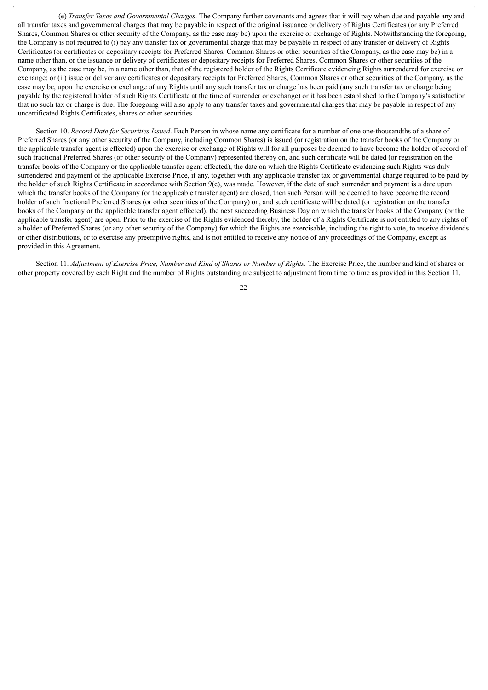(e) *Transfer Taxes and Governmental Charges*. The Company further covenants and agrees that it will pay when due and payable any and all transfer taxes and governmental charges that may be payable in respect of the original issuance or delivery of Rights Certificates (or any Preferred Shares, Common Shares or other security of the Company, as the case may be) upon the exercise or exchange of Rights. Notwithstanding the foregoing, the Company is not required to (i) pay any transfer tax or governmental charge that may be payable in respect of any transfer or delivery of Rights Certificates (or certificates or depositary receipts for Preferred Shares, Common Shares or other securities of the Company, as the case may be) in a name other than, or the issuance or delivery of certificates or depositary receipts for Preferred Shares, Common Shares or other securities of the Company, as the case may be, in a name other than, that of the registered holder of the Rights Certificate evidencing Rights surrendered for exercise or exchange; or (ii) issue or deliver any certificates or depositary receipts for Preferred Shares, Common Shares or other securities of the Company, as the case may be, upon the exercise or exchange of any Rights until any such transfer tax or charge has been paid (any such transfer tax or charge being payable by the registered holder of such Rights Certificate at the time of surrender or exchange) or it has been established to the Company's satisfaction that no such tax or charge is due. The foregoing will also apply to any transfer taxes and governmental charges that may be payable in respect of any uncertificated Rights Certificates, shares or other securities.

Section 10. *Record Date for Securities Issued*. Each Person in whose name any certificate for a number of one one-thousandths of a share of Preferred Shares (or any other security of the Company, including Common Shares) is issued (or registration on the transfer books of the Company or the applicable transfer agent is effected) upon the exercise or exchange of Rights will for all purposes be deemed to have become the holder of record of such fractional Preferred Shares (or other security of the Company) represented thereby on, and such certificate will be dated (or registration on the transfer books of the Company or the applicable transfer agent effected), the date on which the Rights Certificate evidencing such Rights was duly surrendered and payment of the applicable Exercise Price, if any, together with any applicable transfer tax or governmental charge required to be paid by the holder of such Rights Certificate in accordance with Section 9(e), was made. However, if the date of such surrender and payment is a date upon which the transfer books of the Company (or the applicable transfer agent) are closed, then such Person will be deemed to have become the record holder of such fractional Preferred Shares (or other securities of the Company) on, and such certificate will be dated (or registration on the transfer books of the Company or the applicable transfer agent effected), the next succeeding Business Day on which the transfer books of the Company (or the applicable transfer agent) are open. Prior to the exercise of the Rights evidenced thereby, the holder of a Rights Certificate is not entitled to any rights of a holder of Preferred Shares (or any other security of the Company) for which the Rights are exercisable, including the right to vote, to receive dividends or other distributions, or to exercise any preemptive rights, and is not entitled to receive any notice of any proceedings of the Company, except as provided in this Agreement.

Section 11. Adjustment of Exercise Price, Number and Kind of Shares or Number of Rights. The Exercise Price, the number and kind of shares or other property covered by each Right and the number of Rights outstanding are subject to adjustment from time to time as provided in this Section 11.

-22-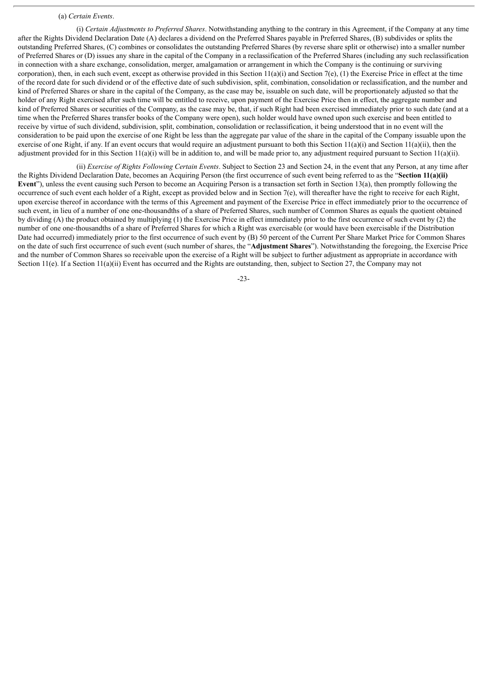#### (a) *Certain Events*.

(i) *Certain Adjustments to Preferred Shares*. Notwithstanding anything to the contrary in this Agreement, if the Company at any time after the Rights Dividend Declaration Date (A) declares a dividend on the Preferred Shares payable in Preferred Shares, (B) subdivides or splits the outstanding Preferred Shares, (C) combines or consolidates the outstanding Preferred Shares (by reverse share split or otherwise) into a smaller number of Preferred Shares or (D) issues any share in the capital of the Company in a reclassification of the Preferred Shares (including any such reclassification in connection with a share exchange, consolidation, merger, amalgamation or arrangement in which the Company is the continuing or surviving corporation), then, in each such event, except as otherwise provided in this Section  $11(a)(i)$  and Section  $7(e)$ , (1) the Exercise Price in effect at the time of the record date for such dividend or of the effective date of such subdivision, split, combination, consolidation or reclassification, and the number and kind of Preferred Shares or share in the capital of the Company, as the case may be, issuable on such date, will be proportionately adjusted so that the holder of any Right exercised after such time will be entitled to receive, upon payment of the Exercise Price then in effect, the aggregate number and kind of Preferred Shares or securities of the Company, as the case may be, that, if such Right had been exercised immediately prior to such date (and at a time when the Preferred Shares transfer books of the Company were open), such holder would have owned upon such exercise and been entitled to receive by virtue of such dividend, subdivision, split, combination, consolidation or reclassification, it being understood that in no event will the consideration to be paid upon the exercise of one Right be less than the aggregate par value of the share in the capital of the Company issuable upon the exercise of one Right, if any. If an event occurs that would require an adjustment pursuant to both this Section  $11(a)(i)$  and Section  $11(a)(i)$ , then the adjustment provided for in this Section  $11(a)(i)$  will be in addition to, and will be made prior to, any adjustment required pursuant to Section  $11(a)(ii)$ .

(ii) *Exercise of Rights Following Certain Events*. Subject to Section 23 and Section 24, in the event that any Person, at any time after the Rights Dividend Declaration Date, becomes an Acquiring Person (the first occurrence of such event being referred to as the "**Section 11(a)(ii) Event**"), unless the event causing such Person to become an Acquiring Person is a transaction set forth in Section 13(a), then promptly following the occurrence of such event each holder of a Right, except as provided below and in Section 7(e), will thereafter have the right to receive for each Right, upon exercise thereof in accordance with the terms of this Agreement and payment of the Exercise Price in effect immediately prior to the occurrence of such event, in lieu of a number of one one-thousandths of a share of Preferred Shares, such number of Common Shares as equals the quotient obtained by dividing (A) the product obtained by multiplying (1) the Exercise Price in effect immediately prior to the first occurrence of such event by (2) the number of one one-thousandths of a share of Preferred Shares for which a Right was exercisable (or would have been exercisable if the Distribution Date had occurred) immediately prior to the first occurrence of such event by (B) 50 percent of the Current Per Share Market Price for Common Shares on the date of such first occurrence of such event (such number of shares, the "**Adjustment Shares**"). Notwithstanding the foregoing, the Exercise Price and the number of Common Shares so receivable upon the exercise of a Right will be subject to further adjustment as appropriate in accordance with Section 11(e). If a Section 11(a)(ii) Event has occurred and the Rights are outstanding, then, subject to Section 27, the Company may not

-23-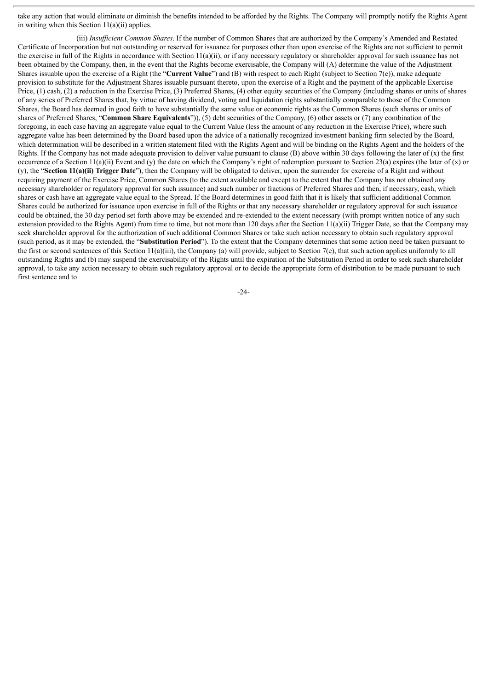take any action that would eliminate or diminish the benefits intended to be afforded by the Rights. The Company will promptly notify the Rights Agent in writing when this Section 11(a)(ii) applies.

(iii) *Insuf icient Common Shares*. If the number of Common Shares that are authorized by the Company's Amended and Restated Certificate of Incorporation but not outstanding or reserved for issuance for purposes other than upon exercise of the Rights are not sufficient to permit the exercise in full of the Rights in accordance with Section 11(a)(ii), or if any necessary regulatory or shareholder approval for such issuance has not been obtained by the Company, then, in the event that the Rights become exercisable, the Company will (A) determine the value of the Adjustment Shares issuable upon the exercise of a Right (the "**Current Value**") and (B) with respect to each Right (subject to Section 7(e)), make adequate provision to substitute for the Adjustment Shares issuable pursuant thereto, upon the exercise of a Right and the payment of the applicable Exercise Price, (1) cash, (2) a reduction in the Exercise Price, (3) Preferred Shares, (4) other equity securities of the Company (including shares or units of shares of any series of Preferred Shares that, by virtue of having dividend, voting and liquidation rights substantially comparable to those of the Common Shares, the Board has deemed in good faith to have substantially the same value or economic rights as the Common Shares (such shares or units of shares of Preferred Shares, "**Common Share Equivalents**")), (5) debt securities of the Company, (6) other assets or (7) any combination of the foregoing, in each case having an aggregate value equal to the Current Value (less the amount of any reduction in the Exercise Price), where such aggregate value has been determined by the Board based upon the advice of a nationally recognized investment banking firm selected by the Board, which determination will be described in a written statement filed with the Rights Agent and will be binding on the Rights Agent and the holders of the Rights. If the Company has not made adequate provision to deliver value pursuant to clause  $(B)$  above within 30 days following the later of  $(x)$  the first occurrence of a Section 11(a)(ii) Event and (y) the date on which the Company's right of redemption pursuant to Section 23(a) expires (the later of (x) or (y), the "**Section 11(a)(ii) Trigger Date**"), then the Company will be obligated to deliver, upon the surrender for exercise of a Right and without requiring payment of the Exercise Price, Common Shares (to the extent available and except to the extent that the Company has not obtained any necessary shareholder or regulatory approval for such issuance) and such number or fractions of Preferred Shares and then, if necessary, cash, which shares or cash have an aggregate value equal to the Spread. If the Board determines in good faith that it is likely that sufficient additional Common Shares could be authorized for issuance upon exercise in full of the Rights or that any necessary shareholder or regulatory approval for such issuance could be obtained, the 30 day period set forth above may be extended and re-extended to the extent necessary (with prompt written notice of any such extension provided to the Rights Agent) from time to time, but not more than 120 days after the Section 11(a)(ii) Trigger Date, so that the Company may seek shareholder approval for the authorization of such additional Common Shares or take such action necessary to obtain such regulatory approval (such period, as it may be extended, the "**Substitution Period**"). To the extent that the Company determines that some action need be taken pursuant to the first or second sentences of this Section  $11(a)(iii)$ , the Company (a) will provide, subject to Section 7(e), that such action applies uniformly to all outstanding Rights and (b) may suspend the exercisability of the Rights until the expiration of the Substitution Period in order to seek such shareholder approval, to take any action necessary to obtain such regulatory approval or to decide the appropriate form of distribution to be made pursuant to such first sentence and to

-24-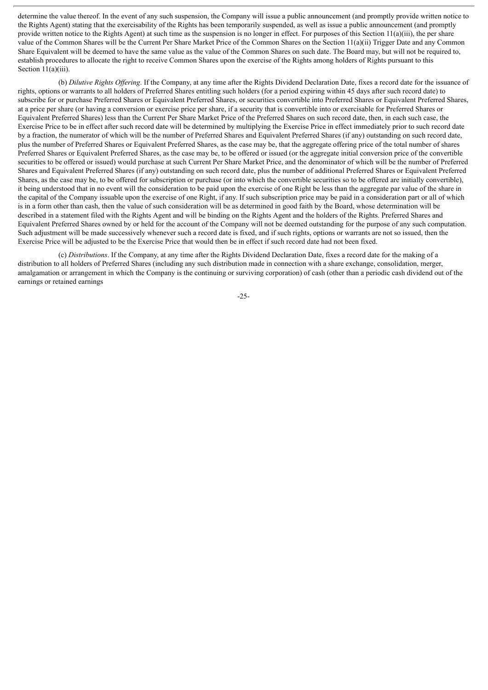determine the value thereof. In the event of any such suspension, the Company will issue a public announcement (and promptly provide written notice to the Rights Agent) stating that the exercisability of the Rights has been temporarily suspended, as well as issue a public announcement (and promptly provide written notice to the Rights Agent) at such time as the suspension is no longer in effect. For purposes of this Section  $11(a)(iii)$ , the per share value of the Common Shares will be the Current Per Share Market Price of the Common Shares on the Section 11(a)(ii) Trigger Date and any Common Share Equivalent will be deemed to have the same value as the value of the Common Shares on such date. The Board may, but will not be required to, establish procedures to allocate the right to receive Common Shares upon the exercise of the Rights among holders of Rights pursuant to this Section 11(a)(iii).

(b) *Dilutive Rights Of ering*. If the Company, at any time after the Rights Dividend Declaration Date, fixes a record date for the issuance of rights, options or warrants to all holders of Preferred Shares entitling such holders (for a period expiring within 45 days after such record date) to subscribe for or purchase Preferred Shares or Equivalent Preferred Shares, or securities convertible into Preferred Shares or Equivalent Preferred Shares, at a price per share (or having a conversion or exercise price per share, if a security that is convertible into or exercisable for Preferred Shares or Equivalent Preferred Shares) less than the Current Per Share Market Price of the Preferred Shares on such record date, then, in each such case, the Exercise Price to be in effect after such record date will be determined by multiplying the Exercise Price in effect immediately prior to such record date by a fraction, the numerator of which will be the number of Preferred Shares and Equivalent Preferred Shares (if any) outstanding on such record date, plus the number of Preferred Shares or Equivalent Preferred Shares, as the case may be, that the aggregate offering price of the total number of shares Preferred Shares or Equivalent Preferred Shares, as the case may be, to be offered or issued (or the aggregate initial conversion price of the convertible securities to be offered or issued) would purchase at such Current Per Share Market Price, and the denominator of which will be the number of Preferred Shares and Equivalent Preferred Shares (if any) outstanding on such record date, plus the number of additional Preferred Shares or Equivalent Preferred Shares, as the case may be, to be offered for subscription or purchase (or into which the convertible securities so to be offered are initially convertible), it being understood that in no event will the consideration to be paid upon the exercise of one Right be less than the aggregate par value of the share in the capital of the Company issuable upon the exercise of one Right, if any. If such subscription price may be paid in a consideration part or all of which is in a form other than cash, then the value of such consideration will be as determined in good faith by the Board, whose determination will be described in a statement filed with the Rights Agent and will be binding on the Rights Agent and the holders of the Rights. Preferred Shares and Equivalent Preferred Shares owned by or held for the account of the Company will not be deemed outstanding for the purpose of any such computation. Such adjustment will be made successively whenever such a record date is fixed, and if such rights, options or warrants are not so issued, then the Exercise Price will be adjusted to be the Exercise Price that would then be in effect if such record date had not been fixed.

(c) *Distributions*. If the Company, at any time after the Rights Dividend Declaration Date, fixes a record date for the making of a distribution to all holders of Preferred Shares (including any such distribution made in connection with a share exchange, consolidation, merger, amalgamation or arrangement in which the Company is the continuing or surviving corporation) of cash (other than a periodic cash dividend out of the earnings or retained earnings

-25-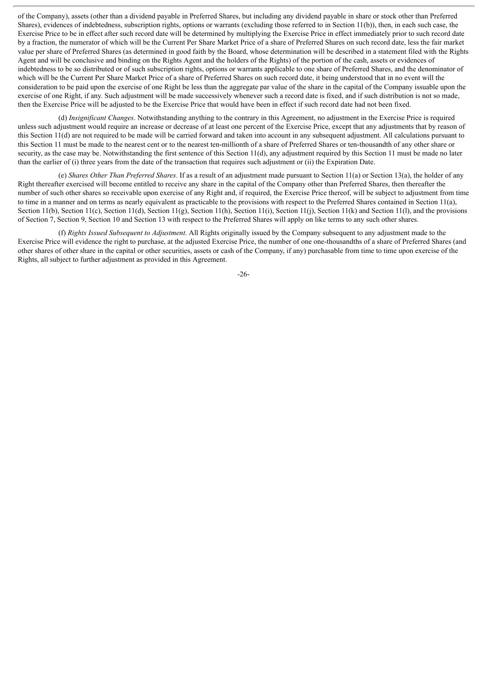of the Company), assets (other than a dividend payable in Preferred Shares, but including any dividend payable in share or stock other than Preferred Shares), evidences of indebtedness, subscription rights, options or warrants (excluding those referred to in Section 11(b)), then, in each such case, the Exercise Price to be in effect after such record date will be determined by multiplying the Exercise Price in effect immediately prior to such record date by a fraction, the numerator of which will be the Current Per Share Market Price of a share of Preferred Shares on such record date, less the fair market value per share of Preferred Shares (as determined in good faith by the Board, whose determination will be described in a statement filed with the Rights Agent and will be conclusive and binding on the Rights Agent and the holders of the Rights) of the portion of the cash, assets or evidences of indebtedness to be so distributed or of such subscription rights, options or warrants applicable to one share of Preferred Shares, and the denominator of which will be the Current Per Share Market Price of a share of Preferred Shares on such record date, it being understood that in no event will the consideration to be paid upon the exercise of one Right be less than the aggregate par value of the share in the capital of the Company issuable upon the exercise of one Right, if any. Such adjustment will be made successively whenever such a record date is fixed, and if such distribution is not so made, then the Exercise Price will be adjusted to be the Exercise Price that would have been in effect if such record date had not been fixed.

(d) *Insignificant Changes*. Notwithstanding anything to the contrary in this Agreement, no adjustment in the Exercise Price is required unless such adjustment would require an increase or decrease of at least one percent of the Exercise Price, except that any adjustments that by reason of this Section 11(d) are not required to be made will be carried forward and taken into account in any subsequent adjustment. All calculations pursuant to this Section 11 must be made to the nearest cent or to the nearest ten-millionth of a share of Preferred Shares or ten-thousandth of any other share or security, as the case may be. Notwithstanding the first sentence of this Section  $11(d)$ , any adjustment required by this Section 11 must be made no later than the earlier of (i) three years from the date of the transaction that requires such adjustment or (ii) the Expiration Date.

(e) *Shares Other Than Preferred Shares*. If as a result of an adjustment made pursuant to Section 11(a) or Section 13(a), the holder of any Right thereafter exercised will become entitled to receive any share in the capital of the Company other than Preferred Shares, then thereafter the number of such other shares so receivable upon exercise of any Right and, if required, the Exercise Price thereof, will be subject to adjustment from time to time in a manner and on terms as nearly equivalent as practicable to the provisions with respect to the Preferred Shares contained in Section 11(a), Section 11(b), Section 11(c), Section 11(d), Section 11(g), Section 11(h), Section 11(i), Section 11(j), Section 11(k) and Section 11(l), and the provisions of Section 7, Section 9, Section 10 and Section 13 with respect to the Preferred Shares will apply on like terms to any such other shares.

(f) *Rights Issued Subsequent to Adjustment*. All Rights originally issued by the Company subsequent to any adjustment made to the Exercise Price will evidence the right to purchase, at the adjusted Exercise Price, the number of one one-thousandths of a share of Preferred Shares (and other shares of other share in the capital or other securities, assets or cash of the Company, if any) purchasable from time to time upon exercise of the Rights, all subject to further adjustment as provided in this Agreement.

-26-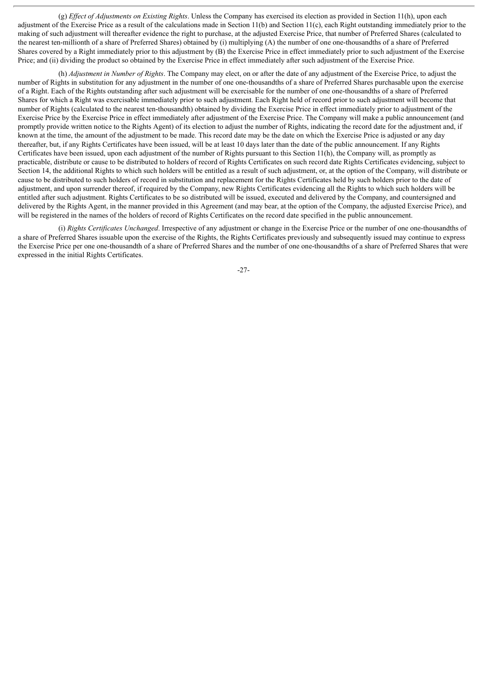(g) *Ef ect of Adjustments on Existing Rights*. Unless the Company has exercised its election as provided in Section 11(h), upon each adjustment of the Exercise Price as a result of the calculations made in Section 11(b) and Section 11(c), each Right outstanding immediately prior to the making of such adjustment will thereafter evidence the right to purchase, at the adjusted Exercise Price, that number of Preferred Shares (calculated to the nearest ten-millionth of a share of Preferred Shares) obtained by (i) multiplying (A) the number of one one-thousandths of a share of Preferred Shares covered by a Right immediately prior to this adjustment by (B) the Exercise Price in effect immediately prior to such adjustment of the Exercise Price; and (ii) dividing the product so obtained by the Exercise Price in effect immediately after such adjustment of the Exercise Price.

(h) *Adjustment in Number of Rights*. The Company may elect, on or after the date of any adjustment of the Exercise Price, to adjust the number of Rights in substitution for any adjustment in the number of one one-thousandths of a share of Preferred Shares purchasable upon the exercise of a Right. Each of the Rights outstanding after such adjustment will be exercisable for the number of one one-thousandths of a share of Preferred Shares for which a Right was exercisable immediately prior to such adjustment. Each Right held of record prior to such adjustment will become that number of Rights (calculated to the nearest ten-thousandth) obtained by dividing the Exercise Price in effect immediately prior to adjustment of the Exercise Price by the Exercise Price in effect immediately after adjustment of the Exercise Price. The Company will make a public announcement (and promptly provide written notice to the Rights Agent) of its election to adjust the number of Rights, indicating the record date for the adjustment and, if known at the time, the amount of the adjustment to be made. This record date may be the date on which the Exercise Price is adjusted or any day thereafter, but, if any Rights Certificates have been issued, will be at least 10 days later than the date of the public announcement. If any Rights Certificates have been issued, upon each adjustment of the number of Rights pursuant to this Section 11(h), the Company will, as promptly as practicable, distribute or cause to be distributed to holders of record of Rights Certificates on such record date Rights Certificates evidencing, subject to Section 14, the additional Rights to which such holders will be entitled as a result of such adjustment, or, at the option of the Company, will distribute or cause to be distributed to such holders of record in substitution and replacement for the Rights Certificates held by such holders prior to the date of adjustment, and upon surrender thereof, if required by the Company, new Rights Certificates evidencing all the Rights to which such holders will be entitled after such adjustment. Rights Certificates to be so distributed will be issued, executed and delivered by the Company, and countersigned and delivered by the Rights Agent, in the manner provided in this Agreement (and may bear, at the option of the Company, the adjusted Exercise Price), and will be registered in the names of the holders of record of Rights Certificates on the record date specified in the public announcement.

(i) *Rights Certificates Unchanged*. Irrespective of any adjustment or change in the Exercise Price or the number of one one-thousandths of a share of Preferred Shares issuable upon the exercise of the Rights, the Rights Certificates previously and subsequently issued may continue to express the Exercise Price per one one-thousandth of a share of Preferred Shares and the number of one one-thousandths of a share of Preferred Shares that were expressed in the initial Rights Certificates.

-27-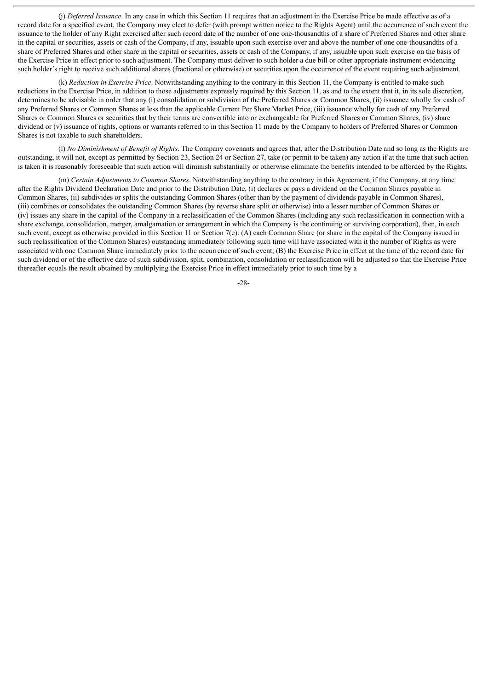(j) *Deferred Issuance*. In any case in which this Section 11 requires that an adjustment in the Exercise Price be made effective as of a record date for a specified event, the Company may elect to defer (with prompt written notice to the Rights Agent) until the occurrence of such event the issuance to the holder of any Right exercised after such record date of the number of one one-thousandths of a share of Preferred Shares and other share in the capital or securities, assets or cash of the Company, if any, issuable upon such exercise over and above the number of one one-thousandths of a share of Preferred Shares and other share in the capital or securities, assets or cash of the Company, if any, issuable upon such exercise on the basis of the Exercise Price in effect prior to such adjustment. The Company must deliver to such holder a due bill or other appropriate instrument evidencing such holder's right to receive such additional shares (fractional or otherwise) or securities upon the occurrence of the event requiring such adjustment.

(k) *Reduction in Exercise Price*. Notwithstanding anything to the contrary in this Section 11, the Company is entitled to make such reductions in the Exercise Price, in addition to those adjustments expressly required by this Section 11, as and to the extent that it, in its sole discretion, determines to be advisable in order that any (i) consolidation or subdivision of the Preferred Shares or Common Shares, (ii) issuance wholly for cash of any Preferred Shares or Common Shares at less than the applicable Current Per Share Market Price, (iii) issuance wholly for cash of any Preferred Shares or Common Shares or securities that by their terms are convertible into or exchangeable for Preferred Shares or Common Shares, (iv) share dividend or (v) issuance of rights, options or warrants referred to in this Section 11 made by the Company to holders of Preferred Shares or Common Shares is not taxable to such shareholders.

(l) *No Diminishment of Benefit of Rights*. The Company covenants and agrees that, after the Distribution Date and so long as the Rights are outstanding, it will not, except as permitted by Section 23, Section 24 or Section 27, take (or permit to be taken) any action if at the time that such action is taken it is reasonably foreseeable that such action will diminish substantially or otherwise eliminate the benefits intended to be afforded by the Rights.

(m) *Certain Adjustments to Common Shares*. Notwithstanding anything to the contrary in this Agreement, if the Company, at any time after the Rights Dividend Declaration Date and prior to the Distribution Date, (i) declares or pays a dividend on the Common Shares payable in Common Shares, (ii) subdivides or splits the outstanding Common Shares (other than by the payment of dividends payable in Common Shares), (iii) combines or consolidates the outstanding Common Shares (by reverse share split or otherwise) into a lesser number of Common Shares or (iv) issues any share in the capital of the Company in a reclassification of the Common Shares (including any such reclassification in connection with a share exchange, consolidation, merger, amalgamation or arrangement in which the Company is the continuing or surviving corporation), then, in each such event, except as otherwise provided in this Section 11 or Section 7(e): (A) each Common Share (or share in the capital of the Company issued in such reclassification of the Common Shares) outstanding immediately following such time will have associated with it the number of Rights as were associated with one Common Share immediately prior to the occurrence of such event; (B) the Exercise Price in effect at the time of the record date for such dividend or of the effective date of such subdivision, split, combination, consolidation or reclassification will be adjusted so that the Exercise Price thereafter equals the result obtained by multiplying the Exercise Price in effect immediately prior to such time by a

-28-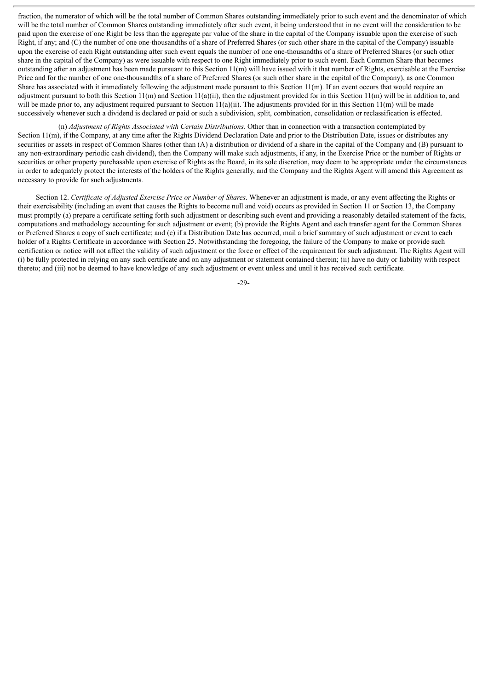fraction, the numerator of which will be the total number of Common Shares outstanding immediately prior to such event and the denominator of which will be the total number of Common Shares outstanding immediately after such event, it being understood that in no event will the consideration to be paid upon the exercise of one Right be less than the aggregate par value of the share in the capital of the Company issuable upon the exercise of such Right, if any; and (C) the number of one one-thousandths of a share of Preferred Shares (or such other share in the capital of the Company) issuable upon the exercise of each Right outstanding after such event equals the number of one one-thousandths of a share of Preferred Shares (or such other share in the capital of the Company) as were issuable with respect to one Right immediately prior to such event. Each Common Share that becomes outstanding after an adjustment has been made pursuant to this Section 11(m) will have issued with it that number of Rights, exercisable at the Exercise Price and for the number of one one-thousandths of a share of Preferred Shares (or such other share in the capital of the Company), as one Common Share has associated with it immediately following the adjustment made pursuant to this Section 11(m). If an event occurs that would require an adjustment pursuant to both this Section  $11(m)$  and Section  $11(a)(ii)$ , then the adjustment provided for in this Section  $11(m)$  will be in addition to, and will be made prior to, any adjustment required pursuant to Section  $11(a)(ii)$ . The adjustments provided for in this Section  $11(m)$  will be made successively whenever such a dividend is declared or paid or such a subdivision, split, combination, consolidation or reclassification is effected.

(n) *Adjustment of Rights Associated with Certain Distributions*. Other than in connection with a transaction contemplated by Section 11(m), if the Company, at any time after the Rights Dividend Declaration Date and prior to the Distribution Date, issues or distributes any securities or assets in respect of Common Shares (other than (A) a distribution or dividend of a share in the capital of the Company and (B) pursuant to any non-extraordinary periodic cash dividend), then the Company will make such adjustments, if any, in the Exercise Price or the number of Rights or securities or other property purchasable upon exercise of Rights as the Board, in its sole discretion, may deem to be appropriate under the circumstances in order to adequately protect the interests of the holders of the Rights generally, and the Company and the Rights Agent will amend this Agreement as necessary to provide for such adjustments.

Section 12. *Certificate of Adjusted Exercise Price or Number of Shares*. Whenever an adjustment is made, or any event affecting the Rights or their exercisability (including an event that causes the Rights to become null and void) occurs as provided in Section 11 or Section 13, the Company must promptly (a) prepare a certificate setting forth such adjustment or describing such event and providing a reasonably detailed statement of the facts, computations and methodology accounting for such adjustment or event; (b) provide the Rights Agent and each transfer agent for the Common Shares or Preferred Shares a copy of such certificate; and (c) if a Distribution Date has occurred, mail a brief summary of such adjustment or event to each holder of a Rights Certificate in accordance with Section 25. Notwithstanding the foregoing, the failure of the Company to make or provide such certification or notice will not affect the validity of such adjustment or the force or effect of the requirement for such adjustment. The Rights Agent will (i) be fully protected in relying on any such certificate and on any adjustment or statement contained therein; (ii) have no duty or liability with respect thereto; and (iii) not be deemed to have knowledge of any such adjustment or event unless and until it has received such certificate.

-29-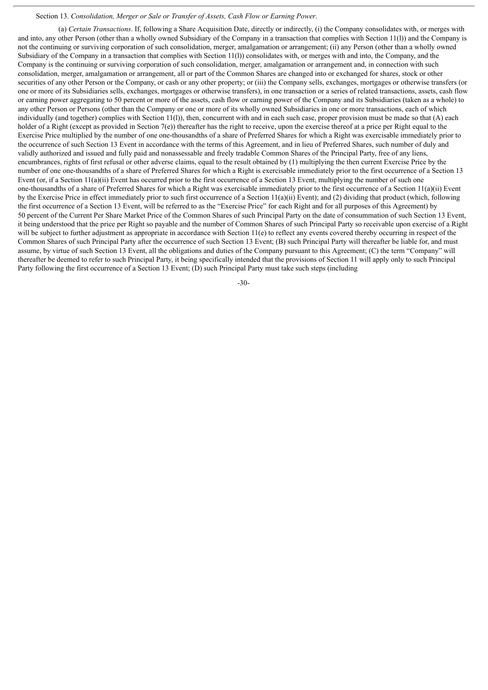## Section 13. *Consolidation, Merger or Sale or Transfer of Assets, Cash Flow or Earning Power*.

(a) *Certain Transactions*. If, following a Share Acquisition Date, directly or indirectly, (i) the Company consolidates with, or merges with and into, any other Person (other than a wholly owned Subsidiary of the Company in a transaction that complies with Section 11(l)) and the Company is not the continuing or surviving corporation of such consolidation, merger, amalgamation or arrangement; (ii) any Person (other than a wholly owned Subsidiary of the Company in a transaction that complies with Section 11(l)) consolidates with, or merges with and into, the Company, and the Company is the continuing or surviving corporation of such consolidation, merger, amalgamation or arrangement and, in connection with such consolidation, merger, amalgamation or arrangement, all or part of the Common Shares are changed into or exchanged for shares, stock or other securities of any other Person or the Company, or cash or any other property; or (iii) the Company sells, exchanges, mortgages or otherwise transfers (or one or more of its Subsidiaries sells, exchanges, mortgages or otherwise transfers), in one transaction or a series of related transactions, assets, cash flow or earning power aggregating to 50 percent or more of the assets, cash flow or earning power of the Company and its Subsidiaries (taken as a whole) to any other Person or Persons (other than the Company or one or more of its wholly owned Subsidiaries in one or more transactions, each of which individually (and together) complies with Section 11(1)), then, concurrent with and in each such case, proper provision must be made so that (A) each holder of a Right (except as provided in Section 7(e)) thereafter has the right to receive, upon the exercise thereof at a price per Right equal to the Exercise Price multiplied by the number of one one-thousandths of a share of Preferred Shares for which a Right was exercisable immediately prior to the occurrence of such Section 13 Event in accordance with the terms of this Agreement, and in lieu of Preferred Shares, such number of duly and validly authorized and issued and fully paid and nonassessable and freely tradable Common Shares of the Principal Party, free of any liens, encumbrances, rights of first refusal or other adverse claims, equal to the result obtained by (1) multiplying the then current Exercise Price by the number of one one-thousandths of a share of Preferred Shares for which a Right is exercisable immediately prior to the first occurrence of a Section 13 Event (or, if a Section 11(a)(ii) Event has occurred prior to the first occurrence of a Section 13 Event, multiplying the number of such one one-thousandths of a share of Preferred Shares for which a Right was exercisable immediately prior to the first occurrence of a Section  $11(a)(ii)$  Event by the Exercise Price in effect immediately prior to such first occurrence of a Section 11(a)(ii) Event); and (2) dividing that product (which, following the first occurrence of a Section 13 Event, will be referred to as the "Exercise Price" for each Right and for all purposes of this Agreement) by 50 percent of the Current Per Share Market Price of the Common Shares of such Principal Party on the date of consummation of such Section 13 Event, it being understood that the price per Right so payable and the number of Common Shares of such Principal Party so receivable upon exercise of a Right will be subject to further adjustment as appropriate in accordance with Section 11(e) to reflect any events covered thereby occurring in respect of the Common Shares of such Principal Party after the occurrence of such Section 13 Event; (B) such Principal Party will thereafter be liable for, and must assume, by virtue of such Section 13 Event, all the obligations and duties of the Company pursuant to this Agreement; (C) the term "Company" will thereafter be deemed to refer to such Principal Party, it being specifically intended that the provisions of Section 11 will apply only to such Principal Party following the first occurrence of a Section 13 Event; (D) such Principal Party must take such steps (including

-30-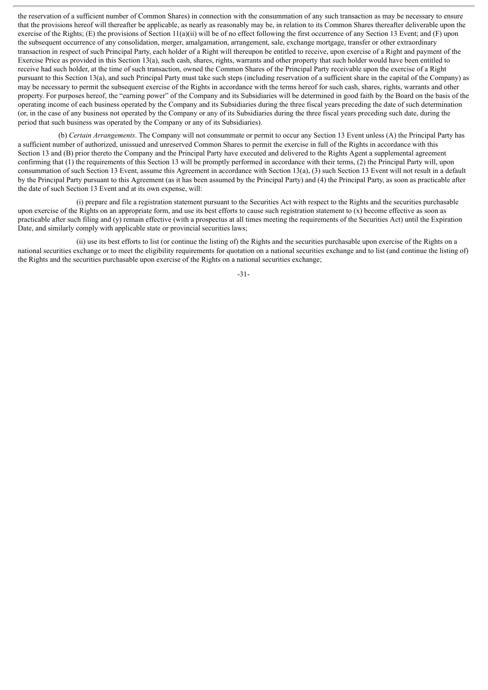the reservation of a sufficient number of Common Shares) in connection with the consummation of any such transaction as may be necessary to ensure that the provisions hereof will thereafter be applicable, as nearly as reasonably may be, in relation to its Common Shares thereafter deliverable upon the exercise of the Rights; (E) the provisions of Section 11(a)(ii) will be of no effect following the first occurrence of any Section 13 Event; and (F) upon the subsequent occurrence of any consolidation, merger, amalgamation, arrangement, sale, exchange mortgage, transfer or other extraordinary transaction in respect of such Principal Party, each holder of a Right will thereupon be entitled to receive, upon exercise of a Right and payment of the Exercise Price as provided in this Section 13(a), such cash, shares, rights, warrants and other property that such holder would have been entitled to receive had such holder, at the time of such transaction, owned the Common Shares of the Principal Party receivable upon the exercise of a Right pursuant to this Section 13(a), and such Principal Party must take such steps (including reservation of a sufficient share in the capital of the Company) as may be necessary to permit the subsequent exercise of the Rights in accordance with the terms hereof for such cash, shares, rights, warrants and other property. For purposes hereof, the "earning power" of the Company and its Subsidiaries will be determined in good faith by the Board on the basis of the operating income of each business operated by the Company and its Subsidiaries during the three fiscal years preceding the date of such determination (or, in the case of any business not operated by the Company or any of its Subsidiaries during the three fiscal years preceding such date, during the period that such business was operated by the Company or any of its Subsidiaries).

(b) *Certain Arrangements*. The Company will not consummate or permit to occur any Section 13 Event unless (A) the Principal Party has a sufficient number of authorized, unissued and unreserved Common Shares to permit the exercise in full of the Rights in accordance with this Section 13 and (B) prior thereto the Company and the Principal Party have executed and delivered to the Rights Agent a supplemental agreement confirming that (1) the requirements of this Section 13 will be promptly performed in accordance with their terms, (2) the Principal Party will, upon consummation of such Section 13 Event, assume this Agreement in accordance with Section 13(a), (3) such Section 13 Event will not result in a default by the Principal Party pursuant to this Agreement (as it has been assumed by the Principal Party) and (4) the Principal Party, as soon as practicable after the date of such Section 13 Event and at its own expense, will:

(i) prepare and file a registration statement pursuant to the Securities Act with respect to the Rights and the securities purchasable upon exercise of the Rights on an appropriate form, and use its best efforts to cause such registration statement to  $(x)$  become effective as soon as practicable after such filing and (y) remain effective (with a prospectus at all times meeting the requirements of the Securities Act) until the Expiration Date, and similarly comply with applicable state or provincial securities laws;

(ii) use its best efforts to list (or continue the listing of) the Rights and the securities purchasable upon exercise of the Rights on a national securities exchange or to meet the eligibility requirements for quotation on a national securities exchange and to list (and continue the listing of) the Rights and the securities purchasable upon exercise of the Rights on a national securities exchange;

-31-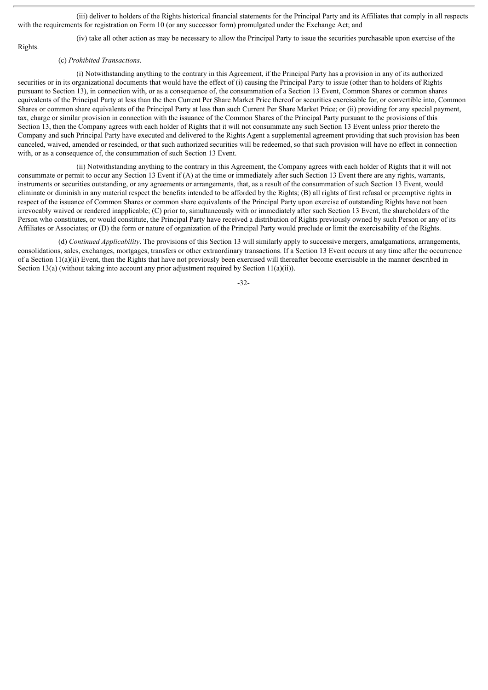(iii) deliver to holders of the Rights historical financial statements for the Principal Party and its Affiliates that comply in all respects with the requirements for registration on Form 10 (or any successor form) promulgated under the Exchange Act; and

(iv) take all other action as may be necessary to allow the Principal Party to issue the securities purchasable upon exercise of the

Rights.

#### (c) *Prohibited Transactions*.

(i) Notwithstanding anything to the contrary in this Agreement, if the Principal Party has a provision in any of its authorized securities or in its organizational documents that would have the effect of (i) causing the Principal Party to issue (other than to holders of Rights pursuant to Section 13), in connection with, or as a consequence of, the consummation of a Section 13 Event, Common Shares or common shares equivalents of the Principal Party at less than the then Current Per Share Market Price thereof or securities exercisable for, or convertible into, Common Shares or common share equivalents of the Principal Party at less than such Current Per Share Market Price; or (ii) providing for any special payment, tax, charge or similar provision in connection with the issuance of the Common Shares of the Principal Party pursuant to the provisions of this Section 13, then the Company agrees with each holder of Rights that it will not consummate any such Section 13 Event unless prior thereto the Company and such Principal Party have executed and delivered to the Rights Agent a supplemental agreement providing that such provision has been canceled, waived, amended or rescinded, or that such authorized securities will be redeemed, so that such provision will have no effect in connection with, or as a consequence of, the consummation of such Section 13 Event.

(ii) Notwithstanding anything to the contrary in this Agreement, the Company agrees with each holder of Rights that it will not consummate or permit to occur any Section 13 Event if (A) at the time or immediately after such Section 13 Event there are any rights, warrants, instruments or securities outstanding, or any agreements or arrangements, that, as a result of the consummation of such Section 13 Event, would eliminate or diminish in any material respect the benefits intended to be afforded by the Rights; (B) all rights of first refusal or preemptive rights in respect of the issuance of Common Shares or common share equivalents of the Principal Party upon exercise of outstanding Rights have not been irrevocably waived or rendered inapplicable; (C) prior to, simultaneously with or immediately after such Section 13 Event, the shareholders of the Person who constitutes, or would constitute, the Principal Party have received a distribution of Rights previously owned by such Person or any of its Affiliates or Associates; or (D) the form or nature of organization of the Principal Party would preclude or limit the exercisability of the Rights.

(d) *Continued Applicability*. The provisions of this Section 13 will similarly apply to successive mergers, amalgamations, arrangements, consolidations, sales, exchanges, mortgages, transfers or other extraordinary transactions. If a Section 13 Event occurs at any time after the occurrence of a Section  $11(a)(ii)$  Event, then the Rights that have not previously been exercised will thereafter become exercisable in the manner described in Section 13(a) (without taking into account any prior adjustment required by Section 11(a)(ii)).

-32-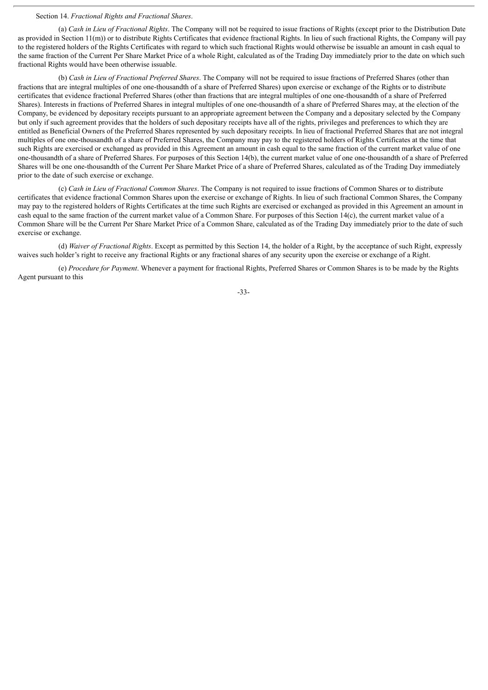## Section 14. *Fractional Rights and Fractional Shares*.

(a) *Cash in Lieu of Fractional Rights*. The Company will not be required to issue fractions of Rights (except prior to the Distribution Date as provided in Section 11(m)) or to distribute Rights Certificates that evidence fractional Rights. In lieu of such fractional Rights, the Company will pay to the registered holders of the Rights Certificates with regard to which such fractional Rights would otherwise be issuable an amount in cash equal to the same fraction of the Current Per Share Market Price of a whole Right, calculated as of the Trading Day immediately prior to the date on which such fractional Rights would have been otherwise issuable.

(b) *Cash in Lieu of Fractional Preferred Shares*. The Company will not be required to issue fractions of Preferred Shares (other than fractions that are integral multiples of one one-thousandth of a share of Preferred Shares) upon exercise or exchange of the Rights or to distribute certificates that evidence fractional Preferred Shares (other than fractions that are integral multiples of one one-thousandth of a share of Preferred Shares). Interests in fractions of Preferred Shares in integral multiples of one one-thousandth of a share of Preferred Shares may, at the election of the Company, be evidenced by depositary receipts pursuant to an appropriate agreement between the Company and a depositary selected by the Company but only if such agreement provides that the holders of such depositary receipts have all of the rights, privileges and preferences to which they are entitled as Beneficial Owners of the Preferred Shares represented by such depositary receipts. In lieu of fractional Preferred Shares that are not integral multiples of one one-thousandth of a share of Preferred Shares, the Company may pay to the registered holders of Rights Certificates at the time that such Rights are exercised or exchanged as provided in this Agreement an amount in cash equal to the same fraction of the current market value of one one-thousandth of a share of Preferred Shares. For purposes of this Section 14(b), the current market value of one one-thousandth of a share of Preferred Shares will be one one-thousandth of the Current Per Share Market Price of a share of Preferred Shares, calculated as of the Trading Day immediately prior to the date of such exercise or exchange.

(c) *Cash in Lieu of Fractional Common Shares*. The Company is not required to issue fractions of Common Shares or to distribute certificates that evidence fractional Common Shares upon the exercise or exchange of Rights. In lieu of such fractional Common Shares, the Company may pay to the registered holders of Rights Certificates at the time such Rights are exercised or exchanged as provided in this Agreement an amount in cash equal to the same fraction of the current market value of a Common Share. For purposes of this Section 14(c), the current market value of a Common Share will be the Current Per Share Market Price of a Common Share, calculated as of the Trading Day immediately prior to the date of such exercise or exchange.

(d) *Waiver of Fractional Rights*. Except as permitted by this Section 14, the holder of a Right, by the acceptance of such Right, expressly waives such holder's right to receive any fractional Rights or any fractional shares of any security upon the exercise or exchange of a Right.

(e) *Procedure for Payment*. Whenever a payment for fractional Rights, Preferred Shares or Common Shares is to be made by the Rights Agent pursuant to this

-33-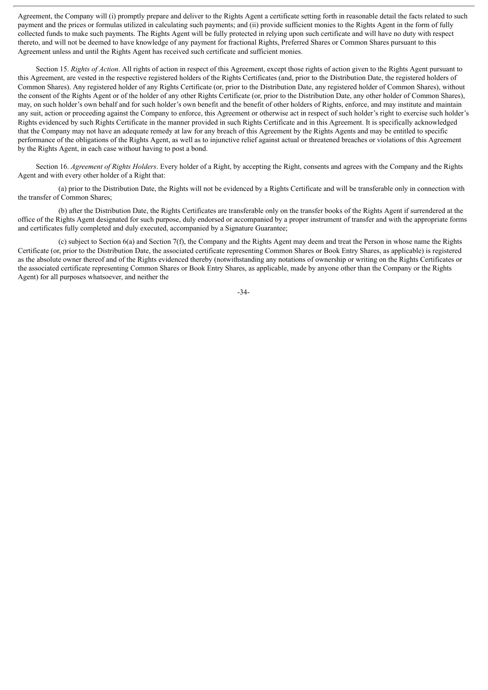Agreement, the Company will (i) promptly prepare and deliver to the Rights Agent a certificate setting forth in reasonable detail the facts related to such payment and the prices or formulas utilized in calculating such payments; and (ii) provide sufficient monies to the Rights Agent in the form of fully collected funds to make such payments. The Rights Agent will be fully protected in relying upon such certificate and will have no duty with respect thereto, and will not be deemed to have knowledge of any payment for fractional Rights, Preferred Shares or Common Shares pursuant to this Agreement unless and until the Rights Agent has received such certificate and sufficient monies.

Section 15. *Rights of Action*. All rights of action in respect of this Agreement, except those rights of action given to the Rights Agent pursuant to this Agreement, are vested in the respective registered holders of the Rights Certificates (and, prior to the Distribution Date, the registered holders of Common Shares). Any registered holder of any Rights Certificate (or, prior to the Distribution Date, any registered holder of Common Shares), without the consent of the Rights Agent or of the holder of any other Rights Certificate (or, prior to the Distribution Date, any other holder of Common Shares), may, on such holder's own behalf and for such holder's own benefit and the benefit of other holders of Rights, enforce, and may institute and maintain any suit, action or proceeding against the Company to enforce, this Agreement or otherwise act in respect of such holder's right to exercise such holder's Rights evidenced by such Rights Certificate in the manner provided in such Rights Certificate and in this Agreement. It is specifically acknowledged that the Company may not have an adequate remedy at law for any breach of this Agreement by the Rights Agents and may be entitled to specific performance of the obligations of the Rights Agent, as well as to injunctive relief against actual or threatened breaches or violations of this Agreement by the Rights Agent, in each case without having to post a bond.

Section 16. *Agreement of Rights Holders*. Every holder of a Right, by accepting the Right, consents and agrees with the Company and the Rights Agent and with every other holder of a Right that:

(a) prior to the Distribution Date, the Rights will not be evidenced by a Rights Certificate and will be transferable only in connection with the transfer of Common Shares;

(b) after the Distribution Date, the Rights Certificates are transferable only on the transfer books of the Rights Agent if surrendered at the office of the Rights Agent designated for such purpose, duly endorsed or accompanied by a proper instrument of transfer and with the appropriate forms and certificates fully completed and duly executed, accompanied by a Signature Guarantee;

(c) subject to Section 6(a) and Section 7(f), the Company and the Rights Agent may deem and treat the Person in whose name the Rights Certificate (or, prior to the Distribution Date, the associated certificate representing Common Shares or Book Entry Shares, as applicable) is registered as the absolute owner thereof and of the Rights evidenced thereby (notwithstanding any notations of ownership or writing on the Rights Certificates or the associated certificate representing Common Shares or Book Entry Shares, as applicable, made by anyone other than the Company or the Rights Agent) for all purposes whatsoever, and neither the

-34-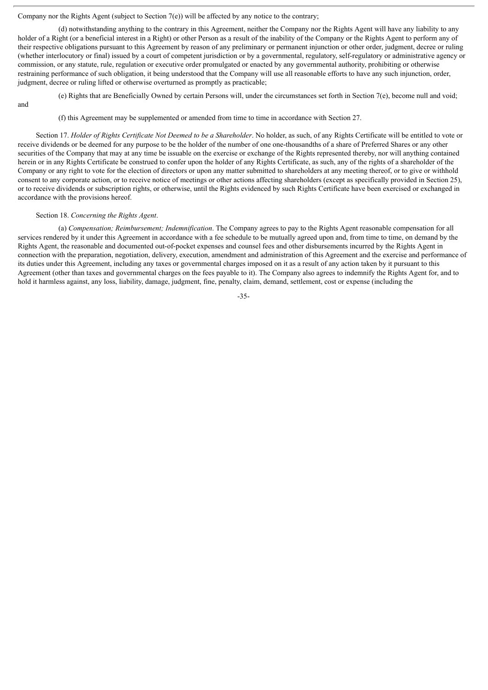Company nor the Rights Agent (subject to Section 7(e)) will be affected by any notice to the contrary;

(d) notwithstanding anything to the contrary in this Agreement, neither the Company nor the Rights Agent will have any liability to any holder of a Right (or a beneficial interest in a Right) or other Person as a result of the inability of the Company or the Rights Agent to perform any of their respective obligations pursuant to this Agreement by reason of any preliminary or permanent injunction or other order, judgment, decree or ruling (whether interlocutory or final) issued by a court of competent jurisdiction or by a governmental, regulatory, self-regulatory or administrative agency or commission, or any statute, rule, regulation or executive order promulgated or enacted by any governmental authority, prohibiting or otherwise restraining performance of such obligation, it being understood that the Company will use all reasonable efforts to have any such injunction, order, judgment, decree or ruling lifted or otherwise overturned as promptly as practicable;

and

(e) Rights that are Beneficially Owned by certain Persons will, under the circumstances set forth in Section 7(e), become null and void;

(f) this Agreement may be supplemented or amended from time to time in accordance with Section 27.

Section 17. *Holder of Rights Certificate Not Deemed to be a Shareholder*. No holder, as such, of any Rights Certificate will be entitled to vote or receive dividends or be deemed for any purpose to be the holder of the number of one one-thousandths of a share of Preferred Shares or any other securities of the Company that may at any time be issuable on the exercise or exchange of the Rights represented thereby, nor will anything contained herein or in any Rights Certificate be construed to confer upon the holder of any Rights Certificate, as such, any of the rights of a shareholder of the Company or any right to vote for the election of directors or upon any matter submitted to shareholders at any meeting thereof, or to give or withhold consent to any corporate action, or to receive notice of meetings or other actions affecting shareholders (except as specifically provided in Section 25), or to receive dividends or subscription rights, or otherwise, until the Rights evidenced by such Rights Certificate have been exercised or exchanged in accordance with the provisions hereof.

### Section 18. *Concerning the Rights Agent*.

(a) *Compensation; Reimbursement; Indemnification*. The Company agrees to pay to the Rights Agent reasonable compensation for all services rendered by it under this Agreement in accordance with a fee schedule to be mutually agreed upon and, from time to time, on demand by the Rights Agent, the reasonable and documented out-of-pocket expenses and counsel fees and other disbursements incurred by the Rights Agent in connection with the preparation, negotiation, delivery, execution, amendment and administration of this Agreement and the exercise and performance of its duties under this Agreement, including any taxes or governmental charges imposed on it as a result of any action taken by it pursuant to this Agreement (other than taxes and governmental charges on the fees payable to it). The Company also agrees to indemnify the Rights Agent for, and to hold it harmless against, any loss, liability, damage, judgment, fine, penalty, claim, demand, settlement, cost or expense (including the

-35-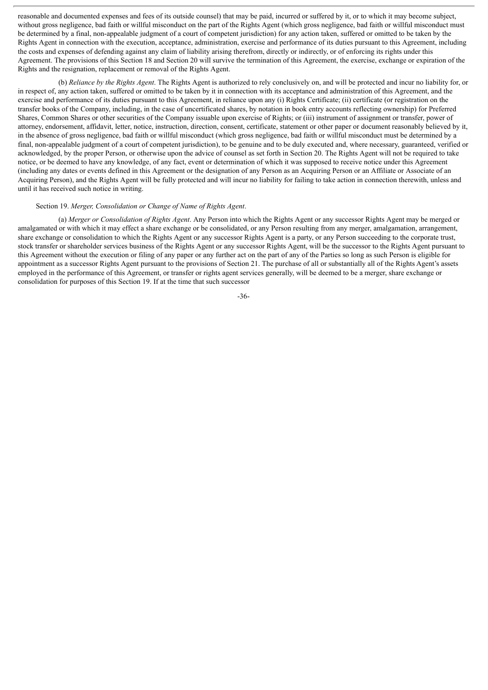reasonable and documented expenses and fees of its outside counsel) that may be paid, incurred or suffered by it, or to which it may become subject, without gross negligence, bad faith or willful misconduct on the part of the Rights Agent (which gross negligence, bad faith or willful misconduct must be determined by a final, non-appealable judgment of a court of competent jurisdiction) for any action taken, suffered or omitted to be taken by the Rights Agent in connection with the execution, acceptance, administration, exercise and performance of its duties pursuant to this Agreement, including the costs and expenses of defending against any claim of liability arising therefrom, directly or indirectly, or of enforcing its rights under this Agreement. The provisions of this Section 18 and Section 20 will survive the termination of this Agreement, the exercise, exchange or expiration of the Rights and the resignation, replacement or removal of the Rights Agent.

(b) *Reliance by the Rights Agent*. The Rights Agent is authorized to rely conclusively on, and will be protected and incur no liability for, or in respect of, any action taken, suffered or omitted to be taken by it in connection with its acceptance and administration of this Agreement, and the exercise and performance of its duties pursuant to this Agreement, in reliance upon any (i) Rights Certificate; (ii) certificate (or registration on the transfer books of the Company, including, in the case of uncertificated shares, by notation in book entry accounts reflecting ownership) for Preferred Shares, Common Shares or other securities of the Company issuable upon exercise of Rights; or (iii) instrument of assignment or transfer, power of attorney, endorsement, affidavit, letter, notice, instruction, direction, consent, certificate, statement or other paper or document reasonably believed by it, in the absence of gross negligence, bad faith or willful misconduct (which gross negligence, bad faith or willful misconduct must be determined by a final, non-appealable judgment of a court of competent jurisdiction), to be genuine and to be duly executed and, where necessary, guaranteed, verified or acknowledged, by the proper Person, or otherwise upon the advice of counsel as set forth in Section 20. The Rights Agent will not be required to take notice, or be deemed to have any knowledge, of any fact, event or determination of which it was supposed to receive notice under this Agreement (including any dates or events defined in this Agreement or the designation of any Person as an Acquiring Person or an Affiliate or Associate of an Acquiring Person), and the Rights Agent will be fully protected and will incur no liability for failing to take action in connection therewith, unless and until it has received such notice in writing.

### Section 19. *Merger, Consolidation or Change of Name of Rights Agent*.

(a) *Merger or Consolidation of Rights Agent*. Any Person into which the Rights Agent or any successor Rights Agent may be merged or amalgamated or with which it may effect a share exchange or be consolidated, or any Person resulting from any merger, amalgamation, arrangement, share exchange or consolidation to which the Rights Agent or any successor Rights Agent is a party, or any Person succeeding to the corporate trust, stock transfer or shareholder services business of the Rights Agent or any successor Rights Agent, will be the successor to the Rights Agent pursuant to this Agreement without the execution or filing of any paper or any further act on the part of any of the Parties so long as such Person is eligible for appointment as a successor Rights Agent pursuant to the provisions of Section 21. The purchase of all or substantially all of the Rights Agent's assets employed in the performance of this Agreement, or transfer or rights agent services generally, will be deemed to be a merger, share exchange or consolidation for purposes of this Section 19. If at the time that such successor

-36-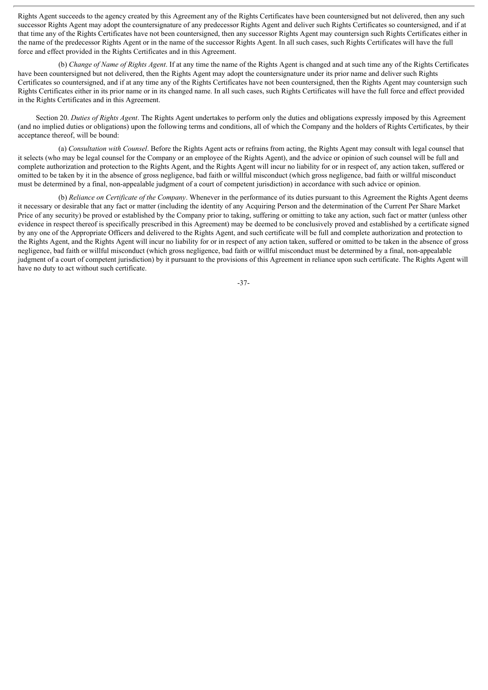Rights Agent succeeds to the agency created by this Agreement any of the Rights Certificates have been countersigned but not delivered, then any such successor Rights Agent may adopt the countersignature of any predecessor Rights Agent and deliver such Rights Certificates so countersigned, and if at that time any of the Rights Certificates have not been countersigned, then any successor Rights Agent may countersign such Rights Certificates either in the name of the predecessor Rights Agent or in the name of the successor Rights Agent. In all such cases, such Rights Certificates will have the full force and effect provided in the Rights Certificates and in this Agreement.

(b) *Change of Name of Rights Agent*. If at any time the name of the Rights Agent is changed and at such time any of the Rights Certificates have been countersigned but not delivered, then the Rights Agent may adopt the countersignature under its prior name and deliver such Rights Certificates so countersigned, and if at any time any of the Rights Certificates have not been countersigned, then the Rights Agent may countersign such Rights Certificates either in its prior name or in its changed name. In all such cases, such Rights Certificates will have the full force and effect provided in the Rights Certificates and in this Agreement.

Section 20. *Duties of Rights Agent*. The Rights Agent undertakes to perform only the duties and obligations expressly imposed by this Agreement (and no implied duties or obligations) upon the following terms and conditions, all of which the Company and the holders of Rights Certificates, by their acceptance thereof, will be bound:

(a) *Consultation with Counsel*. Before the Rights Agent acts or refrains from acting, the Rights Agent may consult with legal counsel that it selects (who may be legal counsel for the Company or an employee of the Rights Agent), and the advice or opinion of such counsel will be full and complete authorization and protection to the Rights Agent, and the Rights Agent will incur no liability for or in respect of, any action taken, suffered or omitted to be taken by it in the absence of gross negligence, bad faith or willful misconduct (which gross negligence, bad faith or willful misconduct must be determined by a final, non-appealable judgment of a court of competent jurisdiction) in accordance with such advice or opinion.

(b) *Reliance on Certificate of the Company*. Whenever in the performance of its duties pursuant to this Agreement the Rights Agent deems it necessary or desirable that any fact or matter (including the identity of any Acquiring Person and the determination of the Current Per Share Market Price of any security) be proved or established by the Company prior to taking, suffering or omitting to take any action, such fact or matter (unless other evidence in respect thereof is specifically prescribed in this Agreement) may be deemed to be conclusively proved and established by a certificate signed by any one of the Appropriate Officers and delivered to the Rights Agent, and such certificate will be full and complete authorization and protection to the Rights Agent, and the Rights Agent will incur no liability for or in respect of any action taken, suffered or omitted to be taken in the absence of gross negligence, bad faith or willful misconduct (which gross negligence, bad faith or willful misconduct must be determined by a final, non-appealable judgment of a court of competent jurisdiction) by it pursuant to the provisions of this Agreement in reliance upon such certificate. The Rights Agent will have no duty to act without such certificate.

-37-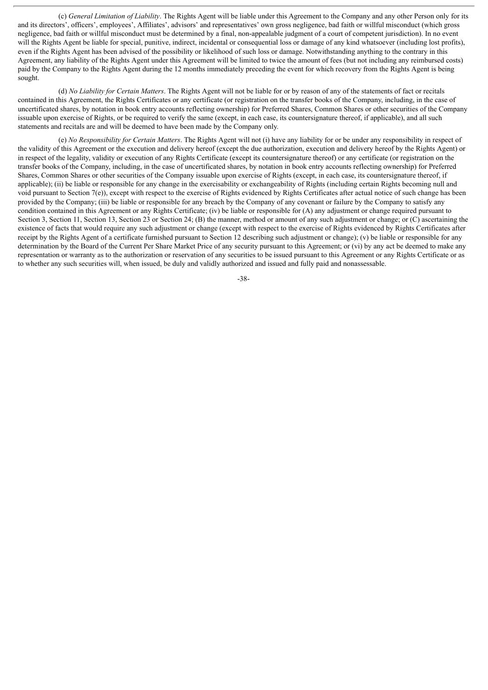(c) *General Limitation of Liability*. The Rights Agent will be liable under this Agreement to the Company and any other Person only for its and its directors', officers', employees', Affiliates', advisors' and representatives' own gross negligence, bad faith or willful misconduct (which gross negligence, bad faith or willful misconduct must be determined by a final, non-appealable judgment of a court of competent jurisdiction). In no event will the Rights Agent be liable for special, punitive, indirect, incidental or consequential loss or damage of any kind whatsoever (including lost profits). even if the Rights Agent has been advised of the possibility or likelihood of such loss or damage. Notwithstanding anything to the contrary in this Agreement, any liability of the Rights Agent under this Agreement will be limited to twice the amount of fees (but not including any reimbursed costs) paid by the Company to the Rights Agent during the 12 months immediately preceding the event for which recovery from the Rights Agent is being sought.

(d) *No Liability for Certain Matters*. The Rights Agent will not be liable for or by reason of any of the statements of fact or recitals contained in this Agreement, the Rights Certificates or any certificate (or registration on the transfer books of the Company, including, in the case of uncertificated shares, by notation in book entry accounts reflecting ownership) for Preferred Shares, Common Shares or other securities of the Company issuable upon exercise of Rights, or be required to verify the same (except, in each case, its countersignature thereof, if applicable), and all such statements and recitals are and will be deemed to have been made by the Company only.

(e) *No Responsibility for Certain Matters*. The Rights Agent will not (i) have any liability for or be under any responsibility in respect of the validity of this Agreement or the execution and delivery hereof (except the due authorization, execution and delivery hereof by the Rights Agent) or in respect of the legality, validity or execution of any Rights Certificate (except its countersignature thereof) or any certificate (or registration on the transfer books of the Company, including, in the case of uncertificated shares, by notation in book entry accounts reflecting ownership) for Preferred Shares, Common Shares or other securities of the Company issuable upon exercise of Rights (except, in each case, its countersignature thereof, if applicable); (ii) be liable or responsible for any change in the exercisability or exchangeability of Rights (including certain Rights becoming null and void pursuant to Section 7(e)), except with respect to the exercise of Rights evidenced by Rights Certificates after actual notice of such change has been provided by the Company; (iii) be liable or responsible for any breach by the Company of any covenant or failure by the Company to satisfy any condition contained in this Agreement or any Rights Certificate; (iv) be liable or responsible for (A) any adjustment or change required pursuant to Section 3, Section 11, Section 13, Section 23 or Section 24; (B) the manner, method or amount of any such adjustment or change; or (C) ascertaining the existence of facts that would require any such adjustment or change (except with respect to the exercise of Rights evidenced by Rights Certificates after receipt by the Rights Agent of a certificate furnished pursuant to Section 12 describing such adjustment or change); (v) be liable or responsible for any determination by the Board of the Current Per Share Market Price of any security pursuant to this Agreement; or (vi) by any act be deemed to make any representation or warranty as to the authorization or reservation of any securities to be issued pursuant to this Agreement or any Rights Certificate or as to whether any such securities will, when issued, be duly and validly authorized and issued and fully paid and nonassessable.

-38-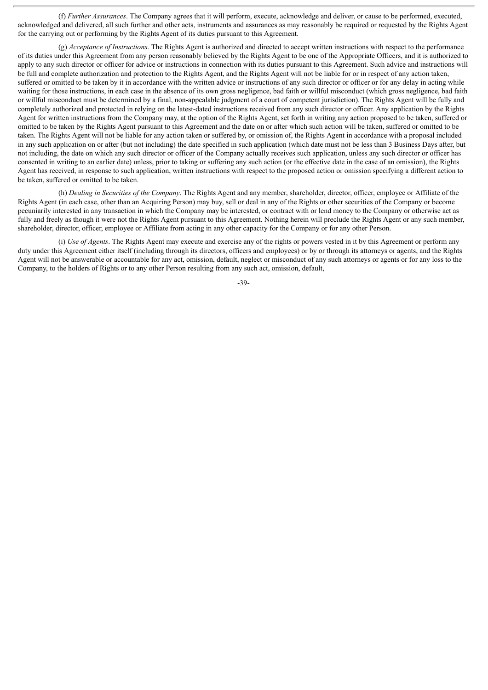(f) *Further Assurances*. The Company agrees that it will perform, execute, acknowledge and deliver, or cause to be performed, executed, acknowledged and delivered, all such further and other acts, instruments and assurances as may reasonably be required or requested by the Rights Agent for the carrying out or performing by the Rights Agent of its duties pursuant to this Agreement.

(g) *Acceptance of Instructions*. The Rights Agent is authorized and directed to accept written instructions with respect to the performance of its duties under this Agreement from any person reasonably believed by the Rights Agent to be one of the Appropriate Officers, and it is authorized to apply to any such director or officer for advice or instructions in connection with its duties pursuant to this Agreement. Such advice and instructions will be full and complete authorization and protection to the Rights Agent, and the Rights Agent will not be liable for or in respect of any action taken, suffered or omitted to be taken by it in accordance with the written advice or instructions of any such director or officer or for any delay in acting while waiting for those instructions, in each case in the absence of its own gross negligence, bad faith or willful misconduct (which gross negligence, bad faith or willful misconduct must be determined by a final, non-appealable judgment of a court of competent jurisdiction). The Rights Agent will be fully and completely authorized and protected in relying on the latest-dated instructions received from any such director or officer. Any application by the Rights Agent for written instructions from the Company may, at the option of the Rights Agent, set forth in writing any action proposed to be taken, suffered or omitted to be taken by the Rights Agent pursuant to this Agreement and the date on or after which such action will be taken, suffered or omitted to be taken. The Rights Agent will not be liable for any action taken or suffered by, or omission of, the Rights Agent in accordance with a proposal included in any such application on or after (but not including) the date specified in such application (which date must not be less than 3 Business Days after, but not including, the date on which any such director or officer of the Company actually receives such application, unless any such director or officer has consented in writing to an earlier date) unless, prior to taking or suffering any such action (or the effective date in the case of an omission), the Rights Agent has received, in response to such application, written instructions with respect to the proposed action or omission specifying a different action to be taken, suffered or omitted to be taken.

(h) *Dealing in Securities of the Company*. The Rights Agent and any member, shareholder, director, officer, employee or Affiliate of the Rights Agent (in each case, other than an Acquiring Person) may buy, sell or deal in any of the Rights or other securities of the Company or become pecuniarily interested in any transaction in which the Company may be interested, or contract with or lend money to the Company or otherwise act as fully and freely as though it were not the Rights Agent pursuant to this Agreement. Nothing herein will preclude the Rights Agent or any such member, shareholder, director, officer, employee or Affiliate from acting in any other capacity for the Company or for any other Person.

(i) *Use of Agents*. The Rights Agent may execute and exercise any of the rights or powers vested in it by this Agreement or perform any duty under this Agreement either itself (including through its directors, officers and employees) or by or through its attorneys or agents, and the Rights Agent will not be answerable or accountable for any act, omission, default, neglect or misconduct of any such attorneys or agents or for any loss to the Company, to the holders of Rights or to any other Person resulting from any such act, omission, default,

-39-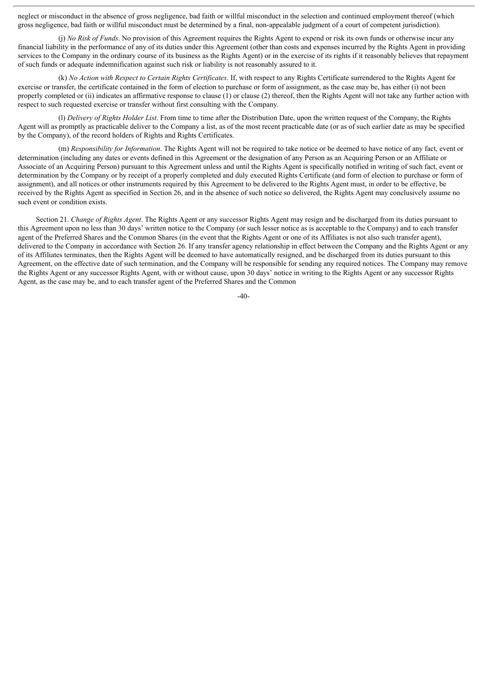neglect or misconduct in the absence of gross negligence, bad faith or willful misconduct in the selection and continued employment thereof (which gross negligence, bad faith or willful misconduct must be determined by a final, non-appealable judgment of a court of competent jurisdiction).

(j) *No Risk of Funds*. No provision of this Agreement requires the Rights Agent to expend or risk its own funds or otherwise incur any financial liability in the performance of any of its duties under this Agreement (other than costs and expenses incurred by the Rights Agent in providing services to the Company in the ordinary course of its business as the Rights Agent) or in the exercise of its rights if it reasonably believes that repayment of such funds or adequate indemnification against such risk or liability is not reasonably assured to it.

(k) *No Action with Respect to Certain Rights Certificates*. If, with respect to any Rights Certificate surrendered to the Rights Agent for exercise or transfer, the certificate contained in the form of election to purchase or form of assignment, as the case may be, has either (i) not been properly completed or (ii) indicates an affirmative response to clause (1) or clause (2) thereof, then the Rights Agent will not take any further action with respect to such requested exercise or transfer without first consulting with the Company.

(l) *Delivery of Rights Holder List*. From time to time after the Distribution Date, upon the written request of the Company, the Rights Agent will as promptly as practicable deliver to the Company a list, as of the most recent practicable date (or as of such earlier date as may be specified by the Company), of the record holders of Rights and Rights Certificates.

(m) *Responsibility for Information*. The Rights Agent will not be required to take notice or be deemed to have notice of any fact, event or determination (including any dates or events defined in this Agreement or the designation of any Person as an Acquiring Person or an Affiliate or Associate of an Acquiring Person) pursuant to this Agreement unless and until the Rights Agent is specifically notified in writing of such fact, event or determination by the Company or by receipt of a properly completed and duly executed Rights Certificate (and form of election to purchase or form of assignment), and all notices or other instruments required by this Agreement to be delivered to the Rights Agent must, in order to be effective, be received by the Rights Agent as specified in Section 26, and in the absence of such notice so delivered, the Rights Agent may conclusively assume no such event or condition exists.

Section 21. *Change of Rights Agent*. The Rights Agent or any successor Rights Agent may resign and be discharged from its duties pursuant to this Agreement upon no less than 30 days' written notice to the Company (or such lesser notice as is acceptable to the Company) and to each transfer agent of the Preferred Shares and the Common Shares (in the event that the Rights Agent or one of its Affiliates is not also such transfer agent), delivered to the Company in accordance with Section 26. If any transfer agency relationship in effect between the Company and the Rights Agent or any of its Affiliates terminates, then the Rights Agent will be deemed to have automatically resigned, and be discharged from its duties pursuant to this Agreement, on the effective date of such termination, and the Company will be responsible for sending any required notices. The Company may remove the Rights Agent or any successor Rights Agent, with or without cause, upon 30 days' notice in writing to the Rights Agent or any successor Rights Agent, as the case may be, and to each transfer agent of the Preferred Shares and the Common

-40-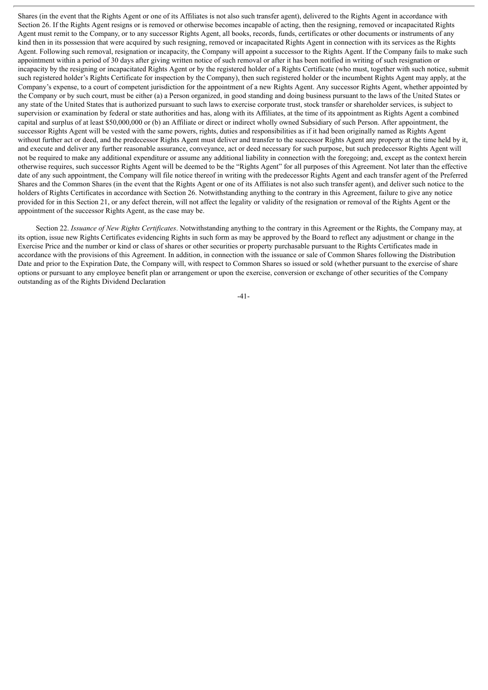Shares (in the event that the Rights Agent or one of its Affiliates is not also such transfer agent), delivered to the Rights Agent in accordance with Section 26. If the Rights Agent resigns or is removed or otherwise becomes incapable of acting, then the resigning, removed or incapacitated Rights Agent must remit to the Company, or to any successor Rights Agent, all books, records, funds, certificates or other documents or instruments of any kind then in its possession that were acquired by such resigning, removed or incapacitated Rights Agent in connection with its services as the Rights Agent. Following such removal, resignation or incapacity, the Company will appoint a successor to the Rights Agent. If the Company fails to make such appointment within a period of 30 days after giving written notice of such removal or after it has been notified in writing of such resignation or incapacity by the resigning or incapacitated Rights Agent or by the registered holder of a Rights Certificate (who must, together with such notice, submit such registered holder's Rights Certificate for inspection by the Company), then such registered holder or the incumbent Rights Agent may apply, at the Company's expense, to a court of competent jurisdiction for the appointment of a new Rights Agent. Any successor Rights Agent, whether appointed by the Company or by such court, must be either (a) a Person organized, in good standing and doing business pursuant to the laws of the United States or any state of the United States that is authorized pursuant to such laws to exercise corporate trust, stock transfer or shareholder services, is subject to supervision or examination by federal or state authorities and has, along with its Affiliates, at the time of its appointment as Rights Agent a combined capital and surplus of at least \$50,000,000 or (b) an Affiliate or direct or indirect wholly owned Subsidiary of such Person. After appointment, the successor Rights Agent will be vested with the same powers, rights, duties and responsibilities as if it had been originally named as Rights Agent without further act or deed, and the predecessor Rights Agent must deliver and transfer to the successor Rights Agent any property at the time held by it, and execute and deliver any further reasonable assurance, conveyance, act or deed necessary for such purpose, but such predecessor Rights Agent will not be required to make any additional expenditure or assume any additional liability in connection with the foregoing; and, except as the context herein otherwise requires, such successor Rights Agent will be deemed to be the "Rights Agent" for all purposes of this Agreement. Not later than the effective date of any such appointment, the Company will file notice thereof in writing with the predecessor Rights Agent and each transfer agent of the Preferred Shares and the Common Shares (in the event that the Rights Agent or one of its Affiliates is not also such transfer agent), and deliver such notice to the holders of Rights Certificates in accordance with Section 26. Notwithstanding anything to the contrary in this Agreement, failure to give any notice provided for in this Section 21, or any defect therein, will not affect the legality or validity of the resignation or removal of the Rights Agent or the appointment of the successor Rights Agent, as the case may be.

Section 22. *Issuance of New Rights Certificates*. Notwithstanding anything to the contrary in this Agreement or the Rights, the Company may, at its option, issue new Rights Certificates evidencing Rights in such form as may be approved by the Board to reflect any adjustment or change in the Exercise Price and the number or kind or class of shares or other securities or property purchasable pursuant to the Rights Certificates made in accordance with the provisions of this Agreement. In addition, in connection with the issuance or sale of Common Shares following the Distribution Date and prior to the Expiration Date, the Company will, with respect to Common Shares so issued or sold (whether pursuant to the exercise of share options or pursuant to any employee benefit plan or arrangement or upon the exercise, conversion or exchange of other securities of the Company outstanding as of the Rights Dividend Declaration

-41-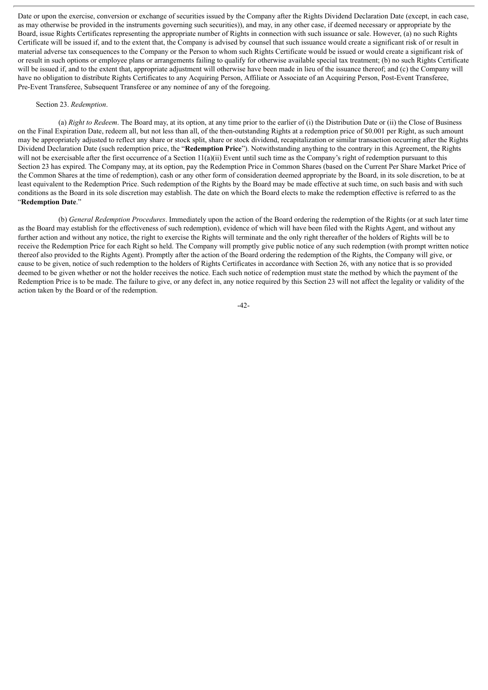Date or upon the exercise, conversion or exchange of securities issued by the Company after the Rights Dividend Declaration Date (except, in each case, as may otherwise be provided in the instruments governing such securities)), and may, in any other case, if deemed necessary or appropriate by the Board, issue Rights Certificates representing the appropriate number of Rights in connection with such issuance or sale. However, (a) no such Rights Certificate will be issued if, and to the extent that, the Company is advised by counsel that such issuance would create a significant risk of or result in material adverse tax consequences to the Company or the Person to whom such Rights Certificate would be issued or would create a significant risk of or result in such options or employee plans or arrangements failing to qualify for otherwise available special tax treatment; (b) no such Rights Certificate will be issued if, and to the extent that, appropriate adjustment will otherwise have been made in lieu of the issuance thereof; and (c) the Company will have no obligation to distribute Rights Certificates to any Acquiring Person, Affiliate or Associate of an Acquiring Person, Post-Event Transferee, Pre-Event Transferee, Subsequent Transferee or any nominee of any of the foregoing.

### Section 23. *Redemption*.

(a) *Right to Redeem*. The Board may, at its option, at any time prior to the earlier of (i) the Distribution Date or (ii) the Close of Business on the Final Expiration Date, redeem all, but not less than all, of the then-outstanding Rights at a redemption price of \$0.001 per Right, as such amount may be appropriately adjusted to reflect any share or stock split, share or stock dividend, recapitalization or similar transaction occurring after the Rights Dividend Declaration Date (such redemption price, the "**Redemption Price**"). Notwithstanding anything to the contrary in this Agreement, the Rights will not be exercisable after the first occurrence of a Section  $11(a)(ii)$  Event until such time as the Company's right of redemption pursuant to this Section 23 has expired. The Company may, at its option, pay the Redemption Price in Common Shares (based on the Current Per Share Market Price of the Common Shares at the time of redemption), cash or any other form of consideration deemed appropriate by the Board, in its sole discretion, to be at least equivalent to the Redemption Price. Such redemption of the Rights by the Board may be made effective at such time, on such basis and with such conditions as the Board in its sole discretion may establish. The date on which the Board elects to make the redemption effective is referred to as the "**Redemption Date**."

(b) *General Redemption Procedures*. Immediately upon the action of the Board ordering the redemption of the Rights (or at such later time as the Board may establish for the effectiveness of such redemption), evidence of which will have been filed with the Rights Agent, and without any further action and without any notice, the right to exercise the Rights will terminate and the only right thereafter of the holders of Rights will be to receive the Redemption Price for each Right so held. The Company will promptly give public notice of any such redemption (with prompt written notice thereof also provided to the Rights Agent). Promptly after the action of the Board ordering the redemption of the Rights, the Company will give, or cause to be given, notice of such redemption to the holders of Rights Certificates in accordance with Section 26, with any notice that is so provided deemed to be given whether or not the holder receives the notice. Each such notice of redemption must state the method by which the payment of the Redemption Price is to be made. The failure to give, or any defect in, any notice required by this Section 23 will not affect the legality or validity of the action taken by the Board or of the redemption.

 $-42-$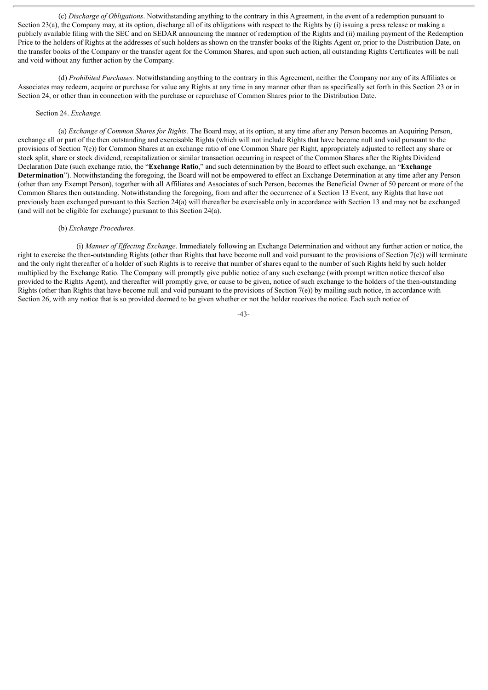(c) *Discharge of Obligations*. Notwithstanding anything to the contrary in this Agreement, in the event of a redemption pursuant to Section 23(a), the Company may, at its option, discharge all of its obligations with respect to the Rights by (i) issuing a press release or making a publicly available filing with the SEC and on SEDAR announcing the manner of redemption of the Rights and (ii) mailing payment of the Redemption Price to the holders of Rights at the addresses of such holders as shown on the transfer books of the Rights Agent or, prior to the Distribution Date, on the transfer books of the Company or the transfer agent for the Common Shares, and upon such action, all outstanding Rights Certificates will be null and void without any further action by the Company.

(d) *Prohibited Purchases*. Notwithstanding anything to the contrary in this Agreement, neither the Company nor any of its Affiliates or Associates may redeem, acquire or purchase for value any Rights at any time in any manner other than as specifically set forth in this Section 23 or in Section 24, or other than in connection with the purchase or repurchase of Common Shares prior to the Distribution Date.

### Section 24. *Exchange*.

(a) *Exchange of Common Shares for Rights*. The Board may, at its option, at any time after any Person becomes an Acquiring Person, exchange all or part of the then outstanding and exercisable Rights (which will not include Rights that have become null and void pursuant to the provisions of Section 7(e)) for Common Shares at an exchange ratio of one Common Share per Right, appropriately adjusted to reflect any share or stock split, share or stock dividend, recapitalization or similar transaction occurring in respect of the Common Shares after the Rights Dividend Declaration Date (such exchange ratio, the "**Exchange Ratio**," and such determination by the Board to effect such exchange, an "**Exchange Determination**"). Notwithstanding the foregoing, the Board will not be empowered to effect an Exchange Determination at any time after any Person (other than any Exempt Person), together with all Affiliates and Associates of such Person, becomes the Beneficial Owner of 50 percent or more of the Common Shares then outstanding. Notwithstanding the foregoing, from and after the occurrence of a Section 13 Event, any Rights that have not previously been exchanged pursuant to this Section 24(a) will thereafter be exercisable only in accordance with Section 13 and may not be exchanged (and will not be eligible for exchange) pursuant to this Section 24(a).

## (b) *Exchange Procedures*.

(i) *Manner of Ef ecting Exchange*. Immediately following an Exchange Determination and without any further action or notice, the right to exercise the then-outstanding Rights (other than Rights that have become null and void pursuant to the provisions of Section 7(e)) will terminate and the only right thereafter of a holder of such Rights is to receive that number of shares equal to the number of such Rights held by such holder multiplied by the Exchange Ratio. The Company will promptly give public notice of any such exchange (with prompt written notice thereof also provided to the Rights Agent), and thereafter will promptly give, or cause to be given, notice of such exchange to the holders of the then-outstanding Rights (other than Rights that have become null and void pursuant to the provisions of Section 7(e)) by mailing such notice, in accordance with Section 26, with any notice that is so provided deemed to be given whether or not the holder receives the notice. Each such notice of

-43-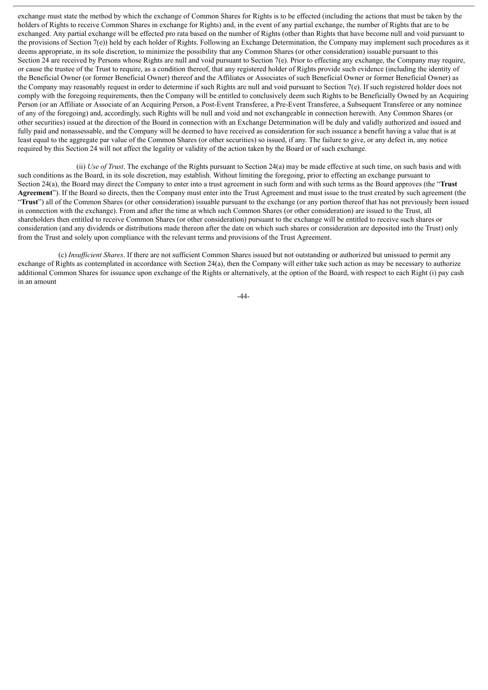exchange must state the method by which the exchange of Common Shares for Rights is to be effected (including the actions that must be taken by the holders of Rights to receive Common Shares in exchange for Rights) and, in the event of any partial exchange, the number of Rights that are to be exchanged. Any partial exchange will be effected pro rata based on the number of Rights (other than Rights that have become null and void pursuant to the provisions of Section 7(e)) held by each holder of Rights. Following an Exchange Determination, the Company may implement such procedures as it deems appropriate, in its sole discretion, to minimize the possibility that any Common Shares (or other consideration) issuable pursuant to this Section 24 are received by Persons whose Rights are null and void pursuant to Section 7(e). Prior to effecting any exchange, the Company may require, or cause the trustee of the Trust to require, as a condition thereof, that any registered holder of Rights provide such evidence (including the identity of the Beneficial Owner (or former Beneficial Owner) thereof and the Affiliates or Associates of such Beneficial Owner or former Beneficial Owner) as the Company may reasonably request in order to determine if such Rights are null and void pursuant to Section 7(e). If such registered holder does not comply with the foregoing requirements, then the Company will be entitled to conclusively deem such Rights to be Beneficially Owned by an Acquiring Person (or an Affiliate or Associate of an Acquiring Person, a Post-Event Transferee, a Pre-Event Transferee, a Subsequent Transferee or any nominee of any of the foregoing) and, accordingly, such Rights will be null and void and not exchangeable in connection herewith. Any Common Shares (or other securities) issued at the direction of the Board in connection with an Exchange Determination will be duly and validly authorized and issued and fully paid and nonassessable, and the Company will be deemed to have received as consideration for such issuance a benefit having a value that is at least equal to the aggregate par value of the Common Shares (or other securities) so issued, if any. The failure to give, or any defect in, any notice required by this Section 24 will not affect the legality or validity of the action taken by the Board or of such exchange.

(ii) *Use of Trust*. The exchange of the Rights pursuant to Section 24(a) may be made effective at such time, on such basis and with such conditions as the Board, in its sole discretion, may establish. Without limiting the foregoing, prior to effecting an exchange pursuant to Section 24(a), the Board may direct the Company to enter into a trust agreement in such form and with such terms as the Board approves (the "**Trust Agreement**"). If the Board so directs, then the Company must enter into the Trust Agreement and must issue to the trust created by such agreement (the "Trust") all of the Common Shares (or other consideration) issuable pursuant to the exchange (or any portion thereof that has not previously been issued in connection with the exchange). From and after the time at which such Common Shares (or other consideration) are issued to the Trust, all shareholders then entitled to receive Common Shares (or other consideration) pursuant to the exchange will be entitled to receive such shares or consideration (and any dividends or distributions made thereon after the date on which such shares or consideration are deposited into the Trust) only from the Trust and solely upon compliance with the relevant terms and provisions of the Trust Agreement.

(c) *Insuf icient Shares*. If there are not sufficient Common Shares issued but not outstanding or authorized but unissued to permit any exchange of Rights as contemplated in accordance with Section 24(a), then the Company will either take such action as may be necessary to authorize additional Common Shares for issuance upon exchange of the Rights or alternatively, at the option of the Board, with respect to each Right (i) pay cash in an amount

-44-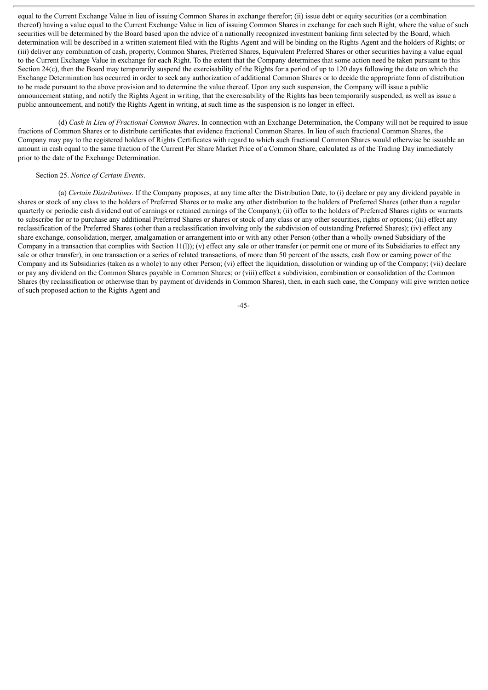equal to the Current Exchange Value in lieu of issuing Common Shares in exchange therefor; (ii) issue debt or equity securities (or a combination thereof) having a value equal to the Current Exchange Value in lieu of issuing Common Shares in exchange for each such Right, where the value of such securities will be determined by the Board based upon the advice of a nationally recognized investment banking firm selected by the Board, which determination will be described in a written statement filed with the Rights Agent and will be binding on the Rights Agent and the holders of Rights; or (iii) deliver any combination of cash, property, Common Shares, Preferred Shares, Equivalent Preferred Shares or other securities having a value equal to the Current Exchange Value in exchange for each Right. To the extent that the Company determines that some action need be taken pursuant to this Section 24(c), then the Board may temporarily suspend the exercisability of the Rights for a period of up to 120 days following the date on which the Exchange Determination has occurred in order to seek any authorization of additional Common Shares or to decide the appropriate form of distribution to be made pursuant to the above provision and to determine the value thereof. Upon any such suspension, the Company will issue a public announcement stating, and notify the Rights Agent in writing, that the exercisability of the Rights has been temporarily suspended, as well as issue a public announcement, and notify the Rights Agent in writing, at such time as the suspension is no longer in effect.

(d) *Cash in Lieu of Fractional Common Shares*. In connection with an Exchange Determination, the Company will not be required to issue fractions of Common Shares or to distribute certificates that evidence fractional Common Shares. In lieu of such fractional Common Shares, the Company may pay to the registered holders of Rights Certificates with regard to which such fractional Common Shares would otherwise be issuable an amount in cash equal to the same fraction of the Current Per Share Market Price of a Common Share, calculated as of the Trading Day immediately prior to the date of the Exchange Determination.

## Section 25. *Notice of Certain Events*.

(a) *Certain Distributions*. If the Company proposes, at any time after the Distribution Date, to (i) declare or pay any dividend payable in shares or stock of any class to the holders of Preferred Shares or to make any other distribution to the holders of Preferred Shares (other than a regular quarterly or periodic cash dividend out of earnings or retained earnings of the Company); (ii) offer to the holders of Preferred Shares rights or warrants to subscribe for or to purchase any additional Preferred Shares or shares or stock of any class or any other securities, rights or options; (iii) effect any reclassification of the Preferred Shares (other than a reclassification involving only the subdivision of outstanding Preferred Shares); (iv) effect any share exchange, consolidation, merger, amalgamation or arrangement into or with any other Person (other than a wholly owned Subsidiary of the Company in a transaction that complies with Section 11(l)); (v) effect any sale or other transfer (or permit one or more of its Subsidiaries to effect any sale or other transfer), in one transaction or a series of related transactions, of more than 50 percent of the assets, cash flow or earning power of the Company and its Subsidiaries (taken as a whole) to any other Person; (vi) effect the liquidation, dissolution or winding up of the Company; (vii) declare or pay any dividend on the Common Shares payable in Common Shares; or (viii) effect a subdivision, combination or consolidation of the Common Shares (by reclassification or otherwise than by payment of dividends in Common Shares), then, in each such case, the Company will give written notice of such proposed action to the Rights Agent and

-45-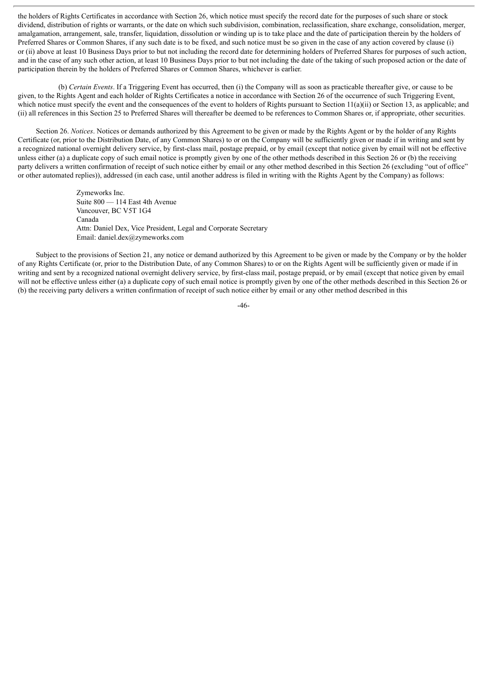the holders of Rights Certificates in accordance with Section 26, which notice must specify the record date for the purposes of such share or stock dividend, distribution of rights or warrants, or the date on which such subdivision, combination, reclassification, share exchange, consolidation, merger, amalgamation, arrangement, sale, transfer, liquidation, dissolution or winding up is to take place and the date of participation therein by the holders of Preferred Shares or Common Shares, if any such date is to be fixed, and such notice must be so given in the case of any action covered by clause (i) or (ii) above at least 10 Business Days prior to but not including the record date for determining holders of Preferred Shares for purposes of such action, and in the case of any such other action, at least 10 Business Days prior to but not including the date of the taking of such proposed action or the date of participation therein by the holders of Preferred Shares or Common Shares, whichever is earlier.

(b) *Certain Events*. If a Triggering Event has occurred, then (i) the Company will as soon as practicable thereafter give, or cause to be given, to the Rights Agent and each holder of Rights Certificates a notice in accordance with Section 26 of the occurrence of such Triggering Event, which notice must specify the event and the consequences of the event to holders of Rights pursuant to Section  $(1)(a)(ii)$  or Section  $(1)(a)(ii)$ (ii) all references in this Section 25 to Preferred Shares will thereafter be deemed to be references to Common Shares or, if appropriate, other securities.

Section 26. *Notices*. Notices or demands authorized by this Agreement to be given or made by the Rights Agent or by the holder of any Rights Certificate (or, prior to the Distribution Date, of any Common Shares) to or on the Company will be sufficiently given or made if in writing and sent by a recognized national overnight delivery service, by first-class mail, postage prepaid, or by email (except that notice given by email will not be effective unless either (a) a duplicate copy of such email notice is promptly given by one of the other methods described in this Section 26 or (b) the receiving party delivers a written confirmation of receipt of such notice either by email or any other method described in this Section 26 (excluding "out of office" or other automated replies)), addressed (in each case, until another address is filed in writing with the Rights Agent by the Company) as follows:

> Zymeworks Inc. Suite 800 — 114 East 4th Avenue Vancouver, BC V5T 1G4 Canada Attn: Daniel Dex, Vice President, Legal and Corporate Secretary Email: daniel.dex@zymeworks.com

Subject to the provisions of Section 21, any notice or demand authorized by this Agreement to be given or made by the Company or by the holder of any Rights Certificate (or, prior to the Distribution Date, of any Common Shares) to or on the Rights Agent will be sufficiently given or made if in writing and sent by a recognized national overnight delivery service, by first-class mail, postage prepaid, or by email (except that notice given by email will not be effective unless either (a) a duplicate copy of such email notice is promptly given by one of the other methods described in this Section 26 or (b) the receiving party delivers a written confirmation of receipt of such notice either by email or any other method described in this

-46-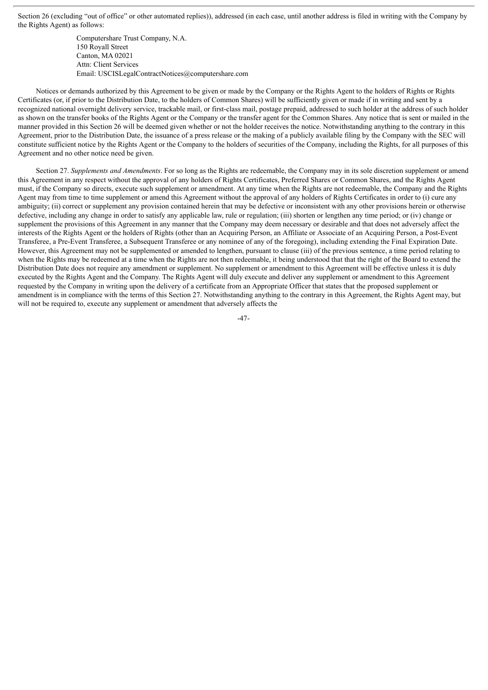Section 26 (excluding "out of office" or other automated replies)), addressed (in each case, until another address is filed in writing with the Company by the Rights Agent) as follows:

> Computershare Trust Company, N.A. 150 Royall Street Canton, MA 02021 Attn: Client Services Email: USCISLegalContractNotices@computershare.com

Notices or demands authorized by this Agreement to be given or made by the Company or the Rights Agent to the holders of Rights or Rights Certificates (or, if prior to the Distribution Date, to the holders of Common Shares) will be sufficiently given or made if in writing and sent by a recognized national overnight delivery service, trackable mail, or first-class mail, postage prepaid, addressed to such holder at the address of such holder as shown on the transfer books of the Rights Agent or the Company or the transfer agent for the Common Shares. Any notice that is sent or mailed in the manner provided in this Section 26 will be deemed given whether or not the holder receives the notice. Notwithstanding anything to the contrary in this Agreement, prior to the Distribution Date, the issuance of a press release or the making of a publicly available filing by the Company with the SEC will constitute sufficient notice by the Rights Agent or the Company to the holders of securities of the Company, including the Rights, for all purposes of this Agreement and no other notice need be given.

Section 27. *Supplements and Amendments*. For so long as the Rights are redeemable, the Company may in its sole discretion supplement or amend this Agreement in any respect without the approval of any holders of Rights Certificates, Preferred Shares or Common Shares, and the Rights Agent must, if the Company so directs, execute such supplement or amendment. At any time when the Rights are not redeemable, the Company and the Rights Agent may from time to time supplement or amend this Agreement without the approval of any holders of Rights Certificates in order to (i) cure any ambiguity; (ii) correct or supplement any provision contained herein that may be defective or inconsistent with any other provisions herein or otherwise defective, including any change in order to satisfy any applicable law, rule or regulation; (iii) shorten or lengthen any time period; or (iv) change or supplement the provisions of this Agreement in any manner that the Company may deem necessary or desirable and that does not adversely affect the interests of the Rights Agent or the holders of Rights (other than an Acquiring Person, an Affiliate or Associate of an Acquiring Person, a Post-Event Transferee, a Pre-Event Transferee, a Subsequent Transferee or any nominee of any of the foregoing), including extending the Final Expiration Date. However, this Agreement may not be supplemented or amended to lengthen, pursuant to clause (iii) of the previous sentence, a time period relating to when the Rights may be redeemed at a time when the Rights are not then redeemable, it being understood that that the right of the Board to extend the Distribution Date does not require any amendment or supplement. No supplement or amendment to this Agreement will be effective unless it is duly executed by the Rights Agent and the Company. The Rights Agent will duly execute and deliver any supplement or amendment to this Agreement requested by the Company in writing upon the delivery of a certificate from an Appropriate Officer that states that the proposed supplement or amendment is in compliance with the terms of this Section 27. Notwithstanding anything to the contrary in this Agreement, the Rights Agent may, but will not be required to, execute any supplement or amendment that adversely affects the

-47-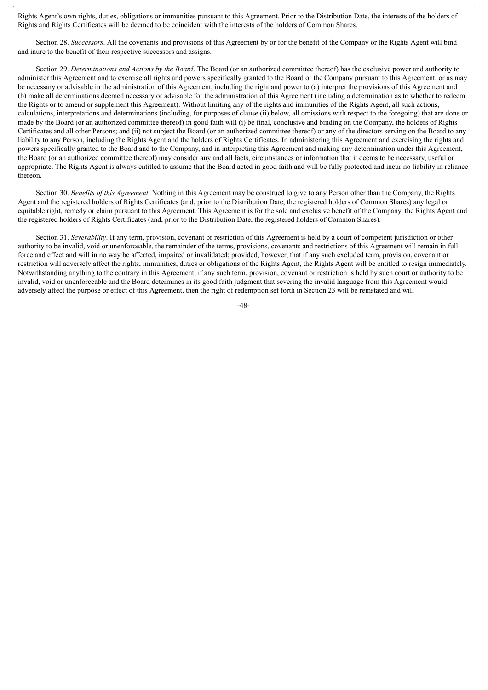Rights Agent's own rights, duties, obligations or immunities pursuant to this Agreement. Prior to the Distribution Date, the interests of the holders of Rights and Rights Certificates will be deemed to be coincident with the interests of the holders of Common Shares.

Section 28. *Successors*. All the covenants and provisions of this Agreement by or for the benefit of the Company or the Rights Agent will bind and inure to the benefit of their respective successors and assigns.

Section 29. *Determinations and Actions by the Board*. The Board (or an authorized committee thereof) has the exclusive power and authority to administer this Agreement and to exercise all rights and powers specifically granted to the Board or the Company pursuant to this Agreement, or as may be necessary or advisable in the administration of this Agreement, including the right and power to (a) interpret the provisions of this Agreement and (b) make all determinations deemed necessary or advisable for the administration of this Agreement (including a determination as to whether to redeem the Rights or to amend or supplement this Agreement). Without limiting any of the rights and immunities of the Rights Agent, all such actions, calculations, interpretations and determinations (including, for purposes of clause (ii) below, all omissions with respect to the foregoing) that are done or made by the Board (or an authorized committee thereof) in good faith will (i) be final, conclusive and binding on the Company, the holders of Rights Certificates and all other Persons; and (ii) not subject the Board (or an authorized committee thereof) or any of the directors serving on the Board to any liability to any Person, including the Rights Agent and the holders of Rights Certificates. In administering this Agreement and exercising the rights and powers specifically granted to the Board and to the Company, and in interpreting this Agreement and making any determination under this Agreement, the Board (or an authorized committee thereof) may consider any and all facts, circumstances or information that it deems to be necessary, useful or appropriate. The Rights Agent is always entitled to assume that the Board acted in good faith and will be fully protected and incur no liability in reliance thereon.

Section 30. *Benefits of this Agreement*. Nothing in this Agreement may be construed to give to any Person other than the Company, the Rights Agent and the registered holders of Rights Certificates (and, prior to the Distribution Date, the registered holders of Common Shares) any legal or equitable right, remedy or claim pursuant to this Agreement. This Agreement is for the sole and exclusive benefit of the Company, the Rights Agent and the registered holders of Rights Certificates (and, prior to the Distribution Date, the registered holders of Common Shares).

Section 31. *Severability*. If any term, provision, covenant or restriction of this Agreement is held by a court of competent jurisdiction or other authority to be invalid, void or unenforceable, the remainder of the terms, provisions, covenants and restrictions of this Agreement will remain in full force and effect and will in no way be affected, impaired or invalidated; provided, however, that if any such excluded term, provision, covenant or restriction will adversely affect the rights, immunities, duties or obligations of the Rights Agent, the Rights Agent will be entitled to resign immediately. Notwithstanding anything to the contrary in this Agreement, if any such term, provision, covenant or restriction is held by such court or authority to be invalid, void or unenforceable and the Board determines in its good faith judgment that severing the invalid language from this Agreement would adversely affect the purpose or effect of this Agreement, then the right of redemption set forth in Section 23 will be reinstated and will

 $-48-$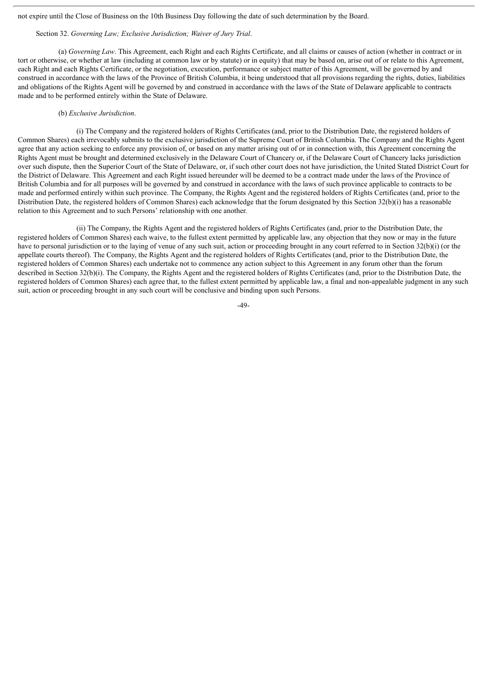not expire until the Close of Business on the 10th Business Day following the date of such determination by the Board.

## Section 32. *Governing Law; Exclusive Jurisdiction; Waiver of Jury Trial*.

(a) *Governing Law*. This Agreement, each Right and each Rights Certificate, and all claims or causes of action (whether in contract or in tort or otherwise, or whether at law (including at common law or by statute) or in equity) that may be based on, arise out of or relate to this Agreement, each Right and each Rights Certificate, or the negotiation, execution, performance or subject matter of this Agreement, will be governed by and construed in accordance with the laws of the Province of British Columbia, it being understood that all provisions regarding the rights, duties, liabilities and obligations of the Rights Agent will be governed by and construed in accordance with the laws of the State of Delaware applicable to contracts made and to be performed entirely within the State of Delaware.

### (b) *Exclusive Jurisdiction*.

(i) The Company and the registered holders of Rights Certificates (and, prior to the Distribution Date, the registered holders of Common Shares) each irrevocably submits to the exclusive jurisdiction of the Supreme Court of British Columbia. The Company and the Rights Agent agree that any action seeking to enforce any provision of, or based on any matter arising out of or in connection with, this Agreement concerning the Rights Agent must be brought and determined exclusively in the Delaware Court of Chancery or, if the Delaware Court of Chancery lacks jurisdiction over such dispute, then the Superior Court of the State of Delaware, or, if such other court does not have jurisdiction, the United Stated District Court for the District of Delaware. This Agreement and each Right issued hereunder will be deemed to be a contract made under the laws of the Province of British Columbia and for all purposes will be governed by and construed in accordance with the laws of such province applicable to contracts to be made and performed entirely within such province. The Company, the Rights Agent and the registered holders of Rights Certificates (and, prior to the Distribution Date, the registered holders of Common Shares) each acknowledge that the forum designated by this Section 32(b)(i) has a reasonable relation to this Agreement and to such Persons' relationship with one another.

(ii) The Company, the Rights Agent and the registered holders of Rights Certificates (and, prior to the Distribution Date, the registered holders of Common Shares) each waive, to the fullest extent permitted by applicable law, any objection that they now or may in the future have to personal jurisdiction or to the laying of venue of any such suit, action or proceeding brought in any court referred to in Section 32(b)(i) (or the appellate courts thereof). The Company, the Rights Agent and the registered holders of Rights Certificates (and, prior to the Distribution Date, the registered holders of Common Shares) each undertake not to commence any action subject to this Agreement in any forum other than the forum described in Section 32(b)(i). The Company, the Rights Agent and the registered holders of Rights Certificates (and, prior to the Distribution Date, the registered holders of Common Shares) each agree that, to the fullest extent permitted by applicable law, a final and non-appealable judgment in any such suit, action or proceeding brought in any such court will be conclusive and binding upon such Persons.

 $-49-$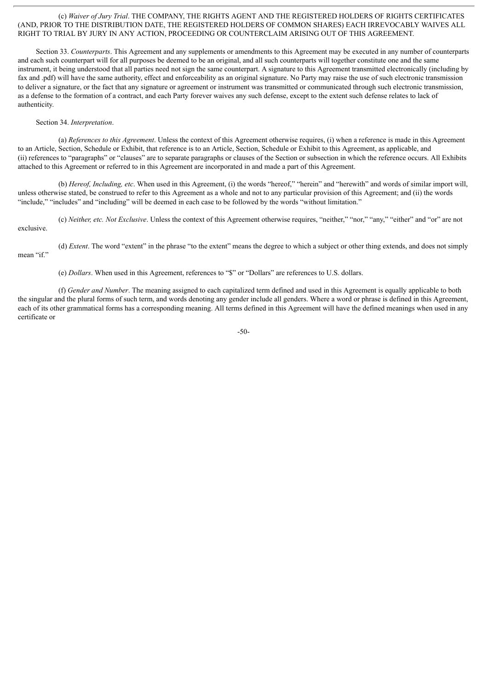## (c) *Waiver of Jury Trial*. THE COMPANY, THE RIGHTS AGENT AND THE REGISTERED HOLDERS OF RIGHTS CERTIFICATES (AND, PRIOR TO THE DISTRIBUTION DATE, THE REGISTERED HOLDERS OF COMMON SHARES) EACH IRREVOCABLY WAIVES ALL RIGHT TO TRIAL BY JURY IN ANY ACTION, PROCEEDING OR COUNTERCLAIM ARISING OUT OF THIS AGREEMENT.

Section 33. *Counterparts*. This Agreement and any supplements or amendments to this Agreement may be executed in any number of counterparts and each such counterpart will for all purposes be deemed to be an original, and all such counterparts will together constitute one and the same instrument, it being understood that all parties need not sign the same counterpart. A signature to this Agreement transmitted electronically (including by fax and .pdf) will have the same authority, effect and enforceability as an original signature. No Party may raise the use of such electronic transmission to deliver a signature, or the fact that any signature or agreement or instrument was transmitted or communicated through such electronic transmission, as a defense to the formation of a contract, and each Party forever waives any such defense, except to the extent such defense relates to lack of authenticity.

### Section 34. *Interpretation*.

(a) *References to this Agreement*. Unless the context of this Agreement otherwise requires, (i) when a reference is made in this Agreement to an Article, Section, Schedule or Exhibit, that reference is to an Article, Section, Schedule or Exhibit to this Agreement, as applicable, and (ii) references to "paragraphs" or "clauses" are to separate paragraphs or clauses of the Section or subsection in which the reference occurs. All Exhibits attached to this Agreement or referred to in this Agreement are incorporated in and made a part of this Agreement.

(b) *Hereof, Including, etc*. When used in this Agreement, (i) the words "hereof," "herein" and "herewith" and words of similar import will, unless otherwise stated, be construed to refer to this Agreement as a whole and not to any particular provision of this Agreement; and (ii) the words "include," "includes" and "including" will be deemed in each case to be followed by the words "without limitation."

(c) *Neither, etc. Not Exclusive*. Unless the context of this Agreement otherwise requires, "neither," "nor," "any," "either" and "or" are not exclusive.

(d) *Extent*. The word "extent" in the phrase "to the extent" means the degree to which a subject or other thing extends, and does not simply mean "if."

(e) *Dollars*. When used in this Agreement, references to "\$" or "Dollars" are references to U.S. dollars.

(f) *Gender and Number*. The meaning assigned to each capitalized term defined and used in this Agreement is equally applicable to both the singular and the plural forms of such term, and words denoting any gender include all genders. Where a word or phrase is defined in this Agreement, each of its other grammatical forms has a corresponding meaning. All terms defined in this Agreement will have the defined meanings when used in any certificate or

-50-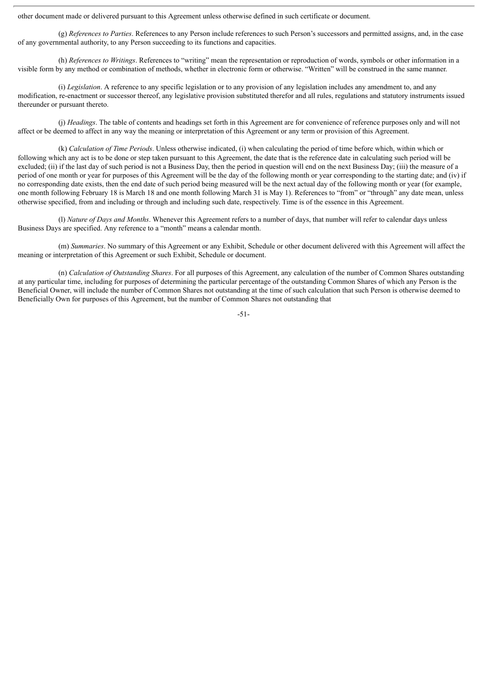other document made or delivered pursuant to this Agreement unless otherwise defined in such certificate or document.

(g) *References to Parties*. References to any Person include references to such Person's successors and permitted assigns, and, in the case of any governmental authority, to any Person succeeding to its functions and capacities.

(h) *References to Writings*. References to "writing" mean the representation or reproduction of words, symbols or other information in a visible form by any method or combination of methods, whether in electronic form or otherwise. "Written" will be construed in the same manner.

(i) *Legislation*. A reference to any specific legislation or to any provision of any legislation includes any amendment to, and any modification, re-enactment or successor thereof, any legislative provision substituted therefor and all rules, regulations and statutory instruments issued thereunder or pursuant thereto.

(j) *Headings*. The table of contents and headings set forth in this Agreement are for convenience of reference purposes only and will not affect or be deemed to affect in any way the meaning or interpretation of this Agreement or any term or provision of this Agreement.

(k) *Calculation of Time Periods*. Unless otherwise indicated, (i) when calculating the period of time before which, within which or following which any act is to be done or step taken pursuant to this Agreement, the date that is the reference date in calculating such period will be excluded; (ii) if the last day of such period is not a Business Day, then the period in question will end on the next Business Day; (iii) the measure of a period of one month or year for purposes of this Agreement will be the day of the following month or year corresponding to the starting date; and (iv) if no corresponding date exists, then the end date of such period being measured will be the next actual day of the following month or year (for example, one month following February 18 is March 18 and one month following March 31 is May 1). References to "from" or "through" any date mean, unless otherwise specified, from and including or through and including such date, respectively. Time is of the essence in this Agreement.

(l) *Nature of Days and Months*. Whenever this Agreement refers to a number of days, that number will refer to calendar days unless Business Days are specified. Any reference to a "month" means a calendar month.

(m) *Summaries*. No summary of this Agreement or any Exhibit, Schedule or other document delivered with this Agreement will affect the meaning or interpretation of this Agreement or such Exhibit, Schedule or document.

(n) *Calculation of Outstanding Shares*. For all purposes of this Agreement, any calculation of the number of Common Shares outstanding at any particular time, including for purposes of determining the particular percentage of the outstanding Common Shares of which any Person is the Beneficial Owner, will include the number of Common Shares not outstanding at the time of such calculation that such Person is otherwise deemed to Beneficially Own for purposes of this Agreement, but the number of Common Shares not outstanding that

-51-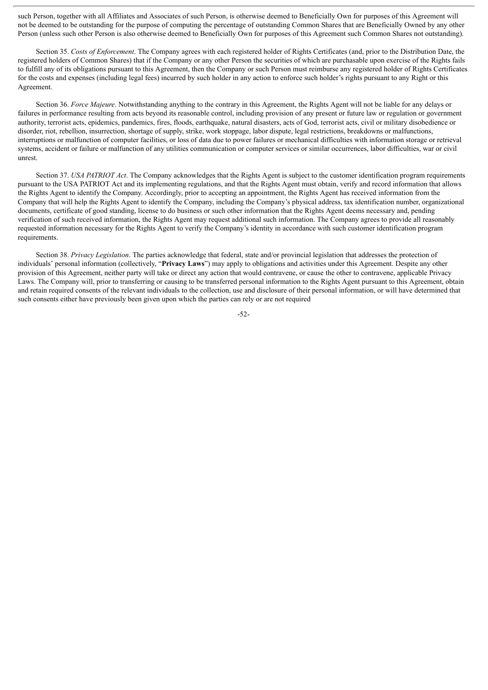such Person, together with all Affiliates and Associates of such Person, is otherwise deemed to Beneficially Own for purposes of this Agreement will not be deemed to be outstanding for the purpose of computing the percentage of outstanding Common Shares that are Beneficially Owned by any other Person (unless such other Person is also otherwise deemed to Beneficially Own for purposes of this Agreement such Common Shares not outstanding).

Section 35. *Costs of Enforcement*. The Company agrees with each registered holder of Rights Certificates (and, prior to the Distribution Date, the registered holders of Common Shares) that if the Company or any other Person the securities of which are purchasable upon exercise of the Rights fails to fulfill any of its obligations pursuant to this Agreement, then the Company or such Person must reimburse any registered holder of Rights Certificates for the costs and expenses (including legal fees) incurred by such holder in any action to enforce such holder's rights pursuant to any Right or this Agreement.

Section 36. *Force Majeure*. Notwithstanding anything to the contrary in this Agreement, the Rights Agent will not be liable for any delays or failures in performance resulting from acts beyond its reasonable control, including provision of any present or future law or regulation or government authority, terrorist acts, epidemics, pandemics, fires, floods, earthquake, natural disasters, acts of God, terrorist acts, civil or military disobedience or disorder, riot, rebellion, insurrection, shortage of supply, strike, work stoppage, labor dispute, legal restrictions, breakdowns or malfunctions, interruptions or malfunction of computer facilities, or loss of data due to power failures or mechanical difficulties with information storage or retrieval systems, accident or failure or malfunction of any utilities communication or computer services or similar occurrences, labor difficulties, war or civil unrest.

Section 37. *USA PATRIOT Act*. The Company acknowledges that the Rights Agent is subject to the customer identification program requirements pursuant to the USA PATRIOT Act and its implementing regulations, and that the Rights Agent must obtain, verify and record information that allows the Rights Agent to identify the Company. Accordingly, prior to accepting an appointment, the Rights Agent has received information from the Company that will help the Rights Agent to identify the Company, including the Company's physical address, tax identification number, organizational documents, certificate of good standing, license to do business or such other information that the Rights Agent deems necessary and, pending verification of such received information, the Rights Agent may request additional such information. The Company agrees to provide all reasonably requested information necessary for the Rights Agent to verify the Company's identity in accordance with such customer identification program requirements.

Section 38. *Privacy Legislation*. The parties acknowledge that federal, state and/or provincial legislation that addresses the protection of individuals' personal information (collectively, "**Privacy Laws**") may apply to obligations and activities under this Agreement. Despite any other provision of this Agreement, neither party will take or direct any action that would contravene, or cause the other to contravene, applicable Privacy Laws. The Company will, prior to transferring or causing to be transferred personal information to the Rights Agent pursuant to this Agreement, obtain and retain required consents of the relevant individuals to the collection, use and disclosure of their personal information, or will have determined that such consents either have previously been given upon which the parties can rely or are not required

-52-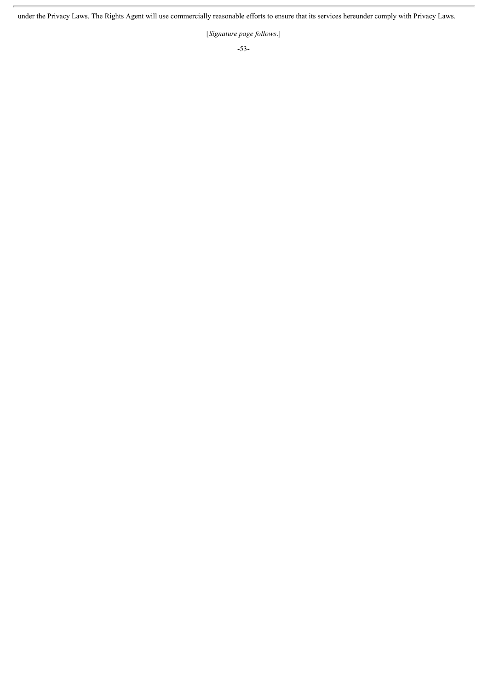under the Privacy Laws. The Rights Agent will use commercially reasonable efforts to ensure that its services hereunder comply with Privacy Laws.

[*Signature page follows*.]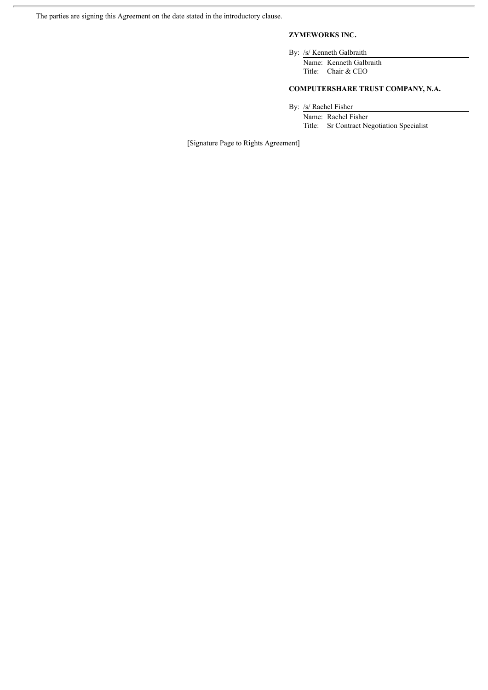The parties are signing this Agreement on the date stated in the introductory clause.

## **ZYMEWORKS INC.**

By: /s/ Kenneth Galbraith

Name: Kenneth Galbraith Title: Chair & CEO

## **COMPUTERSHARE TRUST COMPANY, N.A.**

By: /s/ Rachel Fisher

Name: Rachel Fisher Title: Sr Contract Negotiation Specialist

[Signature Page to Rights Agreement]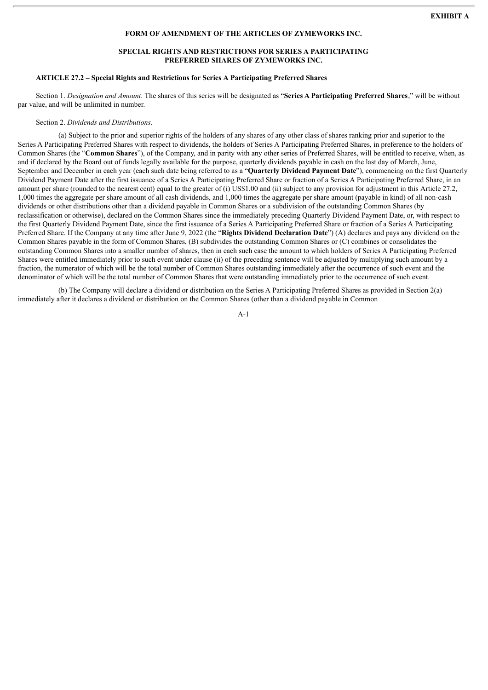### **FORM OF AMENDMENT OF THE ARTICLES OF ZYMEWORKS INC.**

## **SPECIAL RIGHTS AND RESTRICTIONS FOR SERIES A PARTICIPATING PREFERRED SHARES OF ZYMEWORKS INC.**

## **ARTICLE 27.2 – Special Rights and Restrictions for Series A Participating Preferred Shares**

Section 1. *Designation and Amount*. The shares of this series will be designated as "**Series A Participating Preferred Shares**," will be without par value, and will be unlimited in number.

#### Section 2. *Dividends and Distributions*.

(a) Subject to the prior and superior rights of the holders of any shares of any other class of shares ranking prior and superior to the Series A Participating Preferred Shares with respect to dividends, the holders of Series A Participating Preferred Shares, in preference to the holders of Common Shares (the "**Common Shares**"), of the Company, and in parity with any other series of Preferred Shares, will be entitled to receive, when, as and if declared by the Board out of funds legally available for the purpose, quarterly dividends payable in cash on the last day of March, June, September and December in each year (each such date being referred to as a "**Quarterly Dividend Payment Date**"), commencing on the first Quarterly Dividend Payment Date after the first issuance of a Series A Participating Preferred Share or fraction of a Series A Participating Preferred Share, in an amount per share (rounded to the nearest cent) equal to the greater of (i) US\$1.00 and (ii) subject to any provision for adjustment in this Article 27.2, 1,000 times the aggregate per share amount of all cash dividends, and 1,000 times the aggregate per share amount (payable in kind) of all non-cash dividends or other distributions other than a dividend payable in Common Shares or a subdivision of the outstanding Common Shares (by reclassification or otherwise), declared on the Common Shares since the immediately preceding Quarterly Dividend Payment Date, or, with respect to the first Quarterly Dividend Payment Date, since the first issuance of a Series A Participating Preferred Share or fraction of a Series A Participating Preferred Share. If the Company at any time after June 9, 2022 (the "**Rights Dividend Declaration Date**") (A) declares and pays any dividend on the Common Shares payable in the form of Common Shares, (B) subdivides the outstanding Common Shares or (C) combines or consolidates the outstanding Common Shares into a smaller number of shares, then in each such case the amount to which holders of Series A Participating Preferred Shares were entitled immediately prior to such event under clause (ii) of the preceding sentence will be adjusted by multiplying such amount by a fraction, the numerator of which will be the total number of Common Shares outstanding immediately after the occurrence of such event and the denominator of which will be the total number of Common Shares that were outstanding immediately prior to the occurrence of such event.

(b) The Company will declare a dividend or distribution on the Series A Participating Preferred Shares as provided in Section 2(a) immediately after it declares a dividend or distribution on the Common Shares (other than a dividend payable in Common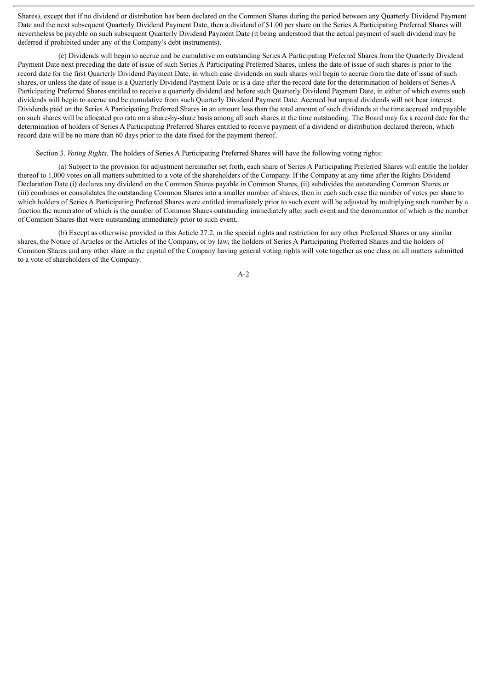Shares), except that if no dividend or distribution has been declared on the Common Shares during the period between any Quarterly Dividend Payment Date and the next subsequent Quarterly Dividend Payment Date, then a dividend of \$1.00 per share on the Series A Participating Preferred Shares will nevertheless be payable on such subsequent Quarterly Dividend Payment Date (it being understood that the actual payment of such dividend may be deferred if prohibited under any of the Company's debt instruments).

(c) Dividends will begin to accrue and be cumulative on outstanding Series A Participating Preferred Shares from the Quarterly Dividend Payment Date next preceding the date of issue of such Series A Participating Preferred Shares, unless the date of issue of such shares is prior to the record date for the first Quarterly Dividend Payment Date, in which case dividends on such shares will begin to accrue from the date of issue of such shares, or unless the date of issue is a Quarterly Dividend Payment Date or is a date after the record date for the determination of holders of Series A Participating Preferred Shares entitled to receive a quarterly dividend and before such Quarterly Dividend Payment Date, in either of which events such dividends will begin to accrue and be cumulative from such Quarterly Dividend Payment Date. Accrued but unpaid dividends will not bear interest. Dividends paid on the Series A Participating Preferred Shares in an amount less than the total amount of such dividends at the time accrued and payable on such shares will be allocated pro rata on a share-by-share basis among all such shares at the time outstanding. The Board may fix a record date for the determination of holders of Series A Participating Preferred Shares entitled to receive payment of a dividend or distribution declared thereon, which record date will be no more than 60 days prior to the date fixed for the payment thereof.

Section 3. *Voting Rights*. The holders of Series A Participating Preferred Shares will have the following voting rights:

(a) Subject to the provision for adjustment hereinafter set forth, each share of Series A Participating Preferred Shares will entitle the holder thereof to 1,000 votes on all matters submitted to a vote of the shareholders of the Company. If the Company at any time after the Rights Dividend Declaration Date (i) declares any dividend on the Common Shares payable in Common Shares, (ii) subdivides the outstanding Common Shares or (iii) combines or consolidates the outstanding Common Shares into a smaller number of shares, then in each such case the number of votes per share to which holders of Series A Participating Preferred Shares were entitled immediately prior to such event will be adjusted by multiplying such number by a fraction the numerator of which is the number of Common Shares outstanding immediately after such event and the denominator of which is the number of Common Shares that were outstanding immediately prior to such event.

(b) Except as otherwise provided in this Article 27.2, in the special rights and restriction for any other Preferred Shares or any similar shares, the Notice of Articles or the Articles of the Company, or by law, the holders of Series A Participating Preferred Shares and the holders of Common Shares and any other share in the capital of the Company having general voting rights will vote together as one class on all matters submitted to a vote of shareholders of the Company.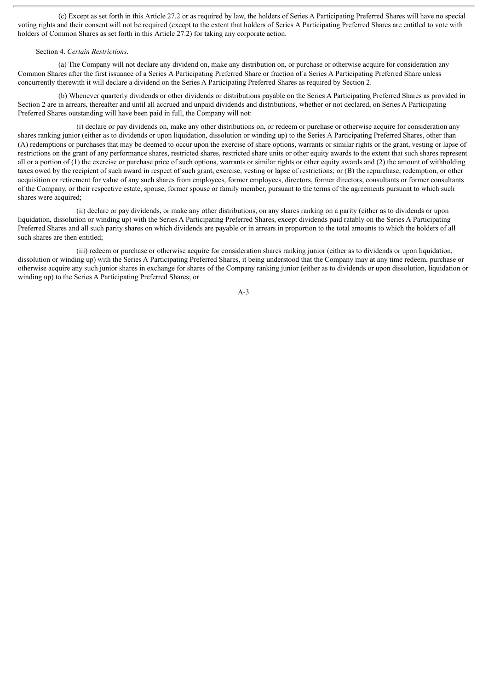(c) Except as set forth in this Article 27.2 or as required by law, the holders of Series A Participating Preferred Shares will have no special voting rights and their consent will not be required (except to the extent that holders of Series A Participating Preferred Shares are entitled to vote with holders of Common Shares as set forth in this Article 27.2) for taking any corporate action.

## Section 4. *Certain Restrictions*.

(a) The Company will not declare any dividend on, make any distribution on, or purchase or otherwise acquire for consideration any Common Shares after the first issuance of a Series A Participating Preferred Share or fraction of a Series A Participating Preferred Share unless concurrently therewith it will declare a dividend on the Series A Participating Preferred Shares as required by Section 2.

(b) Whenever quarterly dividends or other dividends or distributions payable on the Series A Participating Preferred Shares as provided in Section 2 are in arrears, thereafter and until all accrued and unpaid dividends and distributions, whether or not declared, on Series A Participating Preferred Shares outstanding will have been paid in full, the Company will not:

(i) declare or pay dividends on, make any other distributions on, or redeem or purchase or otherwise acquire for consideration any shares ranking junior (either as to dividends or upon liquidation, dissolution or winding up) to the Series A Participating Preferred Shares, other than (A) redemptions or purchases that may be deemed to occur upon the exercise of share options, warrants or similar rights or the grant, vesting or lapse of restrictions on the grant of any performance shares, restricted shares, restricted share units or other equity awards to the extent that such shares represent all or a portion of (1) the exercise or purchase price of such options, warrants or similar rights or other equity awards and (2) the amount of withholding taxes owed by the recipient of such award in respect of such grant, exercise, vesting or lapse of restrictions; or (B) the repurchase, redemption, or other acquisition or retirement for value of any such shares from employees, former employees, directors, former directors, consultants or former consultants of the Company, or their respective estate, spouse, former spouse or family member, pursuant to the terms of the agreements pursuant to which such shares were acquired;

(ii) declare or pay dividends, or make any other distributions, on any shares ranking on a parity (either as to dividends or upon liquidation, dissolution or winding up) with the Series A Participating Preferred Shares, except dividends paid ratably on the Series A Participating Preferred Shares and all such parity shares on which dividends are payable or in arrears in proportion to the total amounts to which the holders of all such shares are then entitled;

(iii) redeem or purchase or otherwise acquire for consideration shares ranking junior (either as to dividends or upon liquidation, dissolution or winding up) with the Series A Participating Preferred Shares, it being understood that the Company may at any time redeem, purchase or otherwise acquire any such junior shares in exchange for shares of the Company ranking junior (either as to dividends or upon dissolution, liquidation or winding up) to the Series A Participating Preferred Shares; or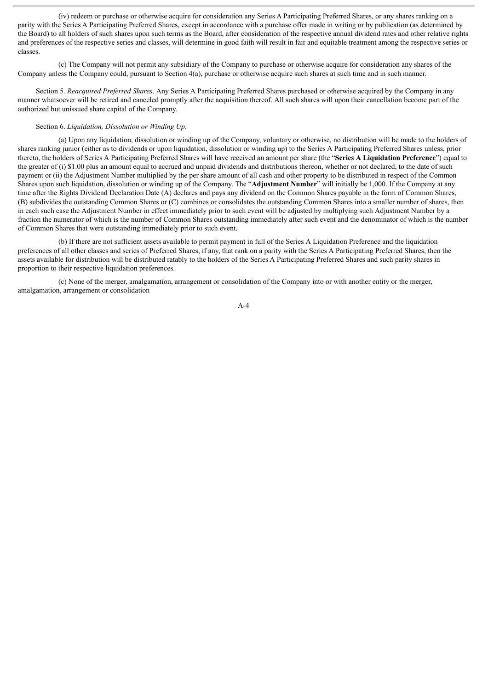(iv) redeem or purchase or otherwise acquire for consideration any Series A Participating Preferred Shares, or any shares ranking on a parity with the Series A Participating Preferred Shares, except in accordance with a purchase offer made in writing or by publication (as determined by the Board) to all holders of such shares upon such terms as the Board, after consideration of the respective annual dividend rates and other relative rights and preferences of the respective series and classes, will determine in good faith will result in fair and equitable treatment among the respective series or classes.

(c) The Company will not permit any subsidiary of the Company to purchase or otherwise acquire for consideration any shares of the Company unless the Company could, pursuant to Section 4(a), purchase or otherwise acquire such shares at such time and in such manner.

Section 5. *Reacquired Preferred Shares*. Any Series A Participating Preferred Shares purchased or otherwise acquired by the Company in any manner whatsoever will be retired and canceled promptly after the acquisition thereof. All such shares will upon their cancellation become part of the authorized but unissued share capital of the Company.

## Section 6. *Liquidation, Dissolution or Winding Up*.

(a) Upon any liquidation, dissolution or winding up of the Company, voluntary or otherwise, no distribution will be made to the holders of shares ranking junior (either as to dividends or upon liquidation, dissolution or winding up) to the Series A Participating Preferred Shares unless, prior thereto, the holders of Series A Participating Preferred Shares will have received an amount per share (the "**Series A Liquidation Preference**") equal to the greater of (i) \$1.00 plus an amount equal to accrued and unpaid dividends and distributions thereon, whether or not declared, to the date of such payment or (ii) the Adjustment Number multiplied by the per share amount of all cash and other property to be distributed in respect of the Common Shares upon such liquidation, dissolution or winding up of the Company. The "**Adjustment Number**" will initially be 1,000. If the Company at any time after the Rights Dividend Declaration Date (A) declares and pays any dividend on the Common Shares payable in the form of Common Shares, (B) subdivides the outstanding Common Shares or (C) combines or consolidates the outstanding Common Shares into a smaller number of shares, then in each such case the Adjustment Number in effect immediately prior to such event will be adjusted by multiplying such Adjustment Number by a fraction the numerator of which is the number of Common Shares outstanding immediately after such event and the denominator of which is the number of Common Shares that were outstanding immediately prior to such event.

(b) If there are not sufficient assets available to permit payment in full of the Series A Liquidation Preference and the liquidation preferences of all other classes and series of Preferred Shares, if any, that rank on a parity with the Series A Participating Preferred Shares, then the assets available for distribution will be distributed ratably to the holders of the Series A Participating Preferred Shares and such parity shares in proportion to their respective liquidation preferences.

(c) None of the merger, amalgamation, arrangement or consolidation of the Company into or with another entity or the merger, amalgamation, arrangement or consolidation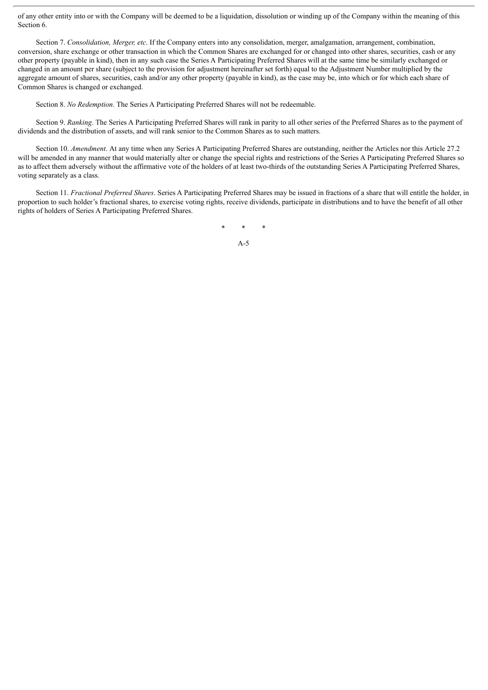of any other entity into or with the Company will be deemed to be a liquidation, dissolution or winding up of the Company within the meaning of this Section 6.

Section 7. *Consolidation, Merger, etc*. If the Company enters into any consolidation, merger, amalgamation, arrangement, combination, conversion, share exchange or other transaction in which the Common Shares are exchanged for or changed into other shares, securities, cash or any other property (payable in kind), then in any such case the Series A Participating Preferred Shares will at the same time be similarly exchanged or changed in an amount per share (subject to the provision for adjustment hereinafter set forth) equal to the Adjustment Number multiplied by the aggregate amount of shares, securities, cash and/or any other property (payable in kind), as the case may be, into which or for which each share of Common Shares is changed or exchanged.

Section 8. *No Redemption*. The Series A Participating Preferred Shares will not be redeemable.

Section 9. *Ranking*. The Series A Participating Preferred Shares will rank in parity to all other series of the Preferred Shares as to the payment of dividends and the distribution of assets, and will rank senior to the Common Shares as to such matters.

Section 10. *Amendment*. At any time when any Series A Participating Preferred Shares are outstanding, neither the Articles nor this Article 27.2 will be amended in any manner that would materially alter or change the special rights and restrictions of the Series A Participating Preferred Shares so as to affect them adversely without the affirmative vote of the holders of at least two-thirds of the outstanding Series A Participating Preferred Shares, voting separately as a class.

Section 11. *Fractional Preferred Shares*. Series A Participating Preferred Shares may be issued in fractions of a share that will entitle the holder, in proportion to such holder's fractional shares, to exercise voting rights, receive dividends, participate in distributions and to have the benefit of all other rights of holders of Series A Participating Preferred Shares.

\* \* \*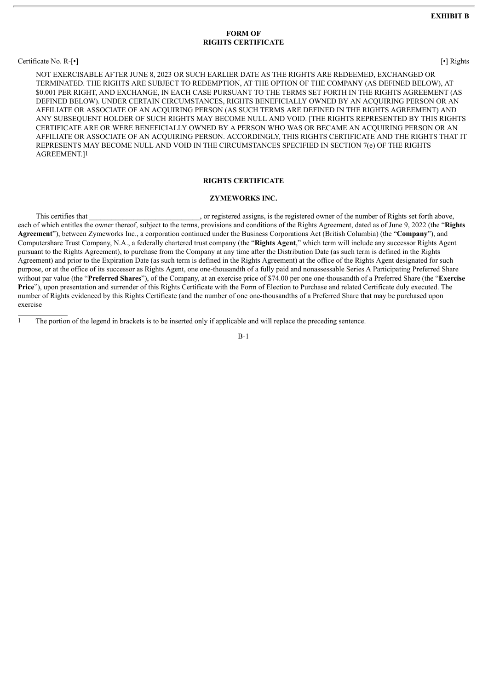## **FORM OF RIGHTS CERTIFICATE**

### Certificate No. R-[•] [•] Rights

NOT EXERCISABLE AFTER JUNE 8, 2023 OR SUCH EARLIER DATE AS THE RIGHTS ARE REDEEMED, EXCHANGED OR TERMINATED. THE RIGHTS ARE SUBJECT TO REDEMPTION, AT THE OPTION OF THE COMPANY (AS DEFINED BELOW), AT \$0.001 PER RIGHT, AND EXCHANGE, IN EACH CASE PURSUANT TO THE TERMS SET FORTH IN THE RIGHTS AGREEMENT (AS DEFINED BELOW). UNDER CERTAIN CIRCUMSTANCES, RIGHTS BENEFICIALLY OWNED BY AN ACQUIRING PERSON OR AN AFFILIATE OR ASSOCIATE OF AN ACQUIRING PERSON (AS SUCH TERMS ARE DEFINED IN THE RIGHTS AGREEMENT) AND ANY SUBSEQUENT HOLDER OF SUCH RIGHTS MAY BECOME NULL AND VOID. [THE RIGHTS REPRESENTED BY THIS RIGHTS CERTIFICATE ARE OR WERE BENEFICIALLY OWNED BY A PERSON WHO WAS OR BECAME AN ACQUIRING PERSON OR AN AFFILIATE OR ASSOCIATE OF AN ACQUIRING PERSON. ACCORDINGLY, THIS RIGHTS CERTIFICATE AND THE RIGHTS THAT IT REPRESENTS MAY BECOME NULL AND VOID IN THE CIRCUMSTANCES SPECIFIED IN SECTION 7(e) OF THE RIGHTS AGREEMENT.]1

### **RIGHTS CERTIFICATE**

#### **ZYMEWORKS INC.**

This certifies that \_\_\_\_\_\_\_\_\_\_\_\_\_\_\_\_\_\_\_, or registered assigns, is the registered owner of the number of Rights set forth above, each of which entitles the owner thereof, subject to the terms, provisions and conditions of the Rights Agreement, dated as of June 9, 2022 (the "**Rights Agreement**"), between Zymeworks Inc., a corporation continued under the Business Corporations Act (British Columbia) (the "**Company**"), and Computershare Trust Company, N.A., a federally chartered trust company (the "**Rights Agent**," which term will include any successor Rights Agent pursuant to the Rights Agreement), to purchase from the Company at any time after the Distribution Date (as such term is defined in the Rights Agreement) and prior to the Expiration Date (as such term is defined in the Rights Agreement) at the office of the Rights Agent designated for such purpose, or at the office of its successor as Rights Agent, one one-thousandth of a fully paid and nonassessable Series A Participating Preferred Share without par value (the "**Preferred Shares**"), of the Company, at an exercise price of \$74.00 per one one-thousandth of a Preferred Share (the "**Exercise Price**"), upon presentation and surrender of this Rights Certificate with the Form of Election to Purchase and related Certificate duly executed. The number of Rights evidenced by this Rights Certificate (and the number of one one-thousandths of a Preferred Share that may be purchased upon exercise

1 The portion of the legend in brackets is to be inserted only if applicable and will replace the preceding sentence.

B-1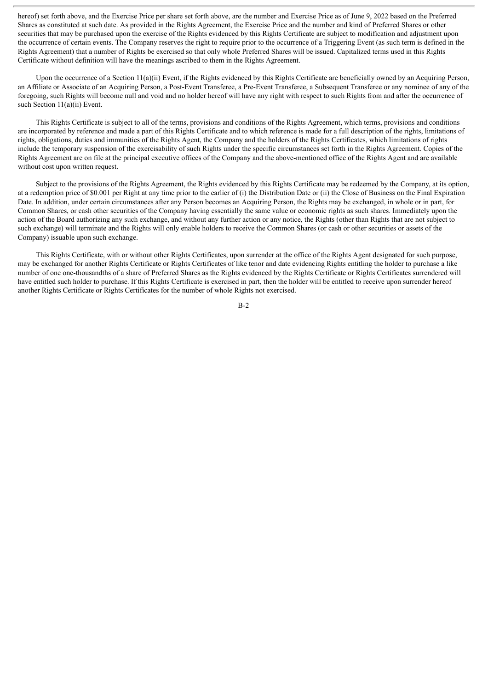hereof) set forth above, and the Exercise Price per share set forth above, are the number and Exercise Price as of June 9, 2022 based on the Preferred Shares as constituted at such date. As provided in the Rights Agreement, the Exercise Price and the number and kind of Preferred Shares or other securities that may be purchased upon the exercise of the Rights evidenced by this Rights Certificate are subject to modification and adjustment upon the occurrence of certain events. The Company reserves the right to require prior to the occurrence of a Triggering Event (as such term is defined in the Rights Agreement) that a number of Rights be exercised so that only whole Preferred Shares will be issued. Capitalized terms used in this Rights Certificate without definition will have the meanings ascribed to them in the Rights Agreement.

Upon the occurrence of a Section 11(a)(ii) Event, if the Rights evidenced by this Rights Certificate are beneficially owned by an Acquiring Person, an Affiliate or Associate of an Acquiring Person, a Post-Event Transferee, a Pre-Event Transferee, a Subsequent Transferee or any nominee of any of the foregoing, such Rights will become null and void and no holder hereof will have any right with respect to such Rights from and after the occurrence of such Section 11(a)(ii) Event.

This Rights Certificate is subject to all of the terms, provisions and conditions of the Rights Agreement, which terms, provisions and conditions are incorporated by reference and made a part of this Rights Certificate and to which reference is made for a full description of the rights, limitations of rights, obligations, duties and immunities of the Rights Agent, the Company and the holders of the Rights Certificates, which limitations of rights include the temporary suspension of the exercisability of such Rights under the specific circumstances set forth in the Rights Agreement. Copies of the Rights Agreement are on file at the principal executive offices of the Company and the above-mentioned office of the Rights Agent and are available without cost upon written request.

Subject to the provisions of the Rights Agreement, the Rights evidenced by this Rights Certificate may be redeemed by the Company, at its option, at a redemption price of \$0.001 per Right at any time prior to the earlier of (i) the Distribution Date or (ii) the Close of Business on the Final Expiration Date. In addition, under certain circumstances after any Person becomes an Acquiring Person, the Rights may be exchanged, in whole or in part, for Common Shares, or cash other securities of the Company having essentially the same value or economic rights as such shares. Immediately upon the action of the Board authorizing any such exchange, and without any further action or any notice, the Rights (other than Rights that are not subject to such exchange) will terminate and the Rights will only enable holders to receive the Common Shares (or cash or other securities or assets of the Company) issuable upon such exchange.

This Rights Certificate, with or without other Rights Certificates, upon surrender at the office of the Rights Agent designated for such purpose, may be exchanged for another Rights Certificate or Rights Certificates of like tenor and date evidencing Rights entitling the holder to purchase a like number of one one-thousandths of a share of Preferred Shares as the Rights evidenced by the Rights Certificate or Rights Certificates surrendered will have entitled such holder to purchase. If this Rights Certificate is exercised in part, then the holder will be entitled to receive upon surrender hereof another Rights Certificate or Rights Certificates for the number of whole Rights not exercised.

B-2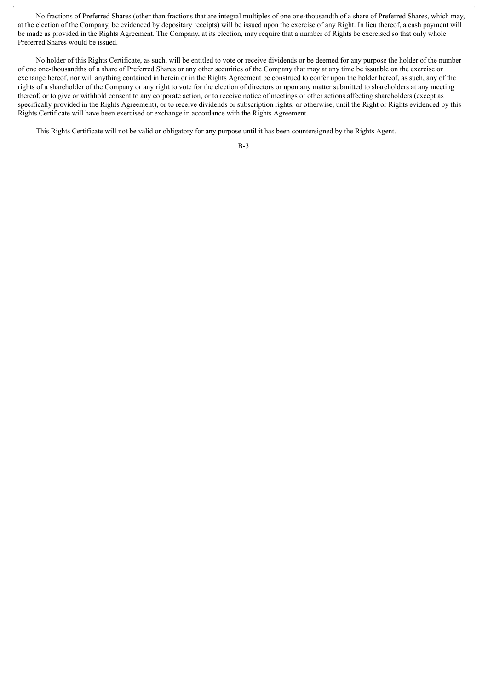No fractions of Preferred Shares (other than fractions that are integral multiples of one one-thousandth of a share of Preferred Shares, which may, at the election of the Company, be evidenced by depositary receipts) will be issued upon the exercise of any Right. In lieu thereof, a cash payment will be made as provided in the Rights Agreement. The Company, at its election, may require that a number of Rights be exercised so that only whole Preferred Shares would be issued.

No holder of this Rights Certificate, as such, will be entitled to vote or receive dividends or be deemed for any purpose the holder of the number of one one-thousandths of a share of Preferred Shares or any other securities of the Company that may at any time be issuable on the exercise or exchange hereof, nor will anything contained in herein or in the Rights Agreement be construed to confer upon the holder hereof, as such, any of the rights of a shareholder of the Company or any right to vote for the election of directors or upon any matter submitted to shareholders at any meeting thereof, or to give or withhold consent to any corporate action, or to receive notice of meetings or other actions affecting shareholders (except as specifically provided in the Rights Agreement), or to receive dividends or subscription rights, or otherwise, until the Right or Rights evidenced by this Rights Certificate will have been exercised or exchange in accordance with the Rights Agreement.

This Rights Certificate will not be valid or obligatory for any purpose until it has been countersigned by the Rights Agent.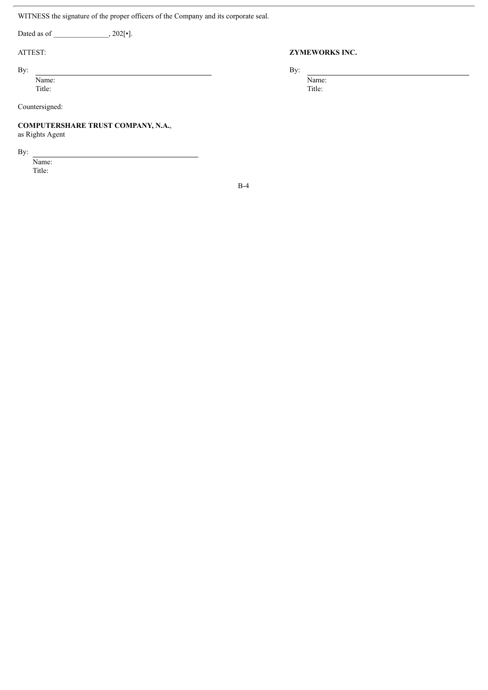WITNESS the signature of the proper officers of the Company and its corporate seal.

Dated as of \_\_\_\_\_\_\_\_\_\_\_\_\_\_\_,  $202[\cdot]$ .

By: By:

Title: The state of the state of the state of the state of the state of the state of the state of the state of the state of the state of the state of the state of the state of the state of the state of the state of the sta

Countersigned:

# **COMPUTERSHARE TRUST COMPANY, N.A.**,

as Rights Agent

By:

Name: Title:

# ATTEST: **ZYMEWORKS INC.**

B-4

Name: Name: Name: Name: Name: Name: Name: Name: Name: Name: Name: Name: Name: Name: Name: Name: Name: Name: Name: Name: Name: Name: Name: Name: Name: Name: Name: Name: Name: Name: Name: Name: Name: Name: Name: Name: Name: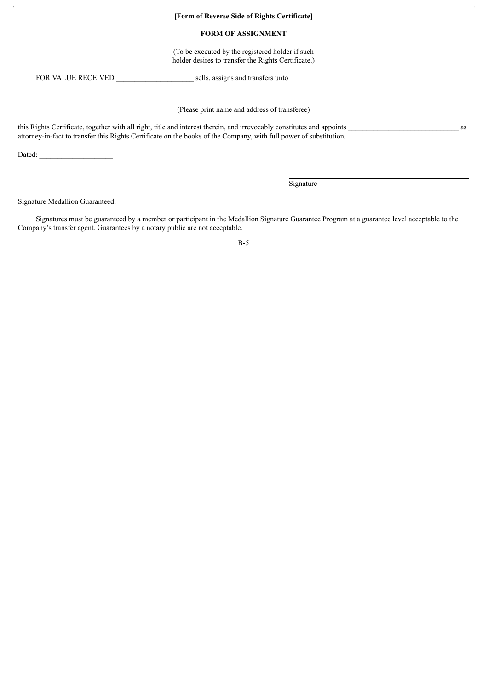| [Form of Reverse Side of Rights Certificate]                                                                                                                                                                                                 |    |
|----------------------------------------------------------------------------------------------------------------------------------------------------------------------------------------------------------------------------------------------|----|
| <b>FORM OF ASSIGNMENT</b>                                                                                                                                                                                                                    |    |
| (To be executed by the registered holder if such<br>holder desires to transfer the Rights Certificate.)                                                                                                                                      |    |
| sells, assigns and transfers unto<br>FOR VALUE RECEIVED                                                                                                                                                                                      |    |
| (Please print name and address of transferee)                                                                                                                                                                                                |    |
| this Rights Certificate, together with all right, title and interest therein, and irrevocably constitutes and appoints<br>attorney-in-fact to transfer this Rights Certificate on the books of the Company, with full power of substitution. | as |
| Dated:<br><u> 1999 - Jan Jawa</u>                                                                                                                                                                                                            |    |
|                                                                                                                                                                                                                                              |    |

Signature Medallion Guaranteed:

 $\overline{a}$ 

Signatures must be guaranteed by a member or participant in the Medallion Signature Guarantee Program at a guarantee level acceptable to the Company's transfer agent. Guarantees by a notary public are not acceptable.

**Signature**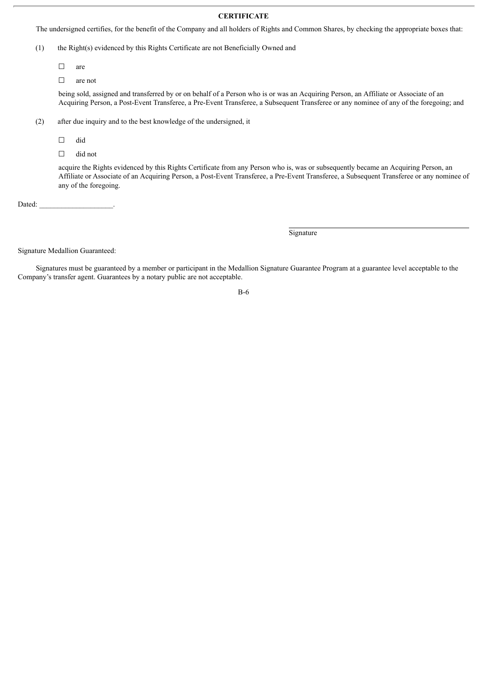## **CERTIFICATE**

The undersigned certifies, for the benefit of the Company and all holders of Rights and Common Shares, by checking the appropriate boxes that:

(1) the Right(s) evidenced by this Rights Certificate are not Beneficially Owned and

☐ are

☐ are not

being sold, assigned and transferred by or on behalf of a Person who is or was an Acquiring Person, an Affiliate or Associate of an Acquiring Person, a Post-Event Transferee, a Pre-Event Transferee, a Subsequent Transferee or any nominee of any of the foregoing; and

(2) after due inquiry and to the best knowledge of the undersigned, it

☐ did

☐ did not

acquire the Rights evidenced by this Rights Certificate from any Person who is, was or subsequently became an Acquiring Person, an Affiliate or Associate of an Acquiring Person, a Post-Event Transferee, a Pre-Event Transferee, a Subsequent Transferee or any nominee of any of the foregoing.

Dated:

Signature

Signature Medallion Guaranteed:

Signatures must be guaranteed by a member or participant in the Medallion Signature Guarantee Program at a guarantee level acceptable to the Company's transfer agent. Guarantees by a notary public are not acceptable.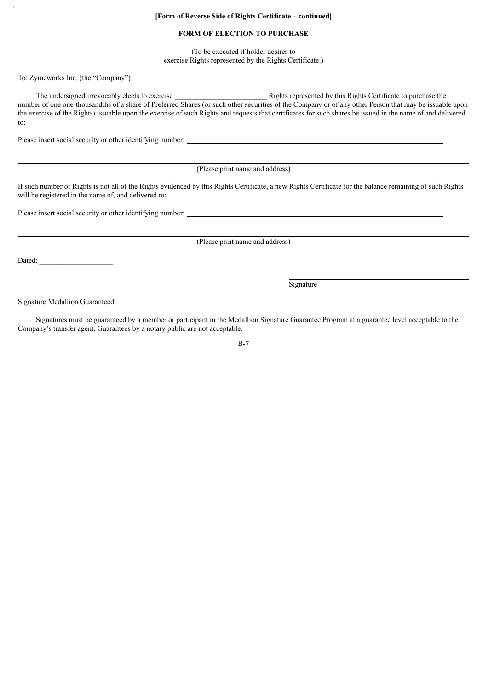### **[Form of Reverse Side of Rights Certificate – continued]**

# **FORM OF ELECTION TO PURCHASE**

(To be executed if holder desires to exercise Rights represented by the Rights Certificate.)

To: Zymeworks Inc. (the "Company")

The undersigned irrevocably elects to exercise **Exercise Rights represented by this Rights Certificate to purchase the** number of one one-thousandths of a share of Preferred Shares (or such other securities of the Company or of any other Person that may be issuable upon the exercise of the Rights) issuable upon the exercise of such Rights and requests that certificates for such shares be issued in the name of and delivered to:

Please insert social security or other identifying number:

(Please print name and address)

If such number of Rights is not all of the Rights evidenced by this Rights Certificate, a new Rights Certificate for the balance remaining of such Rights will be registered in the name of, and delivered to:

Please insert social security or other identifying number:

(Please print name and address)

Dated: \_\_\_\_\_\_\_\_\_\_\_\_\_\_\_\_\_\_\_\_

Signature

Signature Medallion Guaranteed:

Signatures must be guaranteed by a member or participant in the Medallion Signature Guarantee Program at a guarantee level acceptable to the Company's transfer agent. Guarantees by a notary public are not acceptable.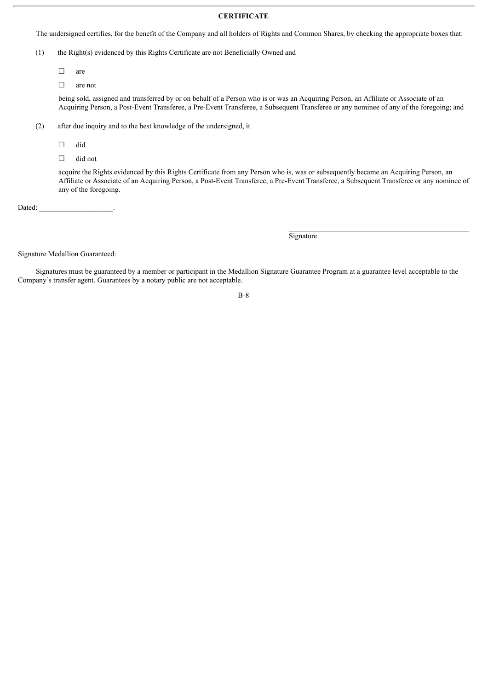#### **CERTIFICATE**

The undersigned certifies, for the benefit of the Company and all holders of Rights and Common Shares, by checking the appropriate boxes that:

(1) the Right(s) evidenced by this Rights Certificate are not Beneficially Owned and

□ are

☐ are not

being sold, assigned and transferred by or on behalf of a Person who is or was an Acquiring Person, an Affiliate or Associate of an Acquiring Person, a Post-Event Transferee, a Pre-Event Transferee, a Subsequent Transferee or any nominee of any of the foregoing; and

(2) after due inquiry and to the best knowledge of the undersigned, it

☐ did

☐ did not

acquire the Rights evidenced by this Rights Certificate from any Person who is, was or subsequently became an Acquiring Person, an Affiliate or Associate of an Acquiring Person, a Post-Event Transferee, a Pre-Event Transferee, a Subsequent Transferee or any nominee of any of the foregoing.

Dated:

Signature

Signature Medallion Guaranteed:

Signatures must be guaranteed by a member or participant in the Medallion Signature Guarantee Program at a guarantee level acceptable to the Company's transfer agent. Guarantees by a notary public are not acceptable.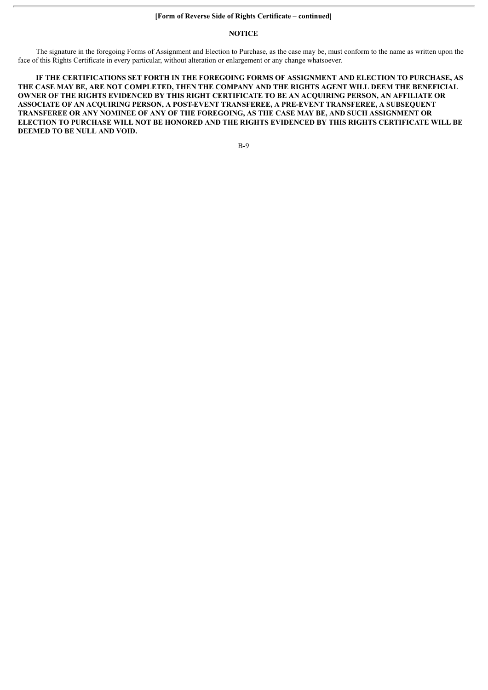#### **[Form of Reverse Side of Rights Certificate – continued]**

### **NOTICE**

The signature in the foregoing Forms of Assignment and Election to Purchase, as the case may be, must conform to the name as written upon the face of this Rights Certificate in every particular, without alteration or enlargement or any change whatsoever.

**IF THE CERTIFICATIONS SET FORTH IN THE FOREGOING FORMS OF ASSIGNMENT AND ELECTION TO PURCHASE, AS THE CASE MAY BE, ARE NOT COMPLETED, THEN THE COMPANY AND THE RIGHTS AGENT WILL DEEM THE BENEFICIAL OWNER OF THE RIGHTS EVIDENCED BY THIS RIGHT CERTIFICATE TO BE AN ACQUIRING PERSON, AN AFFILIATE OR ASSOCIATE OF AN ACQUIRING PERSON, A POST-EVENT TRANSFEREE, A PRE-EVENT TRANSFEREE, A SUBSEQUENT TRANSFEREE OR ANY NOMINEE OF ANY OF THE FOREGOING, AS THE CASE MAY BE, AND SUCH ASSIGNMENT OR ELECTION TO PURCHASE WILL NOT BE HONORED AND THE RIGHTS EVIDENCED BY THIS RIGHTS CERTIFICATE WILL BE DEEMED TO BE NULL AND VOID.**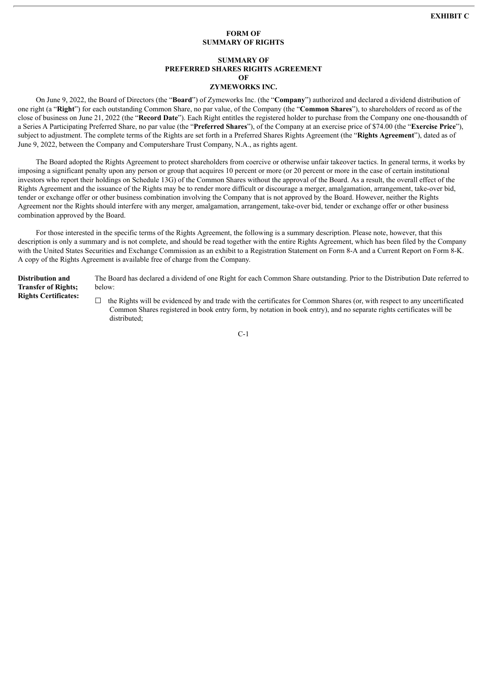#### **FORM OF SUMMARY OF RIGHTS**

#### **SUMMARY OF PREFERRED SHARES RIGHTS AGREEMENT OF ZYMEWORKS INC.**

On June 9, 2022, the Board of Directors (the "**Board**") of Zymeworks Inc. (the "**Company**") authorized and declared a dividend distribution of one right (a "**Right**") for each outstanding Common Share, no par value, of the Company (the "**Common Shares**"), to shareholders of record as of the close of business on June 21, 2022 (the "**Record Date**"). Each Right entitles the registered holder to purchase from the Company one one-thousandth of a Series A Participating Preferred Share, no par value (the "**Preferred Shares**"), of the Company at an exercise price of \$74.00 (the "**Exercise Price**"), subject to adjustment. The complete terms of the Rights are set forth in a Preferred Shares Rights Agreement (the "**Rights Agreement**"), dated as of June 9, 2022, between the Company and Computershare Trust Company, N.A., as rights agent.

The Board adopted the Rights Agreement to protect shareholders from coercive or otherwise unfair takeover tactics. In general terms, it works by imposing a significant penalty upon any person or group that acquires 10 percent or more (or 20 percent or more in the case of certain institutional investors who report their holdings on Schedule 13G) of the Common Shares without the approval of the Board. As a result, the overall effect of the Rights Agreement and the issuance of the Rights may be to render more difficult or discourage a merger, amalgamation, arrangement, take-over bid, tender or exchange offer or other business combination involving the Company that is not approved by the Board. However, neither the Rights Agreement nor the Rights should interfere with any merger, amalgamation, arrangement, take-over bid, tender or exchange offer or other business combination approved by the Board.

For those interested in the specific terms of the Rights Agreement, the following is a summary description. Please note, however, that this description is only a summary and is not complete, and should be read together with the entire Rights Agreement, which has been filed by the Company with the United States Securities and Exchange Commission as an exhibit to a Registration Statement on Form 8-A and a Current Report on Form 8-K. A copy of the Rights Agreement is available free of charge from the Company.

**Distribution and Transfer of Rights; Rights Certificates:** The Board has declared a dividend of one Right for each Common Share outstanding. Prior to the Distribution Date referred to below:

 $\Box$  the Rights will be evidenced by and trade with the certificates for Common Shares (or, with respect to any uncertificated Common Shares registered in book entry form, by notation in book entry), and no separate rights certificates will be distributed;

C-1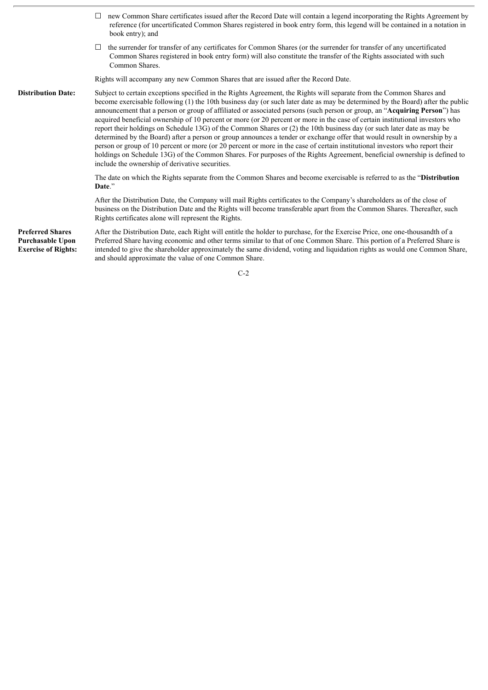- $\Box$  new Common Share certificates issued after the Record Date will contain a legend incorporating the Rights Agreement by reference (for uncertificated Common Shares registered in book entry form, this legend will be contained in a notation in book entry); and
- $\Box$  the surrender for transfer of any certificates for Common Shares (or the surrender for transfer of any uncertificated Common Shares registered in book entry form) will also constitute the transfer of the Rights associated with such Common Shares.

Rights will accompany any new Common Shares that are issued after the Record Date.

**Distribution Date:** Subject to certain exceptions specified in the Rights Agreement, the Rights will separate from the Common Shares and become exercisable following (1) the 10th business day (or such later date as may be determined by the Board) after the public announcement that a person or group of affiliated or associated persons (such person or group, an "**Acquiring Person**") has acquired beneficial ownership of 10 percent or more (or 20 percent or more in the case of certain institutional investors who report their holdings on Schedule 13G) of the Common Shares or (2) the 10th business day (or such later date as may be determined by the Board) after a person or group announces a tender or exchange offer that would result in ownership by a person or group of 10 percent or more (or 20 percent or more in the case of certain institutional investors who report their holdings on Schedule 13G) of the Common Shares. For purposes of the Rights Agreement, beneficial ownership is defined to include the ownership of derivative securities.

> The date on which the Rights separate from the Common Shares and become exercisable is referred to as the "**Distribution Date**."

> After the Distribution Date, the Company will mail Rights certificates to the Company's shareholders as of the close of business on the Distribution Date and the Rights will become transferable apart from the Common Shares. Thereafter, such Rights certificates alone will represent the Rights.

**Preferred Shares Purchasable Upon Exercise of Rights:** After the Distribution Date, each Right will entitle the holder to purchase, for the Exercise Price, one one-thousandth of a Preferred Share having economic and other terms similar to that of one Common Share. This portion of a Preferred Share is intended to give the shareholder approximately the same dividend, voting and liquidation rights as would one Common Share, and should approximate the value of one Common Share.

C-2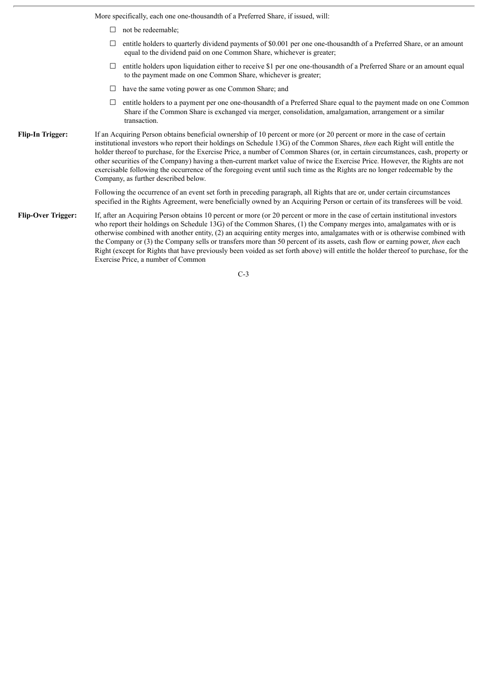|                           | More specifically, each one one-thousandth of a Preferred Share, if issued, will:                                                                                                                                                                                                                                                                                                                                                                                                                                                                                                                                                                                                                |
|---------------------------|--------------------------------------------------------------------------------------------------------------------------------------------------------------------------------------------------------------------------------------------------------------------------------------------------------------------------------------------------------------------------------------------------------------------------------------------------------------------------------------------------------------------------------------------------------------------------------------------------------------------------------------------------------------------------------------------------|
|                           | $\Box$<br>not be redeemable;                                                                                                                                                                                                                                                                                                                                                                                                                                                                                                                                                                                                                                                                     |
|                           | entitle holders to quarterly dividend payments of \$0.001 per one one-thousandth of a Preferred Share, or an amount<br>$\Box$<br>equal to the dividend paid on one Common Share, whichever is greater;                                                                                                                                                                                                                                                                                                                                                                                                                                                                                           |
|                           | entitle holders upon liquidation either to receive \$1 per one one-thousandth of a Preferred Share or an amount equal<br>□<br>to the payment made on one Common Share, whichever is greater;                                                                                                                                                                                                                                                                                                                                                                                                                                                                                                     |
|                           | have the same voting power as one Common Share; and<br>$\Box$                                                                                                                                                                                                                                                                                                                                                                                                                                                                                                                                                                                                                                    |
|                           | entitle holders to a payment per one one-thousandth of a Preferred Share equal to the payment made on one Common<br>$\Box$<br>Share if the Common Share is exchanged via merger, consolidation, amalgamation, arrangement or a similar<br>transaction.                                                                                                                                                                                                                                                                                                                                                                                                                                           |
| <b>Flip-In Trigger:</b>   | If an Acquiring Person obtains beneficial ownership of 10 percent or more (or 20 percent or more in the case of certain<br>institutional investors who report their holdings on Schedule 13G) of the Common Shares, then each Right will entitle the<br>holder thereof to purchase, for the Exercise Price, a number of Common Shares (or, in certain circumstances, cash, property or<br>other securities of the Company) having a then-current market value of twice the Exercise Price. However, the Rights are not<br>exercisable following the occurrence of the foregoing event until such time as the Rights are no longer redeemable by the<br>Company, as further described below.      |
|                           | Following the occurrence of an event set forth in preceding paragraph, all Rights that are or, under certain circumstances<br>specified in the Rights Agreement, were beneficially owned by an Acquiring Person or certain of its transferees will be void.                                                                                                                                                                                                                                                                                                                                                                                                                                      |
| <b>Flip-Over Trigger:</b> | If, after an Acquiring Person obtains 10 percent or more (or 20 percent or more in the case of certain institutional investors<br>who report their holdings on Schedule 13G) of the Common Shares, (1) the Company merges into, amalgamates with or is<br>otherwise combined with another entity, (2) an acquiring entity merges into, amalgamates with or is otherwise combined with<br>the Company or (3) the Company sells or transfers more than 50 percent of its assets, cash flow or earning power, then each<br>Right (except for Rights that have previously been voided as set forth above) will entitle the holder thereof to purchase, for the<br>Exercise Price, a number of Common |

C-3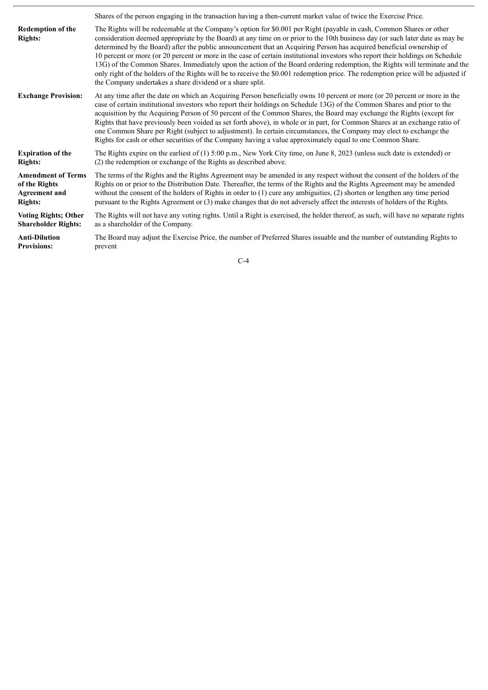|                                            | Shares of the person engaging in the transaction having a then-current market value of twice the Exercise Price.                                                                                                                                                                                                                                                                                                                                                                                                                                                                                                                                                                                                                                                                                                                                |
|--------------------------------------------|-------------------------------------------------------------------------------------------------------------------------------------------------------------------------------------------------------------------------------------------------------------------------------------------------------------------------------------------------------------------------------------------------------------------------------------------------------------------------------------------------------------------------------------------------------------------------------------------------------------------------------------------------------------------------------------------------------------------------------------------------------------------------------------------------------------------------------------------------|
| <b>Redemption of the</b><br><b>Rights:</b> | The Rights will be redeemable at the Company's option for \$0.001 per Right (payable in cash, Common Shares or other<br>consideration deemed appropriate by the Board) at any time on or prior to the 10th business day (or such later date as may be<br>determined by the Board) after the public announcement that an Acquiring Person has acquired beneficial ownership of<br>10 percent or more (or 20 percent or more in the case of certain institutional investors who report their holdings on Schedule<br>13G) of the Common Shares. Immediately upon the action of the Board ordering redemption, the Rights will terminate and the<br>only right of the holders of the Rights will be to receive the \$0.001 redemption price. The redemption price will be adjusted if<br>the Company undertakes a share dividend or a share split. |
| <b>Exchange Provision:</b>                 | At any time after the date on which an Acquiring Person beneficially owns 10 percent or more (or 20 percent or more in the<br>case of certain institutional investors who report their holdings on Schedule 13G) of the Common Shares and prior to the<br>acquisition by the Acquiring Person of 50 percent of the Common Shares, the Board may exchange the Rights (except for<br>Rights that have previously been voided as set forth above), in whole or in part, for Common Shares at an exchange ratio of<br>one Common Share per Right (subject to adjustment). In certain circumstances, the Company may elect to exchange the<br>Rights for cash or other securities of the Company having a value approximately equal to one Common Share.                                                                                             |
| <b>Expiration of the</b>                   | The Rights expire on the earliest of (1) 5:00 p.m., New York City time, on June 8, 2023 (unless such date is extended) or                                                                                                                                                                                                                                                                                                                                                                                                                                                                                                                                                                                                                                                                                                                       |
| <b>Rights:</b>                             | (2) the redemption or exchange of the Rights as described above.                                                                                                                                                                                                                                                                                                                                                                                                                                                                                                                                                                                                                                                                                                                                                                                |
| <b>Amendment of Terms</b>                  | The terms of the Rights and the Rights Agreement may be amended in any respect without the consent of the holders of the                                                                                                                                                                                                                                                                                                                                                                                                                                                                                                                                                                                                                                                                                                                        |
| of the Rights                              | Rights on or prior to the Distribution Date. Thereafter, the terms of the Rights and the Rights Agreement may be amended                                                                                                                                                                                                                                                                                                                                                                                                                                                                                                                                                                                                                                                                                                                        |
| <b>Agreement and</b>                       | without the consent of the holders of Rights in order to (1) cure any ambiguities, (2) shorten or lengthen any time period                                                                                                                                                                                                                                                                                                                                                                                                                                                                                                                                                                                                                                                                                                                      |
| <b>Rights:</b>                             | pursuant to the Rights Agreement or (3) make changes that do not adversely affect the interests of holders of the Rights.                                                                                                                                                                                                                                                                                                                                                                                                                                                                                                                                                                                                                                                                                                                       |
| <b>Voting Rights; Other</b>                | The Rights will not have any voting rights. Until a Right is exercised, the holder thereof, as such, will have no separate rights                                                                                                                                                                                                                                                                                                                                                                                                                                                                                                                                                                                                                                                                                                               |
| <b>Shareholder Rights:</b>                 | as a shareholder of the Company.                                                                                                                                                                                                                                                                                                                                                                                                                                                                                                                                                                                                                                                                                                                                                                                                                |
| <b>Anti-Dilution</b>                       | The Board may adjust the Exercise Price, the number of Preferred Shares issuable and the number of outstanding Rights to                                                                                                                                                                                                                                                                                                                                                                                                                                                                                                                                                                                                                                                                                                                        |
| <b>Provisions:</b>                         | prevent                                                                                                                                                                                                                                                                                                                                                                                                                                                                                                                                                                                                                                                                                                                                                                                                                                         |

C-4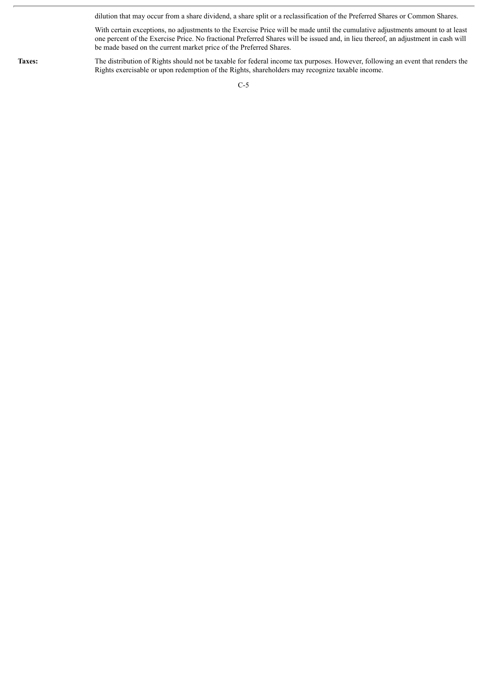dilution that may occur from a share dividend, a share split or a reclassification of the Preferred Shares or Common Shares.

With certain exceptions, no adjustments to the Exercise Price will be made until the cumulative adjustments amount to at least one percent of the Exercise Price. No fractional Preferred Shares will be issued and, in lieu thereof, an adjustment in cash will be made based on the current market price of the Preferred Shares.

**Taxes:** The distribution of Rights should not be taxable for federal income tax purposes. However, following an event that renders the Rights exercisable or upon redemption of the Rights, shareholders may recognize taxable income.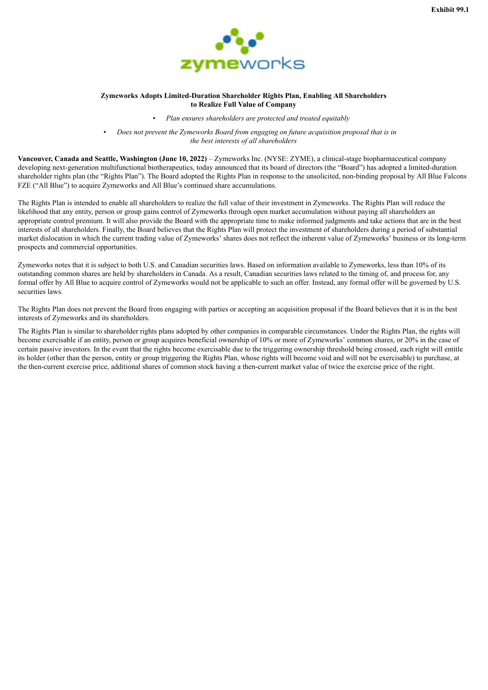

### **Zymeworks Adopts Limited-Duration Shareholder Rights Plan, Enabling All Shareholders to Realize Full Value of Company**

• *Plan ensures shareholders are protected and treated equitably*

• *Does not prevent the Zymeworks Board from engaging on future acquisition proposal that is in the best interests of all shareholders*

**Vancouver, Canada and Seattle, Washington (June 10, 2022)** – Zymeworks Inc. (NYSE: ZYME), a clinical-stage biopharmaceutical company developing next-generation multifunctional biotherapeutics, today announced that its board of directors (the "Board") has adopted a limited-duration shareholder rights plan (the "Rights Plan"). The Board adopted the Rights Plan in response to the unsolicited, non-binding proposal by All Blue Falcons FZE ("All Blue") to acquire Zymeworks and All Blue's continued share accumulations.

The Rights Plan is intended to enable all shareholders to realize the full value of their investment in Zymeworks. The Rights Plan will reduce the likelihood that any entity, person or group gains control of Zymeworks through open market accumulation without paying all shareholders an appropriate control premium. It will also provide the Board with the appropriate time to make informed judgments and take actions that are in the best interests of all shareholders. Finally, the Board believes that the Rights Plan will protect the investment of shareholders during a period of substantial market dislocation in which the current trading value of Zymeworks' shares does not reflect the inherent value of Zymeworks' business or its long-term prospects and commercial opportunities.

Zymeworks notes that it is subject to both U.S. and Canadian securities laws. Based on information available to Zymeworks, less than 10% of its outstanding common shares are held by shareholders in Canada. As a result, Canadian securities laws related to the timing of, and process for, any formal offer by All Blue to acquire control of Zymeworks would not be applicable to such an offer. Instead, any formal offer will be governed by U.S. securities laws.

The Rights Plan does not prevent the Board from engaging with parties or accepting an acquisition proposal if the Board believes that it is in the best interests of Zymeworks and its shareholders.

The Rights Plan is similar to shareholder rights plans adopted by other companies in comparable circumstances. Under the Rights Plan, the rights will become exercisable if an entity, person or group acquires beneficial ownership of 10% or more of Zymeworks' common shares, or 20% in the case of certain passive investors. In the event that the rights become exercisable due to the triggering ownership threshold being crossed, each right will entitle its holder (other than the person, entity or group triggering the Rights Plan, whose rights will become void and will not be exercisable) to purchase, at the then-current exercise price, additional shares of common stock having a then-current market value of twice the exercise price of the right.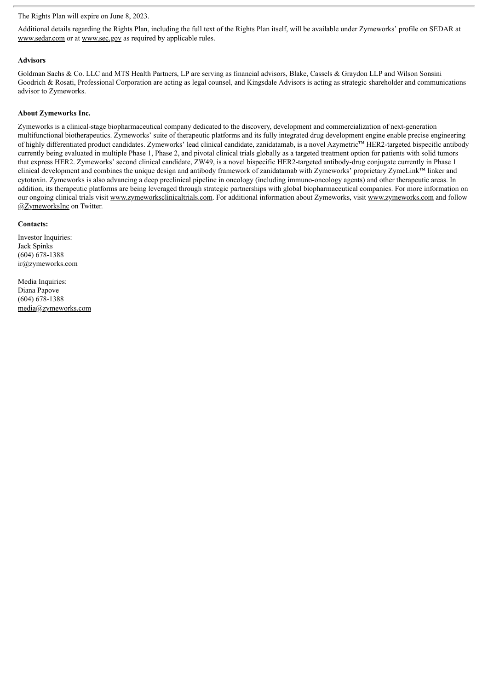The Rights Plan will expire on June 8, 2023.

Additional details regarding the Rights Plan, including the full text of the Rights Plan itself, will be available under Zymeworks' profile on SEDAR at www.sedar.com or at www.sec.gov as required by applicable rules.

# **Advisors**

Goldman Sachs & Co. LLC and MTS Health Partners, LP are serving as financial advisors, Blake, Cassels & Graydon LLP and Wilson Sonsini Goodrich & Rosati, Professional Corporation are acting as legal counsel, and Kingsdale Advisors is acting as strategic shareholder and communications advisor to Zymeworks.

# **About Zymeworks Inc.**

Zymeworks is a clinical-stage biopharmaceutical company dedicated to the discovery, development and commercialization of next-generation multifunctional biotherapeutics. Zymeworks' suite of therapeutic platforms and its fully integrated drug development engine enable precise engineering of highly differentiated product candidates. Zymeworks' lead clinical candidate, zanidatamab, is a novel Azymetric™ HER2-targeted bispecific antibody currently being evaluated in multiple Phase 1, Phase 2, and pivotal clinical trials globally as a targeted treatment option for patients with solid tumors that express HER2. Zymeworks' second clinical candidate, ZW49, is a novel bispecific HER2-targeted antibody-drug conjugate currently in Phase 1 clinical development and combines the unique design and antibody framework of zanidatamab with Zymeworks' proprietary ZymeLink™ linker and cytotoxin. Zymeworks is also advancing a deep preclinical pipeline in oncology (including immuno-oncology agents) and other therapeutic areas. In addition, its therapeutic platforms are being leveraged through strategic partnerships with global biopharmaceutical companies. For more information on our ongoing clinical trials visit www.zymeworksclinicaltrials.com. For additional information about Zymeworks, visit www.zymeworks.com and follow @ZymeworksInc on Twitter.

## **Contacts:**

Investor Inquiries: Jack Spinks (604) 678-1388 ir@zymeworks.com

Media Inquiries: Diana Papove (604) 678-1388 media@zymeworks.com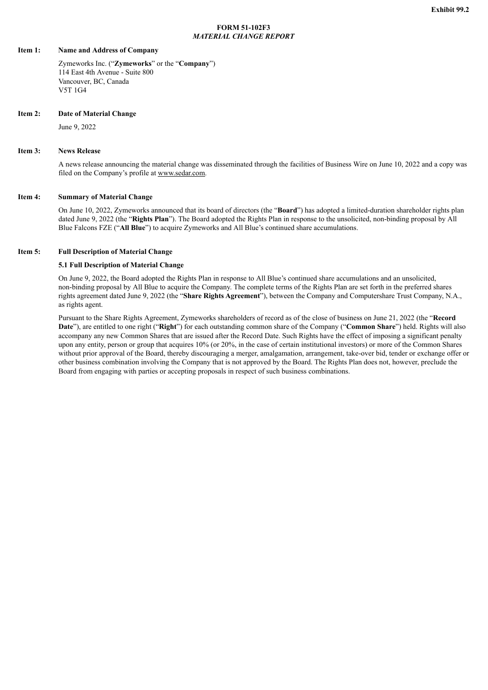## **FORM 51-102F3** *MATERIAL CHANGE REPORT*

#### **Item 1: Name and Address of Company**

Zymeworks Inc. ("**Zymeworks**" or the "**Company**") 114 East 4th Avenue - Suite 800 Vancouver, BC, Canada V5T 1G4

#### **Item 2: Date of Material Change**

June 9, 2022

#### **Item 3: News Release**

A news release announcing the material change was disseminated through the facilities of Business Wire on June 10, 2022 and a copy was filed on the Company's profile at www.sedar.com.

#### **Item 4: Summary of Material Change**

On June 10, 2022, Zymeworks announced that its board of directors (the "**Board**") has adopted a limited-duration shareholder rights plan dated June 9, 2022 (the "**Rights Plan**"). The Board adopted the Rights Plan in response to the unsolicited, non-binding proposal by All Blue Falcons FZE ("**All Blue**") to acquire Zymeworks and All Blue's continued share accumulations.

#### **Item 5: Full Description of Material Change**

## **5.1 Full Description of Material Change**

On June 9, 2022, the Board adopted the Rights Plan in response to All Blue's continued share accumulations and an unsolicited, non-binding proposal by All Blue to acquire the Company. The complete terms of the Rights Plan are set forth in the preferred shares rights agreement dated June 9, 2022 (the "**Share Rights Agreement**"), between the Company and Computershare Trust Company, N.A., as rights agent.

Pursuant to the Share Rights Agreement, Zymeworks shareholders of record as of the close of business on June 21, 2022 (the "**Record Date**"), are entitled to one right ("**Right**") for each outstanding common share of the Company ("**Common Share**") held. Rights will also accompany any new Common Shares that are issued after the Record Date. Such Rights have the effect of imposing a significant penalty upon any entity, person or group that acquires 10% (or 20%, in the case of certain institutional investors) or more of the Common Shares without prior approval of the Board, thereby discouraging a merger, amalgamation, arrangement, take-over bid, tender or exchange offer or other business combination involving the Company that is not approved by the Board. The Rights Plan does not, however, preclude the Board from engaging with parties or accepting proposals in respect of such business combinations.